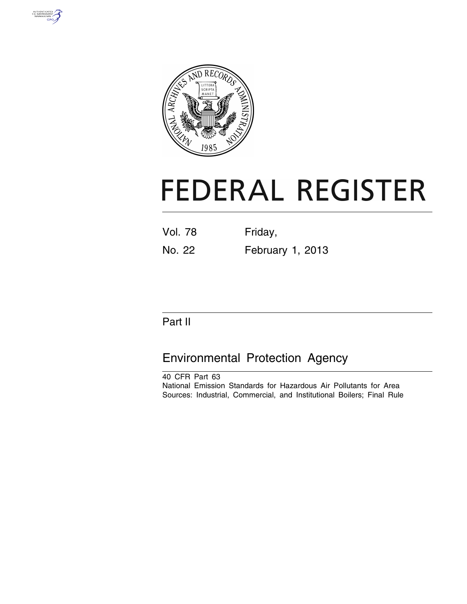



# **FEDERAL REGISTER**

| <b>Vol. 78</b> | Friday, |  |
|----------------|---------|--|
|                |         |  |

No. 22 February 1, 2013

## Part II

## Environmental Protection Agency

40 CFR Part 63 National Emission Standards for Hazardous Air Pollutants for Area Sources: Industrial, Commercial, and Institutional Boilers; Final Rule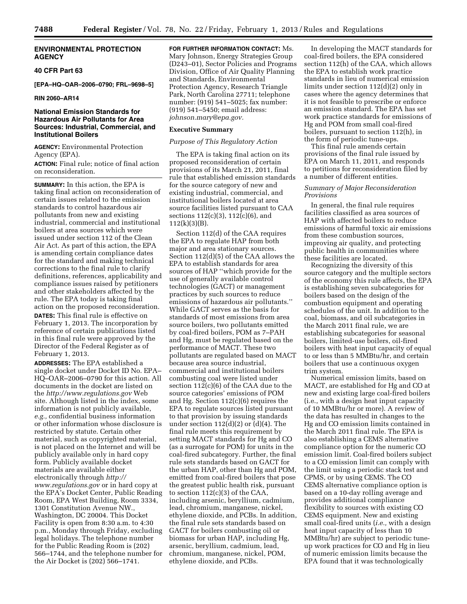#### **ENVIRONMENTAL PROTECTION AGENCY**

#### **40 CFR Part 63**

**[EPA–HQ–OAR–2006–0790; FRL–9698–5]** 

#### **RIN 2060–AR14**

#### **National Emission Standards for Hazardous Air Pollutants for Area Sources: Industrial, Commercial, and Institutional Boilers**

**AGENCY:** Environmental Protection Agency (EPA).

**ACTION:** Final rule; notice of final action on reconsideration.

**SUMMARY:** In this action, the EPA is taking final action on reconsideration of certain issues related to the emission standards to control hazardous air pollutants from new and existing industrial, commercial and institutional boilers at area sources which were issued under section 112 of the Clean Air Act. As part of this action, the EPA is amending certain compliance dates for the standard and making technical corrections to the final rule to clarify definitions, references, applicability and compliance issues raised by petitioners and other stakeholders affected by the rule. The EPA today is taking final action on the proposed reconsideration. **DATES:** This final rule is effective on February 1, 2013. The incorporation by reference of certain publications listed in this final rule were approved by the Director of the Federal Register as of February 1, 2013.

**ADDRESSES:** The EPA established a single docket under Docket ID No. EPA– HQ–OAR–2006–0790 for this action. All documents in the docket are listed on the *<http://www.regulations.gov>*Web site. Although listed in the index, some information is not publicly available, *e.g.,* confidential business information or other information whose disclosure is restricted by statute. Certain other material, such as copyrighted material, is not placed on the Internet and will be publicly available only in hard copy form. Publicly available docket materials are available either electronically through *[http://](http://www.regulations.gov) [www.regulations.gov](http://www.regulations.gov)* or in hard copy at the EPA's Docket Center, Public Reading Room, EPA West Building, Room 3334, 1301 Constitution Avenue NW., Washington, DC 20004. This Docket Facility is open from 8:30 a.m. to 4:30 p.m., Monday through Friday, excluding legal holidays. The telephone number for the Public Reading Room is (202) 566–1744, and the telephone number for the Air Docket is (202) 566–1741.

**FOR FURTHER INFORMATION CONTACT:** Ms.

Mary Johnson, Energy Strategies Group (D243–01), Sector Policies and Programs Division, Office of Air Quality Planning and Standards, Environmental Protection Agency, Research Triangle Park, North Carolina 27711; telephone number: (919) 541–5025; fax number: (919) 541–5450; email address: *[johnson.mary@epa.gov.](mailto:johnson.mary@epa.gov)* 

#### **Executive Summary**

#### *Purpose of This Regulatory Action*

The EPA is taking final action on its proposed reconsideration of certain provisions of its March 21, 2011, final rule that established emission standards for the source category of new and existing industrial, commercial, and institutional boilers located at area source facilities listed pursuant to CAA sections 112(c)(3), 112(c)(6), and  $112(k)(3)(B)$ .

Section 112(d) of the CAA requires the EPA to regulate HAP from both major and area stationary sources. Section 112(d)(5) of the CAA allows the EPA to establish standards for area sources of HAP ''which provide for the use of generally available control technologies (GACT) or management practices by such sources to reduce emissions of hazardous air pollutants.'' While GACT serves as the basis for standards of most emissions from area source boilers, two pollutants emitted by coal-fired boilers, POM as 7–PAH and Hg, must be regulated based on the performance of MACT. These two pollutants are regulated based on MACT because area source industrial, commercial and institutional boilers combusting coal were listed under section 112(c)(6) of the CAA due to the source categories' emissions of POM and Hg. Section 112(c)(6) requires the EPA to regulate sources listed pursuant to that provision by issuing standards under section  $112(d)(2)$  or  $(d)(4)$ . The final rule meets this requirement by setting MACT standards for Hg and CO (as a surrogate for POM) for units in the coal-fired subcategory. Further, the final rule sets standards based on GACT for the urban HAP, other than Hg and POM, emitted from coal-fired boilers that pose the greatest public health risk, pursuant to section 112(c)(3) of the CAA, including arsenic, beryllium, cadmium, lead, chromium, manganese, nickel, ethylene dioxide, and PCBs. In addition, the final rule sets standards based on GACT for boilers combusting oil or biomass for urban HAP, including Hg, arsenic, beryllium, cadmium, lead, chromium, manganese, nickel, POM, ethylene dioxide, and PCBs.

In developing the MACT standards for coal-fired boilers, the EPA considered section 112(h) of the CAA, which allows the EPA to establish work practice standards in lieu of numerical emission limits under section 112(d)(2) only in cases where the agency determines that it is not feasible to prescribe or enforce an emission standard. The EPA has set work practice standards for emissions of Hg and POM from small coal-fired boilers, pursuant to section 112(h), in the form of periodic tune-ups.

This final rule amends certain provisions of the final rule issued by EPA on March 11, 2011, and responds to petitions for reconsideration filed by a number of different entities.

#### *Summary of Major Reconsideration Provisions*

In general, the final rule requires facilities classified as area sources of HAP with affected boilers to reduce emissions of harmful toxic air emissions from these combustion sources, improving air quality, and protecting public health in communities where these facilities are located.

Recognizing the diversity of this source category and the multiple sectors of the economy this rule affects, the EPA is establishing seven subcategories for boilers based on the design of the combustion equipment and operating schedules of the unit. In addition to the coal, biomass, and oil subcategories in the March 2011 final rule, we are establishing subcategories for seasonal boilers, limited-use boilers, oil-fired boilers with heat input capacity of equal to or less than 5 MMBtu/hr, and certain boilers that use a continuous oxygen trim system.

Numerical emission limits, based on MACT, are established for Hg and CO at new and existing large coal-fired boilers (i.e., with a design heat input capacity of 10 MMBtu/hr or more). A review of the data has resulted in changes to the Hg and CO emission limits contained in the March 2011 final rule. The EPA is also establishing a CEMS alternative compliance option for the numeric CO emission limit. Coal-fired boilers subject to a CO emission limit can comply with the limit using a periodic stack test and CPMS, or by using CEMS. The CO CEMS alternative compliance option is based on a 10-day rolling average and provides additional compliance flexibility to sources with existing CO CEMS equipment. New and existing small coal-fired units (*i.e.,* with a design heat input capacity of less than 10 MMBtu/hr) are subject to periodic tuneup work practices for CO and Hg in lieu of numeric emission limits because the EPA found that it was technologically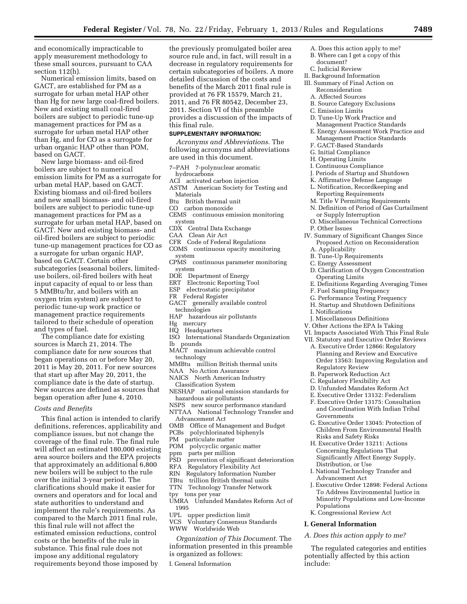and economically impracticable to apply measurement methodology to these small sources, pursuant to CAA section 112(h).

Numerical emission limits, based on GACT, are established for PM as a surrogate for urban metal HAP other than Hg for new large coal-fired boilers. New and existing small coal-fired boilers are subject to periodic tune-up management practices for PM as a surrogate for urban metal HAP other than Hg, and for CO as a surrogate for urban organic HAP other than POM, based on GACT.

New large biomass- and oil-fired boilers are subject to numerical emission limits for PM as a surrogate for urban metal HAP, based on GACT. Existing biomass and oil-fired boilers and new small biomass- and oil-fired boilers are subject to periodic tune-up management practices for PM as a surrogate for urban metal HAP, based on GACT. New and existing biomass- and oil-fired boilers are subject to periodic tune-up management practices for CO as a surrogate for urban organic HAP, based on GACT. Certain other subcategories (seasonal boilers, limiteduse boilers, oil-fired boilers with heat input capacity of equal to or less than 5 MMBtu/hr, and boilers with an oxygen trim system) are subject to periodic tune-up work practice or management practice requirements tailored to their schedule of operation and types of fuel.

The compliance date for existing sources is March 21, 2014. The compliance date for new sources that began operations on or before May 20, 2011 is May 20, 2011. For new sources that start up after May 20, 2011, the compliance date is the date of startup. New sources are defined as sources that began operation after June 4, 2010.

#### *Costs and Benefits*

This final action is intended to clarify definitions, references, applicability and compliance issues, but not change the coverage of the final rule. The final rule will affect an estimated 180,000 existing area source boilers and the EPA projects that approximately an additional 6,800 new boilers will be subject to the rule over the initial 3-year period. The clarifications should make it easier for owners and operators and for local and state authorities to understand and implement the rule's requirements. As compared to the March 2011 final rule, this final rule will not affect the estimated emission reductions, control costs or the benefits of the rule in substance. This final rule does not impose any additional regulatory requirements beyond those imposed by

the previously promulgated boiler area source rule and, in fact, will result in a decrease in regulatory requirements for certain subcategories of boilers. A more detailed discussion of the costs and benefits of the March 2011 final rule is provided at 76 FR 15579, March 21, 2011, and 76 FR 80542, December 23, 2011. Section VI of this preamble provides a discussion of the impacts of this final rule.

#### **SUPPLEMENTARY INFORMATION:**

*Acronyms and Abbreviations*. The following acronyms and abbreviations are used in this document.

- 7–PAH 7-polynuclear aromatic hydrocarbons
- ACI activated carbon injection
- ASTM American Society for Testing and Materials
- Btu British thermal unit
- CO carbon monoxide
- CEMS continuous emission monitoring system
- CDX Central Data Exchange
- CAA Clean Air Act
- CFR Code of Federal Regulations COMS continuous opacity monitoring
- system CPMS continuous parameter monitoring
- system
- DOE Department of Energy
- ERT Electronic Reporting Tool
- ESP electrostatic precipitator
- FR Federal Register
- GACT generally available control technologies
- HAP hazardous air pollutants
- Hg mercury
- HQ Headquarters
- ISO International Standards Organization lb pounds
- MACT maximum achievable control technology
- MMBtu million British thermal units
- NAA No Action Assurance
- NAICS North American Industry Classification System
- NESHAP national emission standards for hazardous air pollutants
- NSPS new source performance standard
- NTTAA National Technology Transfer and Advancement Act
- OMB Office of Management and Budget
- PCBs polychlorinated biphenyls
- PM particulate matter
- POM polycyclic organic matter
- ppm parts per million
- 
- PSD prevention of significant deterioration
- RFA Regulatory Flexibility Act
- Regulatory Information Number
- TBtu trillion British thermal units
- TTN Technology Transfer Network
- tpy tons per year
- UMRA Unfunded Mandates Reform Act of
- 1995<br>UPL ر upper prediction limit
- VCS Voluntary Consensus Standards WWW Worldwide Web

*Organization of This Document.* The information presented in this preamble is organized as follows:

I. General Information

- A. Does this action apply to me?
- B. Where can I get a copy of this
- document? C. Judicial Review
- 
- II. Background Information III. Summary of Final Action on
- Reconsideration
- A. Affected Sources
- B. Source Category Exclusions
- C. Emission Limits
- D. Tune-Up Work Practice and
- Management Practice Standards
- E. Energy Assessment Work Practice and Management Practice Standards
- F. GACT-Based Standards
- G. Initial Compliance
- H. Operating Limits
- I. Continuous Compliance
- J. Periods of Startup and Shutdown
- K. Affirmative Defense Language
- L. Notification, Recordkeeping and Reporting Requirements
- M. Title V Permitting Requirements
- N. Definition of Period of Gas Curtailment or Supply Interruption
- O. Miscellaneous Technical Corrections P. Other Issues
- IV. Summary of Significant Changes Since Proposed Action on Reconsideration A. Applicability
	- B. Tune-Up Requirements
	- C. Energy Assessment
	-
	- D. Clarification of Oxygen Concentration Operating Limits
	- E. Definitions Regarding Averaging Times
	- F. Fuel Sampling Frequency
	- G. Performance Testing Frequency
	- H. Startup and Shutdown Definitions
	- I. Notifications
- J. Miscellaneous Definitions
- V. Other Actions the EPA Is Taking
- VI. Impacts Associated With This Final Rule VII. Statutory and Executive Order Reviews
	- A. Executive Order 12866: Regulatory Planning and Review and Executive Order 13563: Improving Regulation and Regulatory Review
	- B. Paperwork Reduction Act
	- C. Regulatory Flexibility Act
	- D. Unfunded Mandates Reform Act
	- E. Executive Order 13132: Federalism
	- F. Executive Order 13175: Consultation and Coordination With Indian Tribal Governments
	- G. Executive Order 13045: Protection of Children From Environmental Health Risks and Safety Risks
	- H. Executive Order 13211: Actions Concerning Regulations That Significantly Affect Energy Supply, Distribution, or Use
	- I. National Technology Transfer and Advancement Act
	- J. Executive Order 12898: Federal Actions To Address Environmental Justice in Minority Populations and Low-Income Populations

The regulated categories and entities potentially affected by this action

K. Congressional Review Act

*A. Does this action apply to me?* 

**I. General Information** 

include: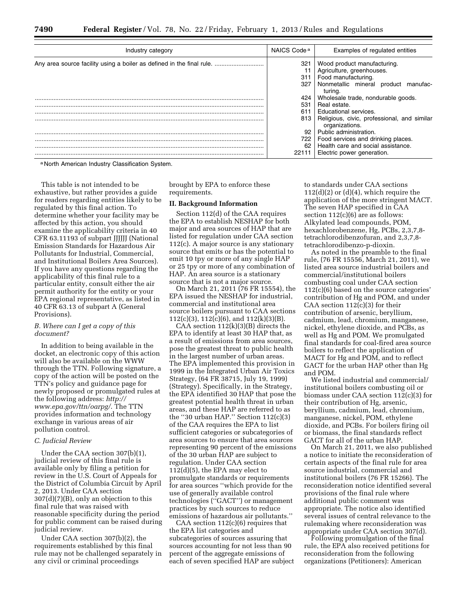| Industry category                                                     | NAICS Code <sup>a</sup> | Examples of regulated entities                                |  |  |  |
|-----------------------------------------------------------------------|-------------------------|---------------------------------------------------------------|--|--|--|
| Any area source facility using a boiler as defined in the final rule. | 321                     | Wood product manufacturing.                                   |  |  |  |
|                                                                       |                         | Agriculture, greenhouses.                                     |  |  |  |
|                                                                       | 311                     | Food manufacturing.                                           |  |  |  |
|                                                                       | 327                     | Nonmetallic mineral<br>manufac-<br>product<br>turing.         |  |  |  |
|                                                                       | 424                     | Wholesale trade, nondurable goods.                            |  |  |  |
|                                                                       | 531                     | Real estate.                                                  |  |  |  |
|                                                                       | 611                     | <b>Educational services</b>                                   |  |  |  |
|                                                                       | 813                     | Religious, civic, professional, and similar<br>organizations. |  |  |  |
|                                                                       | 92                      | Public administration.                                        |  |  |  |
|                                                                       | 722 I                   | Food services and drinking places.                            |  |  |  |
|                                                                       | 62                      | Health care and social assistance.                            |  |  |  |
|                                                                       | 22111                   | Electric power generation.                                    |  |  |  |

a North American Industry Classification System.

This table is not intended to be exhaustive, but rather provides a guide for readers regarding entities likely to be regulated by this final action. To determine whether your facility may be affected by this action, you should examine the applicability criteria in 40 CFR 63.11193 of subpart JJJJJJ (National Emission Standards for Hazardous Air Pollutants for Industrial, Commercial, and Institutional Boilers Area Sources). If you have any questions regarding the applicability of this final rule to a particular entity, consult either the air permit authority for the entity or your EPA regional representative, as listed in 40 CFR 63.13 of subpart A (General Provisions).

#### *B. Where can I get a copy of this document?*

In addition to being available in the docket, an electronic copy of this action will also be available on the WWW through the TTN. Following signature, a copy of the action will be posted on the TTN's policy and guidance page for newly proposed or promulgated rules at the following address: *[http://](http://www.epa.gov/ttn/oarpg/) [www.epa.gov/ttn/oarpg/](http://www.epa.gov/ttn/oarpg/)*. The TTN provides information and technology exchange in various areas of air pollution control.

#### *C. Judicial Review*

Under the CAA section 307(b)(1), judicial review of this final rule is available only by filing a petition for review in the U.S. Court of Appeals for the District of Columbia Circuit by April 2, 2013. Under CAA section  $307(d)(7)(B)$ , only an objection to this final rule that was raised with reasonable specificity during the period for public comment can be raised during judicial review.

Under CAA section 307(b)(2), the requirements established by this final rule may not be challenged separately in any civil or criminal proceedings

brought by EPA to enforce these requirements.

#### **II. Background Information**

Section 112(d) of the CAA requires the EPA to establish NESHAP for both major and area sources of HAP that are listed for regulation under CAA section 112(c). A major source is any stationary source that emits or has the potential to emit 10 tpy or more of any single HAP or 25 tpy or more of any combination of HAP. An area source is a stationary source that is not a major source.

On March 21, 2011 (76 FR 15554), the EPA issued the NESHAP for industrial, commercial and institutional area source boilers pursuant to CAA sections 112(c)(3), 112(c)(6), and 112(k)(3)(B).

CAA section  $112(k)(3)(B)$  directs the EPA to identify at least 30 HAP that, as a result of emissions from area sources, pose the greatest threat to public health in the largest number of urban areas. The EPA implemented this provision in 1999 in the Integrated Urban Air Toxics Strategy, (64 FR 38715, July 19, 1999) (Strategy). Specifically, in the Strategy, the EPA identified 30 HAP that pose the greatest potential health threat in urban areas, and these HAP are referred to as the ''30 urban HAP.'' Section 112(c)(3) of the CAA requires the EPA to list sufficient categories or subcategories of area sources to ensure that area sources representing 90 percent of the emissions of the 30 urban HAP are subject to regulation. Under CAA section 112(d)(5), the EPA may elect to promulgate standards or requirements for area sources ''which provide for the use of generally available control technologies (''GACT'') or management practices by such sources to reduce emissions of hazardous air pollutants.''

CAA section  $112(c)(6)$  requires that the EPA list categories and subcategories of sources assuring that sources accounting for not less than 90 percent of the aggregate emissions of each of seven specified HAP are subject

to standards under CAA sections  $112(d)(2)$  or  $(d)(4)$ , which require the application of the more stringent MACT. The seven HAP specified in CAA section  $112(c)(6)$  are as follows: Alkylated lead compounds, POM, hexachlorobenzene, Hg, PCBs, 2,3,7,8 tetrachlorodibenzofuran, and 2,3,7,8 tetrachlorodibenzo-p-dioxin.

As noted in the preamble to the final rule, (76 FR 15556, March 21, 2011), we listed area source industrial boilers and commercial/institutional boilers combusting coal under CAA section 112(c)(6) based on the source categories' contribution of Hg and POM, and under CAA section  $112(c)(3)$  for their contribution of arsenic, beryllium, cadmium, lead, chromium, manganese, nickel, ethylene dioxide, and PCBs, as well as Hg and POM. We promulgated final standards for coal-fired area source boilers to reflect the application of MACT for Hg and POM, and to reflect GACT for the urban HAP other than Hg and POM.

We listed industrial and commercial/ institutional boilers combusting oil or biomass under CAA section 112(c)(3) for their contribution of Hg, arsenic, beryllium, cadmium, lead, chromium, manganese, nickel, POM, ethylene dioxide, and PCBs. For boilers firing oil or biomass, the final standards reflect GACT for all of the urban HAP.

On March 21, 2011, we also published a notice to initiate the reconsideration of certain aspects of the final rule for area source industrial, commercial and institutional boilers (76 FR 15266). The reconsideration notice identified several provisions of the final rule where additional public comment was appropriate. The notice also identified several issues of central relevance to the rulemaking where reconsideration was appropriate under CAA section 307(d).

Following promulgation of the final rule, the EPA also received petitions for reconsideration from the following organizations (Petitioners): American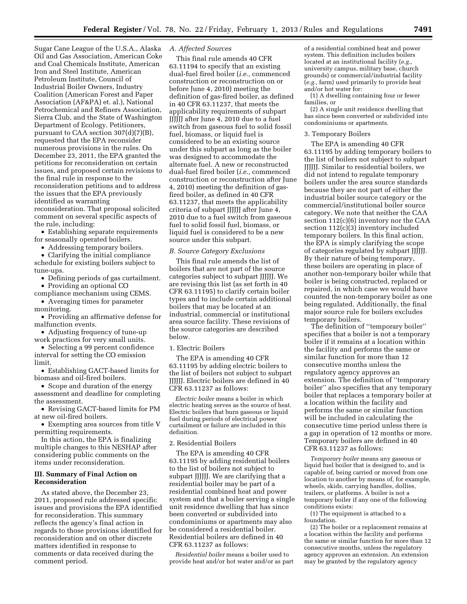Sugar Cane League of the U.S.A., Alaska Oil and Gas Association, American Coke and Coal Chemicals Institute, American Iron and Steel Institute, American Petroleum Institute, Council of Industrial Boiler Owners, Industry Coalition (American Forest and Paper Association (AF&PA) et. al.), National Petrochemical and Refiners Association, Sierra Club, and the State of Washington Department of Ecology. Petitioners, pursuant to CAA section 307(d)(7)(B), requested that the EPA reconsider numerous provisions in the rules. On December 23, 2011, the EPA granted the petitions for reconsideration on certain issues, and proposed certain revisions to the final rule in response to the reconsideration petitions and to address the issues that the EPA previously identified as warranting reconsideration. That proposal solicited comment on several specific aspects of the rule, including:

• Establishing separate requirements for seasonally operated boilers.

• Addressing temporary boilers.

• Clarifying the initial compliance schedule for existing boilers subject to tune-ups.

• Defining periods of gas curtailment.

• Providing an optional CO compliance mechanism using CEMS.

• Averaging times for parameter monitoring.

• Providing an affirmative defense for malfunction events.

• Adjusting frequency of tune-up work practices for very small units.

• Selecting a 99 percent confidence interval for setting the CO emission limit.

• Establishing GACT-based limits for biomass and oil-fired boilers.

• Scope and duration of the energy assessment and deadline for completing the assessment.

• Revising GACT-based limits for PM at new oil-fired boilers.

• Exempting area sources from title V permitting requirements.

In this action, the EPA is finalizing multiple changes to this NESHAP after considering public comments on the items under reconsideration.

#### **III. Summary of Final Action on Reconsideration**

As stated above, the December 23, 2011, proposed rule addressed specific issues and provisions the EPA identified for reconsideration. This summary reflects the agency's final action in regards to those provisions identified for reconsideration and on other discrete matters identified in response to comments or data received during the comment period.

#### *A. Affected Sources*

This final rule amends 40 CFR 63.11194 to specify that an existing dual-fuel fired boiler (*i.e.,* commenced construction or reconstruction on or before June 4, 2010) meeting the definition of gas-fired boiler, as defined in 40 CFR 63.11237, that meets the applicability requirements of subpart JJJJJJ after June 4, 2010 due to a fuel switch from gaseous fuel to solid fossil fuel, biomass, or liquid fuel is considered to be an existing source under this subpart as long as the boiler was designed to accommodate the alternate fuel. A new or reconstructed dual-fuel fired boiler (*i.e.,* commenced construction or reconstruction after June 4, 2010) meeting the definition of gasfired boiler, as defined in 40 CFR 63.11237, that meets the applicability criteria of subpart JJJJJJ after June 4, 2010 due to a fuel switch from gaseous fuel to solid fossil fuel, biomass, or liquid fuel is considered to be a new source under this subpart.

*B. Source Category Exclusions* 

This final rule amends the list of boilers that are not part of the source categories subject to subpart JJJJJJ. We are revising this list (as set forth in 40 CFR 63.11195) to clarify certain boiler types and to include certain additional boilers that may be located at an industrial, commercial or institutional area source facility. These revisions of the source categories are described below.

#### 1. Electric Boilers

The EPA is amending 40 CFR 63.11195 by adding electric boilers to the list of boilers not subject to subpart JJJJJJ. Electric boilers are defined in 40 CFR 63.11237 as follows:

*Electric boiler* means a boiler in which electric heating serves as the source of heat. Electric boilers that burn gaseous or liquid fuel during periods of electrical power curtailment or failure are included in this definition.

#### 2. Residential Boilers

The EPA is amending 40 CFR 63.11195 by adding residential boilers to the list of boilers not subject to subpart JJJJJJ. We are clarifying that a residential boiler may be part of a residential combined heat and power system and that a boiler serving a single unit residence dwelling that has since been converted or subdivided into condominiums or apartments may also be considered a residential boiler. Residential boilers are defined in 40 CFR 63.11237 as follows:

*Residential boiler* means a boiler used to provide heat and/or hot water and/or as part of a residential combined heat and power system. This definition includes boilers located at an institutional facility (*e.g.,*  university campus, military base, church grounds) or commercial/industrial facility (*e.g.,* farm) used primarily to provide heat and/or hot water for:

(1) A dwelling containing four or fewer families, or

(2) A single unit residence dwelling that has since been converted or subdivided into condominiums or apartments.

#### 3. Temporary Boilers

The EPA is amending 40 CFR 63.11195 by adding temporary boilers to the list of boilers not subject to subpart JJJJJJ. Similar to residential boilers, we did not intend to regulate temporary boilers under the area source standards because they are not part of either the industrial boiler source category or the commercial/institutional boiler source category. We note that neither the CAA section 112(c)(6) inventory nor the CAA section 112(c)(3) inventory included temporary boilers. In this final action, the EPA is simply clarifying the scope of categories regulated by subpart JJJJJJ. By their nature of being temporary, these boilers are operating in place of another non-temporary boiler while that boiler is being constructed, replaced or repaired, in which case we would have counted the non-temporary boiler as one being regulated. Additionally, the final major source rule for boilers excludes temporary boilers.

The definition of ''temporary boiler'' specifies that a boiler is not a temporary boiler if it remains at a location within the facility and performs the same or similar function for more than 12 consecutive months unless the regulatory agency approves an extension. The definition of ''temporary boiler'' also specifies that any temporary boiler that replaces a temporary boiler at a location within the facility and performs the same or similar function will be included in calculating the consecutive time period unless there is a gap in operation of 12 months or more. Temporary boilers are defined in 40 CFR 63.11237 as follows:

*Temporary boiler* means any gaseous or liquid fuel boiler that is designed to, and is capable of, being carried or moved from one location to another by means of, for example, wheels, skids, carrying handles, dollies, trailers, or platforms. A boiler is not a temporary boiler if any one of the following conditions exists:

(1) The equipment is attached to a foundation.

(2) The boiler or a replacement remains at a location within the facility and performs the same or similar function for more than 12 consecutive months, unless the regulatory agency approves an extension. An extension may be granted by the regulatory agency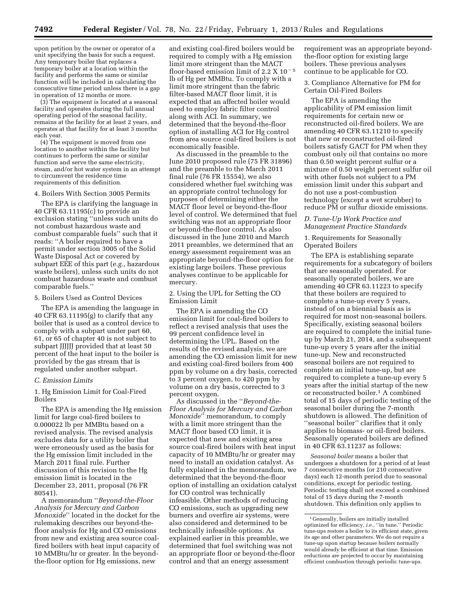upon petition by the owner or operator of a unit specifying the basis for such a request. Any temporary boiler that replaces a temporary boiler at a location within the facility and performs the same or similar function will be included in calculating the consecutive time period unless there is a gap in operation of 12 months or more.

(3) The equipment is located at a seasonal facility and operates during the full annual operating period of the seasonal facility, remains at the facility for at least 2 years, and operates at that facility for at least 3 months each year.

(4) The equipment is moved from one location to another within the facility but continues to perform the same or similar function and serve the same electricity, steam, and/or hot water system in an attempt to circumvent the residence time requirements of this definition.

#### 4. Boilers With Section 3005 Permits

The EPA is clarifying the language in 40 CFR 63.11195(c) to provide an exclusion stating ''unless such units do not combust hazardous waste and combust comparable fuels'' such that it reads: ''A boiler required to have a permit under section 3005 of the Solid Waste Disposal Act or covered by subpart EEE of this part (*e.g.,* hazardous waste boilers), unless such units do not combust hazardous waste and combust comparable fuels.''

5. Boilers Used as Control Devices

The EPA is amending the language in 40 CFR 63.11195(g) to clarify that any boiler that is used as a control device to comply with a subpart under part 60, 61, or 65 of chapter 40 is not subject to subpart JJJJJJ provided that at least 50 percent of the heat input to the boiler is provided by the gas stream that is regulated under another subpart.

#### *C. Emission Limits*

1. Hg Emission Limit for Coal-Fired Boilers

The EPA is amending the Hg emission limit for large coal-fired boilers to 0.000022 lb per MMBtu based on a revised analysis. The revised analysis excludes data for a utility boiler that were erroneously used as the basis for the Hg emission limit included in the March 2011 final rule. Further discussion of this revision to the Hg emission limit is located in the December 23, 2011, proposal (76 FR 80541).

A memorandum ''*Beyond-the-Floor Analysis for Mercury and Carbon Monoxide*'' located in the docket for the rulemaking describes our beyond-thefloor analysis for Hg and CO emissions from new and existing area source coalfired boilers with heat input capacity of 10 MMBtu/hr or greater. In the beyondthe-floor option for Hg emissions, new

and existing coal-fired boilers would be required to comply with a Hg emission limit more stringent than the MACT floor-based emission limit of 2.2 X  $10^{-5}$ lb of Hg per MMBtu. To comply with a limit more stringent than the fabric filter-based MACT floor limit, it is expected that an affected boiler would need to employ fabric filter control along with ACI. In summary, we determined that the beyond-the-floor option of installing ACI for Hg control from area source coal-fired boilers is not economically feasible.

As discussed in the preamble to the June 2010 proposed rule (75 FR 31896) and the preamble to the March 2011 final rule (76 FR 15554), we also considered whether fuel switching was an appropriate control technology for purposes of determining either the MACT floor level or beyond-the-floor level of control. We determined that fuel switching was not an appropriate floor or beyond-the-floor control. As also discussed in the June 2010 and March 2011 preambles, we determined that an energy assessment requirement was an appropriate beyond-the-floor option for existing large boilers. These previous analyses continue to be applicable for mercury.

2. Using the UPL for Setting the CO Emission Limit

The EPA is amending the CO emission limit for coal-fired boilers to reflect a revised analysis that uses the 99 percent confidence level in determining the UPL. Based on the results of the revised analysis, we are amending the CO emission limit for new and existing coal-fired boilers from 400 ppm by volume on a dry basis, corrected to 3 percent oxygen, to 420 ppm by volume on a dry basis, corrected to 3 percent oxygen.

As discussed in the ''*Beyond-the-Floor Analysis for Mercury and Carbon Monoxide*'' memorandum, to comply with a limit more stringent than the MACT floor based CO limit, it is expected that new and existing area source coal-fired boilers with heat input capacity of 10 MMBtu/hr or greater may need to install an oxidation catalyst. As fully explained in the memorandum, we determined that the beyond-the-floor option of installing an oxidation catalyst for CO control was technically infeasible. Other methods of reducing CO emissions, such as upgrading new burners and overfire air systems, were also considered and determined to be technically infeasible options. As explained earlier in this preamble, we determined that fuel switching was not an appropriate floor or beyond-the-floor control and that an energy assessment

requirement was an appropriate beyondthe-floor option for existing large boilers. These previous analyses continue to be applicable for CO.

3. Compliance Alternative for PM for Certain Oil-Fired Boilers

The EPA is amending the applicability of PM emission limit requirements for certain new or reconstructed oil-fired boilers. We are amending 40 CFR 63.11210 to specify that new or reconstructed oil-fired boilers satisfy GACT for PM when they combust only oil that contains no more than 0.50 weight percent sulfur or a mixture of 0.50 weight percent sulfur oil with other fuels not subject to a PM emission limit under this subpart and do not use a post-combustion technology (except a wet scrubber) to reduce PM or sulfur dioxide emissions.

#### *D. Tune-Up Work Practice and Management Practice Standards*

#### 1. Requirements for Seasonally Operated Boilers

The EPA is establishing separate requirements for a subcategory of boilers that are seasonally operated. For seasonally operated boilers, we are amending 40 CFR 63.11223 to specify that these boilers are required to complete a tune-up every 5 years, instead of on a biennial basis as is required for most non-seasonal boilers. Specifically, existing seasonal boilers are required to complete the initial tuneup by March 21, 2014, and a subsequent tune-up every 5 years after the initial tune-up. New and reconstructed seasonal boilers are not required to complete an initial tune-up, but are required to complete a tune-up every 5 years after the initial startup of the new or reconstructed boiler.1 A combined total of 15 days of periodic testing of the seasonal boiler during the 7-month shutdown is allowed. The definition of ''seasonal boiler'' clarifies that it only applies to biomass- or oil-fired boilers. Seasonally operated boilers are defined in 40 CFR 63.11237 as follows:

*Seasonal boiler* means a boiler that undergoes a shutdown for a period of at least 7 consecutive months (or 210 consecutive days) each 12-month period due to seasonal conditions, except for periodic testing. Periodic testing shall not exceed a combined total of 15 days during the 7-month shutdown. This definition only applies to

<sup>1</sup> Generally, boilers are initially installed optimized for efficiency, *i.e.*, ''in tune.'' Periodic tune-ups restore a boiler to its efficient state, given its age and other parameters. We do not require a tune-up upon startup because boilers normally would already be efficient at that time. Emission reductions are projected to occur by maintaining efficient combustion through periodic tune-ups.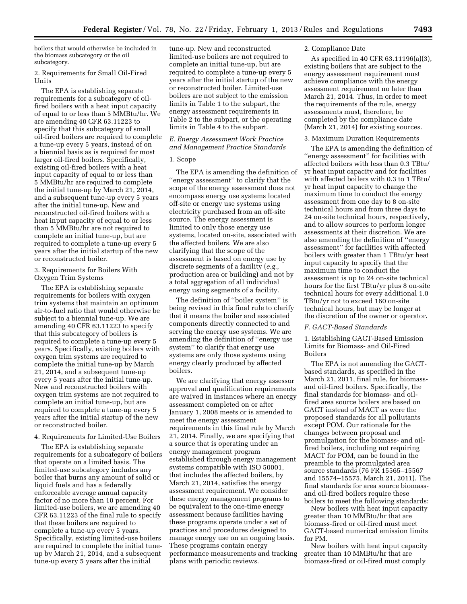boilers that would otherwise be included in the biomass subcategory or the oil subcategory.

2. Requirements for Small Oil-Fired Units

The EPA is establishing separate requirements for a subcategory of oilfired boilers with a heat input capacity of equal to or less than 5 MMBtu/hr. We are amending 40 CFR 63.11223 to specify that this subcategory of small oil-fired boilers are required to complete a tune-up every 5 years, instead of on a biennial basis as is required for most larger oil-fired boilers. Specifically, existing oil-fired boilers with a heat input capacity of equal to or less than 5 MMBtu/hr are required to complete the initial tune-up by March 21, 2014, and a subsequent tune-up every 5 years after the initial tune-up. New and reconstructed oil-fired boilers with a heat input capacity of equal to or less than 5 MMBtu/hr are not required to complete an initial tune-up, but are required to complete a tune-up every 5 years after the initial startup of the new or reconstructed boiler.

3. Requirements for Boilers With Oxygen Trim Systems

The EPA is establishing separate requirements for boilers with oxygen trim systems that maintain an optimum air-to-fuel ratio that would otherwise be subject to a biennial tune-up. We are amending 40 CFR 63.11223 to specify that this subcategory of boilers is required to complete a tune-up every 5 years. Specifically, existing boilers with oxygen trim systems are required to complete the initial tune-up by March 21, 2014, and a subsequent tune-up every 5 years after the initial tune-up. New and reconstructed boilers with oxygen trim systems are not required to complete an initial tune-up, but are required to complete a tune-up every 5 years after the initial startup of the new or reconstructed boiler.

4. Requirements for Limited-Use Boilers

The EPA is establishing separate requirements for a subcategory of boilers that operate on a limited basis. The limited-use subcategory includes any boiler that burns any amount of solid or liquid fuels and has a federally enforceable average annual capacity factor of no more than 10 percent. For limited-use boilers, we are amending 40 CFR 63.11223 of the final rule to specify that these boilers are required to complete a tune-up every 5 years. Specifically, existing limited-use boilers are required to complete the initial tuneup by March 21, 2014, and a subsequent tune-up every 5 years after the initial

tune-up. New and reconstructed limited-use boilers are not required to complete an initial tune-up, but are required to complete a tune-up every 5 years after the initial startup of the new or reconstructed boiler. Limited-use boilers are not subject to the emission limits in Table 1 to the subpart, the energy assessment requirements in Table 2 to the subpart, or the operating limits in Table 4 to the subpart.

*E. Energy Assessment Work Practice and Management Practice Standards* 

#### 1. Scope

The EPA is amending the definition of ''energy assessment'' to clarify that the scope of the energy assessment does not encompass energy use systems located off-site or energy use systems using electricity purchased from an off-site source. The energy assessment is limited to only those energy use systems, located on-site, associated with the affected boilers. We are also clarifying that the scope of the assessment is based on energy use by discrete segments of a facility (*e.g.,*  production area or building) and not by a total aggregation of all individual energy using segments of a facility.

The definition of ''boiler system'' is being revised in this final rule to clarify that it means the boiler and associated components directly connected to and serving the energy use systems. We are amending the definition of ''energy use system'' to clarify that energy use systems are only those systems using energy clearly produced by affected boilers.

We are clarifying that energy assessor approval and qualification requirements are waived in instances where an energy assessment completed on or after January 1, 2008 meets or is amended to meet the energy assessment requirements in this final rule by March 21, 2014. Finally, we are specifying that a source that is operating under an energy management program established through energy management systems compatible with ISO 50001, that includes the affected boilers, by March 21, 2014, satisfies the energy assessment requirement. We consider these energy management programs to be equivalent to the one-time energy assessment because facilities having these programs operate under a set of practices and procedures designed to manage energy use on an ongoing basis. These programs contain energy performance measurements and tracking plans with periodic reviews.

#### 2. Compliance Date

As specified in 40 CFR 63.11196(a)(3), existing boilers that are subject to the energy assessment requirement must achieve compliance with the energy assessment requirement no later than March 21, 2014. Thus, in order to meet the requirements of the rule, energy assessments must, therefore, be completed by the compliance date (March 21, 2014) for existing sources.

#### 3. Maximum Duration Requirements

The EPA is amending the definition of ''energy assessment'' for facilities with affected boilers with less than 0.3 TBtu/ yr heat input capacity and for facilities with affected boilers with 0.3 to 1 TBtu/ yr heat input capacity to change the maximum time to conduct the energy assessment from one day to 8 on-site technical hours and from three days to 24 on-site technical hours, respectively, and to allow sources to perform longer assessments at their discretion. We are also amending the definition of ''energy assessment'' for facilities with affected boilers with greater than 1 TBtu/yr heat input capacity to specify that the maximum time to conduct the assessment is up to 24 on-site technical hours for the first TBtu/yr plus 8 on-site technical hours for every additional 1.0 TBtu/yr not to exceed 160 on-site technical hours, but may be longer at the discretion of the owner or operator.

#### *F. GACT-Based Standards*

1. Establishing GACT-Based Emission Limits for Biomass- and Oil-Fired Boilers

The EPA is not amending the GACTbased standards, as specified in the March 21, 2011, final rule, for biomassand oil-fired boilers. Specifically, the final standards for biomass- and oilfired area source boilers are based on GACT instead of MACT as were the proposed standards for all pollutants except POM. Our rationale for the changes between proposal and promulgation for the biomass- and oilfired boilers, including not requiring MACT for POM, can be found in the preamble to the promulgated area source standards (76 FR 15565–15567 and 15574–15575, March 21, 2011). The final standards for area source biomassand oil-fired boilers require these boilers to meet the following standards:

New boilers with heat input capacity greater than 10 MMBtu/hr that are biomass-fired or oil-fired must meet GACT-based numerical emission limits for PM.

New boilers with heat input capacity greater than 10 MMBtu/hr that are biomass-fired or oil-fired must comply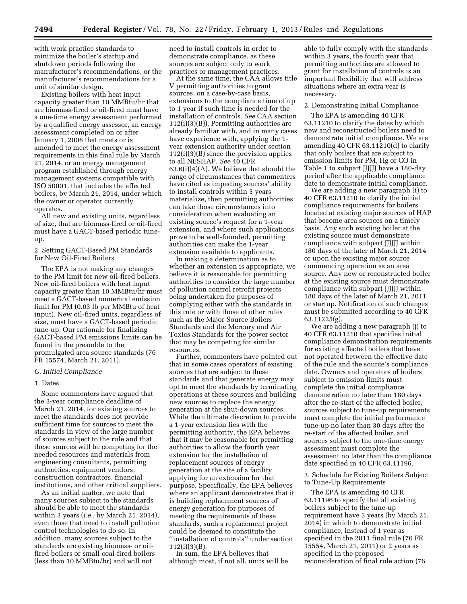with work practice standards to minimize the boiler's startup and shutdown periods following the manufacturer's recommendations, or the manufacturer's recommendations for a unit of similar design.

Existing boilers with heat input capacity greater than 10 MMBtu/hr that are biomass-fired or oil-fired must have a one-time energy assessment performed by a qualified energy assessor, an energy assessment completed on or after January 1, 2008 that meets or is amended to meet the energy assessment requirements in this final rule by March 21, 2014, or an energy management program established through energy management systems compatible with ISO 50001, that includes the affected boilers, by March 21, 2014, under which the owner or operator currently operates.

All new and existing units, regardless of size, that are biomass-fired or oil-fired must have a GACT-based periodic tuneup.

#### 2. Setting GACT-Based PM Standards for New Oil-Fired Boilers

The EPA is not making any changes to the PM limit for new oil-fired boilers. New oil-fired boilers with heat input capacity greater than 10 MMBtu/hr must meet a GACT-based numerical emission limit for PM (0.03 lb per MMBtu of heat input). New oil-fired units, regardless of size, must have a GACT-based periodic tune-up. Our rationale for finalizing GACT-based PM emissions limits can be found in the preamble to the promulgated area source standards (76 FR 15574, March 21, 2011).

#### *G. Initial Compliance*

#### 1. Dates

Some commenters have argued that the 3-year compliance deadline of March 21, 2014, for existing sources to meet the standards does not provide sufficient time for sources to meet the standards in view of the large number of sources subject to the rule and that these sources will be competing for the needed resources and materials from engineering consultants, permitting authorities, equipment vendors, construction contractors, financial institutions, and other critical suppliers.

As an initial matter, we note that many sources subject to the standards should be able to meet the standards within 3 years (*i.e.,* by March 21, 2014), even those that need to install pollution control technologies to do so. In addition, many sources subject to the standards are existing biomass- or oilfired boilers or small coal-fired boilers (less than 10 MMBtu/hr) and will not

need to install controls in order to demonstrate compliance, as these sources are subject only to work practices or management practices.

At the same time, the CAA allows title V permitting authorities to grant sources, on a case-by-case basis, extensions to the compliance time of up to 1 year if such time is needed for the installation of controls. *See* CAA section 112(i)(3)(B)). Permitting authorities are already familiar with, and in many cases have experience with, applying the 1 year extension authority under section 112(i)(3)(B) since the provision applies to all NESHAP. *See* 40 CFR 63.6(i)(4)(A). We believe that should the range of circumstances that commenters have cited as impeding sources' ability to install controls within 3 years materialize, then permitting authorities can take those circumstances into consideration when evaluating an existing source's request for a 1-year extension, and where such applications prove to be well-founded, permitting authorities can make the 1-year extension available to applicants.

In making a determination as to whether an extension is appropriate, we believe it is reasonable for permitting authorities to consider the large number of pollution control retrofit projects being undertaken for purposes of complying either with the standards in this rule or with those of other rules such as the Major Source Boilers Standards and the Mercury and Air Toxics Standards for the power sector that may be competing for similar resources.

Further, commenters have pointed out that in some cases operators of existing sources that are subject to these standards and that generate energy may opt to meet the standards by terminating operations at these sources and building new sources to replace the energy generation at the shut-down sources. While the ultimate discretion to provide a 1-year extension lies with the permitting authority, the EPA believes that it may be reasonable for permitting authorities to allow the fourth year extension for the installation of replacement sources of energy generation at the site of a facility applying for an extension for that purpose. Specifically, the EPA believes where an applicant demonstrates that it is building replacement sources of energy generation for purposes of meeting the requirements of these standards, such a replacement project could be deemed to constitute the ''installation of controls'' under section 112(i)(3)(B).

In sum, the EPA believes that although most, if not all, units will be

able to fully comply with the standards within 3 years, the fourth year that permitting authorities are allowed to grant for installation of controls is an important flexibility that will address situations where an extra year is necessary.

#### 2. Demonstrating Initial Compliance

The EPA is amending 40 CFR 63.11210 to clarify the dates by which new and reconstructed boilers need to demonstrate initial compliance. We are amending 40 CFR 63.11210(d) to clarify that only boilers that are subject to emission limits for PM, Hg or CO in Table 1 to subpart JJJJJJ have a 180-day period after the applicable compliance date to demonstrate initial compliance.

We are adding a new paragraph (i) to 40 CFR 63.11210 to clarify the initial compliance requirements for boilers located at existing major sources of HAP that become area sources on a timely basis. Any such existing boiler at the existing source must demonstrate compliance with subpart JJJJJJ within 180 days of the later of March 21, 2014 or upon the existing major source commencing operation as an area source. Any new or reconstructed boiler at the existing source must demonstrate compliance with subpart JJJJJJ within 180 days of the later of March 21, 2011 or startup. Notification of such changes must be submitted according to 40 CFR 63.11225(g).

We are adding a new paragraph (j) to 40 CFR 63.11210 that specifies initial compliance demonstration requirements for existing affected boilers that have not operated between the effective date of the rule and the source's compliance date. Owners and operators of boilers subject to emission limits must complete the initial compliance demonstration no later than 180 days after the re-start of the affected boiler, sources subject to tune-up requirements must complete the initial performance tune-up no later than 30 days after the re-start of the affected boiler, and sources subject to the one-time energy assessment must complete the assessment no later than the compliance date specified in 40 CFR 63.11196.

3. Schedule for Existing Boilers Subject to Tune-Up Requirements

The EPA is amending 40 CFR 63.11196 to specify that all existing boilers subject to the tune-up requirement have 3 years (by March 21, 2014) in which to demonstrate initial compliance, instead of 1 year as specified in the 2011 final rule (76 FR 15554, March 21, 2011) or 2 years as specified in the proposed reconsideration of final rule action (76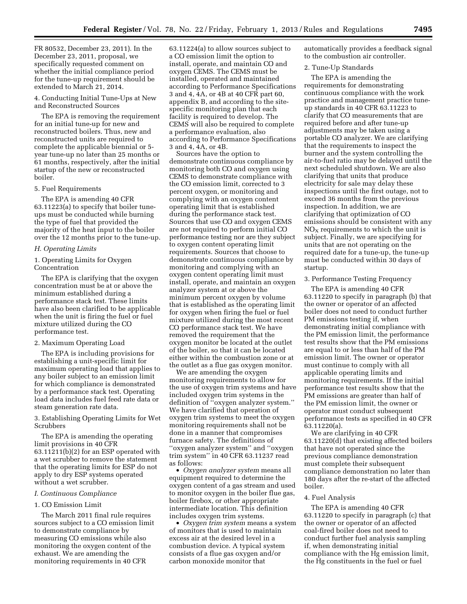FR 80532, December 23, 2011). In the December 23, 2011, proposal, we specifically requested comment on whether the initial compliance period for the tune-up requirement should be extended to March 21, 2014.

4. Conducting Initial Tune-Ups at New and Reconstructed Sources

The EPA is removing the requirement for an initial tune-up for new and reconstructed boilers. Thus, new and reconstructed units are required to complete the applicable biennial or 5 year tune-up no later than 25 months or 61 months, respectively, after the initial startup of the new or reconstructed boiler.

#### 5. Fuel Requirements

The EPA is amending 40 CFR 63.11223(a) to specify that boiler tuneups must be conducted while burning the type of fuel that provided the majority of the heat input to the boiler over the 12 months prior to the tune-up.

#### *H. Operating Limits*

1. Operating Limits for Oxygen Concentration

The EPA is clarifying that the oxygen concentration must be at or above the minimum established during a performance stack test. These limits have also been clarified to be applicable when the unit is firing the fuel or fuel mixture utilized during the CO performance test.

#### 2. Maximum Operating Load

The EPA is including provisions for establishing a unit-specific limit for maximum operating load that applies to any boiler subject to an emission limit for which compliance is demonstrated by a performance stack test. Operating load data includes fuel feed rate data or steam generation rate data.

3. Establishing Operating Limits for Wet Scrubbers

The EPA is amending the operating limit provisions in 40 CFR 63.11211(b)(2) for an ESP operated with a wet scrubber to remove the statement that the operating limits for ESP do not apply to dry ESP systems operated without a wet scrubber.

#### *I. Continuous Compliance*

#### 1. CO Emission Limit

The March 2011 final rule requires sources subject to a CO emission limit to demonstrate compliance by measuring CO emissions while also monitoring the oxygen content of the exhaust. We are amending the monitoring requirements in 40 CFR

63.11224(a) to allow sources subject to a CO emission limit the option to install, operate, and maintain CO and oxygen CEMS. The CEMS must be installed, operated and maintained according to Performance Specifications 3 and 4, 4A, or 4B at 40 CFR part 60, appendix B, and according to the sitespecific monitoring plan that each facility is required to develop. The CEMS will also be required to complete a performance evaluation, also according to Performance Specifications 3 and 4, 4A, or 4B.

Sources have the option to demonstrate continuous compliance by monitoring both CO and oxygen using CEMS to demonstrate compliance with the CO emission limit, corrected to 3 percent oxygen, or monitoring and complying with an oxygen content operating limit that is established during the performance stack test. Sources that use CO and oxygen CEMS are not required to perform initial CO performance testing nor are they subject to oxygen content operating limit requirements. Sources that choose to demonstrate continuous compliance by monitoring and complying with an oxygen content operating limit must install, operate, and maintain an oxygen analyzer system at or above the minimum percent oxygen by volume that is established as the operating limit for oxygen when firing the fuel or fuel mixture utilized during the most recent CO performance stack test. We have removed the requirement that the oxygen monitor be located at the outlet of the boiler, so that it can be located either within the combustion zone or at the outlet as a flue gas oxygen monitor.

We are amending the oxygen monitoring requirements to allow for the use of oxygen trim systems and have included oxygen trim systems in the definition of ''oxygen analyzer system.'' We have clarified that operation of oxygen trim systems to meet the oxygen monitoring requirements shall not be done in a manner that compromises furnace safety. The definitions of ''oxygen analyzer system'' and ''oxygen trim system'' in 40 CFR 63.11237 read as follows:

• *Oxygen analyzer system* means all equipment required to determine the oxygen content of a gas stream and used to monitor oxygen in the boiler flue gas, boiler firebox, or other appropriate intermediate location. This definition includes oxygen trim systems.

• *Oxygen trim system* means a system of monitors that is used to maintain excess air at the desired level in a combustion device. A typical system consists of a flue gas oxygen and/or carbon monoxide monitor that

automatically provides a feedback signal to the combustion air controller.

#### 2. Tune-Up Standards

The EPA is amending the requirements for demonstrating continuous compliance with the work practice and management practice tuneup standards in 40 CFR 63.11223 to clarify that CO measurements that are required before and after tune-up adjustments may be taken using a portable CO analyzer. We are clarifying that the requirements to inspect the burner and the system controlling the air-to-fuel ratio may be delayed until the next scheduled shutdown. We are also clarifying that units that produce electricity for sale may delay these inspections until the first outage, not to exceed 36 months from the previous inspection. In addition, we are clarifying that optimization of CO emissions should be consistent with any  $NO<sub>x</sub>$  requirements to which the unit is subject. Finally, we are specifying for units that are not operating on the required date for a tune-up, the tune-up must be conducted within 30 days of startup.

#### 3. Performance Testing Frequency

The EPA is amending 40 CFR 63.11220 to specify in paragraph (b) that the owner or operator of an affected boiler does not need to conduct further PM emissions testing if, when demonstrating initial compliance with the PM emission limit, the performance test results show that the PM emissions are equal to or less than half of the PM emission limit. The owner or operator must continue to comply with all applicable operating limits and monitoring requirements. If the initial performance test results show that the PM emissions are greater than half of the PM emission limit, the owner or operator must conduct subsequent performance tests as specified in 40 CFR 63.11220(a).

We are clarifying in 40 CFR 63.11220(d) that existing affected boilers that have not operated since the previous compliance demonstration must complete their subsequent compliance demonstration no later than 180 days after the re-start of the affected boiler.

#### 4. Fuel Analysis

The EPA is amending 40 CFR 63.11220 to specify in paragraph (c) that the owner or operator of an affected coal-fired boiler does not need to conduct further fuel analysis sampling if, when demonstrating initial compliance with the Hg emission limit, the Hg constituents in the fuel or fuel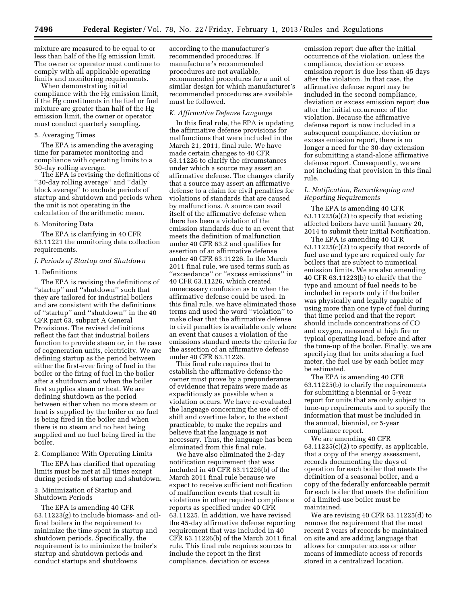mixture are measured to be equal to or less than half of the Hg emission limit. The owner or operator must continue to comply with all applicable operating limits and monitoring requirements.

When demonstrating initial compliance with the Hg emission limit, if the Hg constituents in the fuel or fuel mixture are greater than half of the Hg emission limit, the owner or operator must conduct quarterly sampling.

#### 5. Averaging Times

The EPA is amending the averaging time for parameter monitoring and compliance with operating limits to a 30-day rolling average.

The EPA is revising the definitions of ''30-day rolling average'' and ''daily block average'' to exclude periods of startup and shutdown and periods when the unit is not operating in the calculation of the arithmetic mean.

#### 6. Monitoring Data

The EPA is clarifying in 40 CFR 63.11221 the monitoring data collection requirements.

#### *J. Periods of Startup and Shutdown*

#### 1. Definitions

The EPA is revising the definitions of ''startup'' and ''shutdown'' such that they are tailored for industrial boilers and are consistent with the definitions of ''startup'' and ''shutdown'' in the 40 CFR part 63, subpart A General Provisions. The revised definitions reflect the fact that industrial boilers function to provide steam or, in the case of cogeneration units, electricity. We are defining startup as the period between either the first-ever firing of fuel in the boiler or the firing of fuel in the boiler after a shutdown and when the boiler first supplies steam or heat. We are defining shutdown as the period between either when no more steam or heat is supplied by the boiler or no fuel is being fired in the boiler and when there is no steam and no heat being supplied and no fuel being fired in the boiler.

#### 2. Compliance With Operating Limits

The EPA has clarified that operating limits must be met at all times except during periods of startup and shutdown.

#### 3. Minimization of Startup and Shutdown Periods

The EPA is amending 40 CFR 63.11223(g) to include biomass- and oilfired boilers in the requirement to minimize the time spent in startup and shutdown periods. Specifically, the requirement is to minimize the boiler's startup and shutdown periods and conduct startups and shutdowns

according to the manufacturer's recommended procedures. If manufacturer's recommended procedures are not available, recommended procedures for a unit of similar design for which manufacturer's recommended procedures are available must be followed.

#### *K. Affirmative Defense Language*

In this final rule, the EPA is updating the affirmative defense provisions for malfunctions that were included in the March 21, 2011, final rule. We have made certain changes to 40 CFR 63.11226 to clarify the circumstances under which a source may assert an affirmative defense. The changes clarify that a source may assert an affirmative defense to a claim for civil penalties for violations of standards that are caused by malfunctions. A source can avail itself of the affirmative defense when there has been a violation of the emission standards due to an event that meets the definition of malfunction under 40 CFR 63.2 and qualifies for assertion of an affirmative defense under 40 CFR 63.11226. In the March 2011 final rule, we used terms such as ''exceedance'' or ''excess emissions'' in 40 CFR 63.11226, which created unnecessary confusion as to when the affirmative defense could be used. In this final rule, we have eliminated those terms and used the word ''violation'' to make clear that the affirmative defense to civil penalties is available only where an event that causes a violation of the emissions standard meets the criteria for the assertion of an affirmative defense under 40 CFR 63.11226.

This final rule requires that to establish the affirmative defense the owner must prove by a preponderance of evidence that repairs were made as expeditiously as possible when a violation occurs. We have re-evaluated the language concerning the use of offshift and overtime labor, to the extent practicable, to make the repairs and believe that the language is not necessary. Thus, the language has been eliminated from this final rule.

We have also eliminated the 2-day notification requirement that was included in 40 CFR 63.11226(b) of the March 2011 final rule because we expect to receive sufficient notification of malfunction events that result in violations in other required compliance reports as specified under 40 CFR 63.11225. In addition, we have revised the 45-day affirmative defense reporting requirement that was included in 40 CFR 63.11226(b) of the March 2011 final rule. This final rule requires sources to include the report in the first compliance, deviation or excess

emission report due after the initial occurrence of the violation, unless the compliance, deviation or excess emission report is due less than 45 days after the violation. In that case, the affirmative defense report may be included in the second compliance, deviation or excess emission report due after the initial occurrence of the violation. Because the affirmative defense report is now included in a subsequent compliance, deviation or excess emission report, there is no longer a need for the 30-day extension for submitting a stand-alone affirmative defense report. Consequently, we are not including that provision in this final rule.

#### *L. Notification, Recordkeeping and Reporting Requirements*

The EPA is amending 40 CFR 63.11225(a)(2) to specify that existing affected boilers have until January 20, 2014 to submit their Initial Notification.

The EPA is amending 40 CFR  $63.11225(c)(2)$  to specify that records of fuel use and type are required only for boilers that are subject to numerical emission limits. We are also amending 40 CFR 63.11223(b) to clarify that the type and amount of fuel needs to be included in reports only if the boiler was physically and legally capable of using more than one type of fuel during that time period and that the report should include concentrations of CO and oxygen, measured at high fire or typical operating load, before and after the tune-up of the boiler. Finally, we are specifying that for units sharing a fuel meter, the fuel use by each boiler may be estimated.

The EPA is amending 40 CFR 63.11225(b) to clarify the requirements for submitting a biennial or 5-year report for units that are only subject to tune-up requirements and to specify the information that must be included in the annual, biennial, or 5-year compliance report.

We are amending 40 CFR  $63.11225(c)(2)$  to specify, as applicable, that a copy of the energy assessment, records documenting the days of operation for each boiler that meets the definition of a seasonal boiler, and a copy of the federally enforceable permit for each boiler that meets the definition of a limited-use boiler must be maintained.

We are revising 40 CFR 63.11225(d) to remove the requirement that the most recent 2 years of records be maintained on site and are adding language that allows for computer access or other means of immediate access of records stored in a centralized location.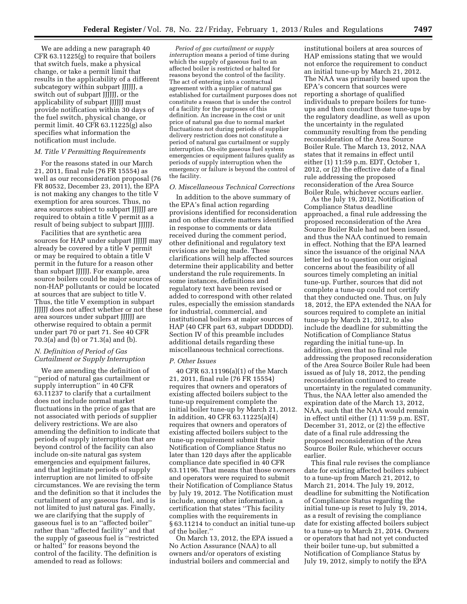We are adding a new paragraph 40 CFR 63.11225(g) to require that boilers that switch fuels, make a physical change, or take a permit limit that results in the applicability of a different subcategory within subpart JJJJJJ, a switch out of subpart JJJJJJ, or the applicability of subpart JJJJJJ must provide notification within 30 days of the fuel switch, physical change, or permit limit. 40 CFR 63.11225(g) also specifies what information the notification must include.

#### *M. Title V Permitting Requirements*

For the reasons stated in our March 21, 2011, final rule (76 FR 15554) as well as our reconsideration proposal (76 FR 80532, December 23, 2011), the EPA is not making any changes to the title V exemption for area sources. Thus, no area sources subject to subpart JJJJJJ are required to obtain a title V permit as a result of being subject to subpart JJJJJJ.

Facilities that are synthetic area sources for HAP under subpart JJJJJJ may already be covered by a title V permit or may be required to obtain a title V permit in the future for a reason other than subpart JJJJJJ. For example, area source boilers could be major sources of non-HAP pollutants or could be located at sources that are subject to title V. Thus, the title V exemption in subpart JJJJJJ does not affect whether or not these area sources under subpart JJJJJJ are otherwise required to obtain a permit under part 70 or part 71. See 40 CFR 70.3(a) and (b) or 71.3(a) and (b).

#### *N. Definition of Period of Gas Curtailment or Supply Interruption*

We are amending the definition of ''period of natural gas curtailment or supply interruption'' in 40 CFR 63.11237 to clarify that a curtailment does not include normal market fluctuations in the price of gas that are not associated with periods of supplier delivery restrictions. We are also amending the definition to indicate that periods of supply interruption that are beyond control of the facility can also include on-site natural gas system emergencies and equipment failures, and that legitimate periods of supply interruption are not limited to off-site circumstances. We are revising the term and the definition so that it includes the curtailment of any gaseous fuel, and is not limited to just natural gas. Finally, we are clarifying that the supply of gaseous fuel is to an ''affected boiler'' rather than ''affected facility'' and that the supply of gaseous fuel is ''restricted or halted'' for reasons beyond the control of the facility. The definition is amended to read as follows:

*Period of gas curtailment or supply interruption* means a period of time during which the supply of gaseous fuel to an affected boiler is restricted or halted for reasons beyond the control of the facility. The act of entering into a contractual agreement with a supplier of natural gas established for curtailment purposes does not constitute a reason that is under the control of a facility for the purposes of this definition. An increase in the cost or unit price of natural gas due to normal market fluctuations not during periods of supplier delivery restriction does not constitute a period of natural gas curtailment or supply interruption. On-site gaseous fuel system emergencies or equipment failures qualify as periods of supply interruption when the emergency or failure is beyond the control of the facility.

#### *O. Miscellaneous Technical Corrections*

In addition to the above summary of the EPA's final action regarding provisions identified for reconsideration and on other discrete matters identified in response to comments or data received during the comment period, other definitional and regulatory text revisions are being made. These clarifications will help affected sources determine their applicability and better understand the rule requirements. In some instances, definitions and regulatory text have been revised or added to correspond with other related rules, especially the emission standards for industrial, commercial, and institutional boilers at major sources of HAP (40 CFR part 63, subpart DDDDD). Section IV of this preamble includes additional details regarding these miscellaneous technical corrections.

#### *P. Other Issues*

40 CFR 63.11196(a)(1) of the March 21, 2011, final rule (76 FR 15554) requires that owners and operators of existing affected boilers subject to the tune-up requirement complete the initial boiler tune-up by March 21, 2012. In addition, 40 CFR 63.11225(a)(4) requires that owners and operators of existing affected boilers subject to the tune-up requirement submit their Notification of Compliance Status no later than 120 days after the applicable compliance date specified in 40 CFR 63.11196. That means that those owners and operators were required to submit their Notification of Compliance Status by July 19, 2012. The Notification must include, among other information, a certification that states ''This facility complies with the requirements in § 63.11214 to conduct an initial tune-up of the boiler.''

On March 13, 2012, the EPA issued a No Action Assurance (NAA) to all owners and/or operators of existing industrial boilers and commercial and

institutional boilers at area sources of HAP emissions stating that we would not enforce the requirement to conduct an initial tune-up by March 21, 2012. The NAA was primarily based upon the EPA's concern that sources were reporting a shortage of qualified individuals to prepare boilers for tuneups and then conduct those tune-ups by the regulatory deadline, as well as upon the uncertainty in the regulated community resulting from the pending reconsideration of the Area Source Boiler Rule. The March 13, 2012, NAA states that it remains in effect until either (1) 11:59 p.m. EDT, October 1, 2012, or (2) the effective date of a final rule addressing the proposed reconsideration of the Area Source Boiler Rule, whichever occurs earlier.

As the July 19, 2012, Notification of Compliance Status deadline approached, a final rule addressing the proposed reconsideration of the Area Source Boiler Rule had not been issued, and thus the NAA continued to remain in effect. Nothing that the EPA learned since the issuance of the original NAA letter led us to question our original concerns about the feasibility of all sources timely completing an initial tune-up. Further, sources that did not complete a tune-up could not certify that they conducted one. Thus, on July 18, 2012, the EPA extended the NAA for sources required to complete an initial tune-up by March 21, 2012, to also include the deadline for submitting the Notification of Compliance Status regarding the initial tune-up. In addition, given that no final rule addressing the proposed reconsideration of the Area Source Boiler Rule had been issued as of July 18, 2012, the pending reconsideration continued to create uncertainty in the regulated community. Thus, the NAA letter also amended the expiration date of the March 13, 2012, NAA, such that the NAA would remain in effect until either (1) 11:59 p.m. EST, December 31, 2012, or (2) the effective date of a final rule addressing the proposed reconsideration of the Area Source Boiler Rule, whichever occurs earlier.

This final rule revises the compliance date for existing affected boilers subject to a tune-up from March 21, 2012, to March 21, 2014. The July 19, 2012, deadline for submitting the Notification of Compliance Status regarding the initial tune-up is reset to July 19, 2014, as a result of revising the compliance date for existing affected boilers subject to a tune-up to March 21, 2014. Owners or operators that had not yet conducted their boiler tune-up, but submitted a Notification of Compliance Status by July 19, 2012, simply to notify the EPA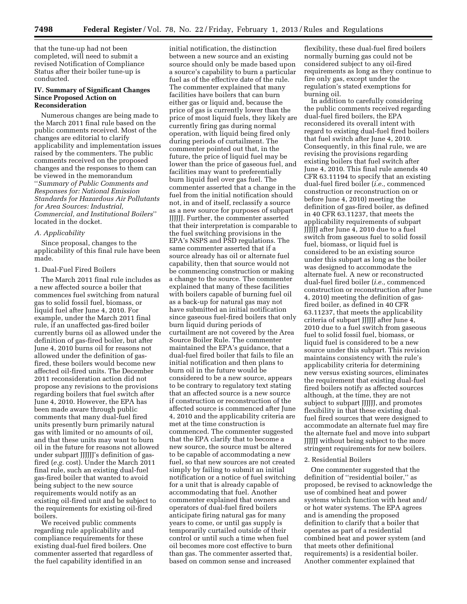that the tune-up had not been completed, will need to submit a revised Notification of Compliance Status after their boiler tune-up is conducted.

#### **IV. Summary of Significant Changes Since Proposed Action on Reconsideration**

Numerous changes are being made to the March 2011 final rule based on the public comments received. Most of the changes are editorial to clarify applicability and implementation issues raised by the commenters. The public comments received on the proposed changes and the responses to them can be viewed in the memorandum ''*Summary of Public Comments and Responses for: National Emission Standards for Hazardous Air Pollutants for Area Sources: Industrial, Commercial, and Institutional Boilers*'' located in the docket.

#### *A. Applicability*

Since proposal, changes to the applicability of this final rule have been made.

#### 1. Dual-Fuel Fired Boilers

The March 2011 final rule includes as a new affected source a boiler that commences fuel switching from natural gas to solid fossil fuel, biomass, or liquid fuel after June 4, 2010. For example, under the March 2011 final rule, if an unaffected gas-fired boiler currently burns oil as allowed under the definition of gas-fired boiler, but after June 4, 2010 burns oil for reasons not allowed under the definition of gasfired, these boilers would become new affected oil-fired units. The December 2011 reconsideration action did not propose any revisions to the provisions regarding boilers that fuel switch after June 4, 2010. However, the EPA has been made aware through public comments that many dual-fuel fired units presently burn primarily natural gas with limited or no amounts of oil, and that these units may want to burn oil in the future for reasons not allowed under subpart JJJJJJ's definition of gasfired (*e.g.* cost). Under the March 2011 final rule, such an existing dual-fuel gas-fired boiler that wanted to avoid being subject to the new source requirements would notify as an existing oil-fired unit and be subject to the requirements for existing oil-fired boilers.

We received public comments regarding rule applicability and compliance requirements for these existing dual-fuel fired boilers. One commenter asserted that regardless of the fuel capability identified in an

initial notification, the distinction between a new source and an existing source should only be made based upon a source's capability to burn a particular fuel as of the effective date of the rule. The commenter explained that many facilities have boilers that can burn either gas or liquid and, because the price of gas is currently lower than the price of most liquid fuels, they likely are currently firing gas during normal operation, with liquid being fired only during periods of curtailment. The commenter pointed out that, in the future, the price of liquid fuel may be lower than the price of gaseous fuel, and facilities may want to preferentially burn liquid fuel over gas fuel. The commenter asserted that a change in the fuel from the initial notification should not, in and of itself, reclassify a source as a new source for purposes of subpart JJJJJJ. Further, the commenter asserted that their interpretation is comparable to the fuel switching provisions in the EPA's NSPS and PSD regulations. The same commenter asserted that if a source already has oil or alternate fuel capability, then that source would not be commencing construction or making a change to the source. The commenter explained that many of these facilities with boilers capable of burning fuel oil as a back-up for natural gas may not have submitted an initial notification since gaseous fuel-fired boilers that only burn liquid during periods of curtailment are not covered by the Area Source Boiler Rule. The commenter maintained the EPA's guidance, that a dual-fuel fired boiler that fails to file an initial notification and then plans to burn oil in the future would be considered to be a new source, appears to be contrary to regulatory text stating that an affected source is a new source if construction or reconstruction of the affected source is commenced after June 4, 2010 and the applicability criteria are met at the time construction is commenced. The commenter suggested that the EPA clarify that to become a new source, the source must be altered to be capable of accommodating a new fuel, so that new sources are not created simply by failing to submit an initial notification or a notice of fuel switching for a unit that is already capable of accommodating that fuel. Another commenter explained that owners and operators of dual-fuel fired boilers anticipate firing natural gas for many years to come, or until gas supply is temporarily curtailed outside of their control or until such a time when fuel oil becomes more cost effective to burn than gas. The commenter asserted that, based on common sense and increased

flexibility, these dual-fuel fired boilers normally burning gas could not be considered subject to any oil-fired requirements as long as they continue to fire only gas, except under the regulation's stated exemptions for burning oil.

In addition to carefully considering the public comments received regarding dual-fuel fired boilers, the EPA reconsidered its overall intent with regard to existing dual-fuel fired boilers that fuel switch after June 4, 2010. Consequently, in this final rule, we are revising the provisions regarding existing boilers that fuel switch after June 4, 2010. This final rule amends 40 CFR 63.11194 to specify that an existing dual-fuel fired boiler (*i.e.,* commenced construction or reconstruction on or before June 4, 2010) meeting the definition of gas-fired boiler, as defined in 40 CFR 63.11237, that meets the applicability requirements of subpart JJJJJJ after June 4, 2010 due to a fuel switch from gaseous fuel to solid fossil fuel, biomass, or liquid fuel is considered to be an existing source under this subpart as long as the boiler was designed to accommodate the alternate fuel. A new or reconstructed dual-fuel fired boiler (*i.e.,* commenced construction or reconstruction after June 4, 2010) meeting the definition of gasfired boiler, as defined in 40 CFR 63.11237, that meets the applicability criteria of subpart JJJJJJ after June 4, 2010 due to a fuel switch from gaseous fuel to solid fossil fuel, biomass, or liquid fuel is considered to be a new source under this subpart. This revision maintains consistency with the rule's applicability criteria for determining new versus existing sources, eliminates the requirement that existing dual-fuel fired boilers notify as affected sources although, at the time, they are not subject to subpart JJJJJJ, and promotes flexibility in that these existing dualfuel fired sources that were designed to accommodate an alternate fuel may fire the alternate fuel and move into subpart JJJJJJ without being subject to the more stringent requirements for new boilers.

#### 2. Residential Boilers

One commenter suggested that the definition of ''residential boiler,'' as proposed, be revised to acknowledge the use of combined heat and power systems which function with heat and/ or hot water systems. The EPA agrees and is amending the proposed definition to clarify that a boiler that operates as part of a residential combined heat and power system (and that meets other definitional requirements) is a residential boiler. Another commenter explained that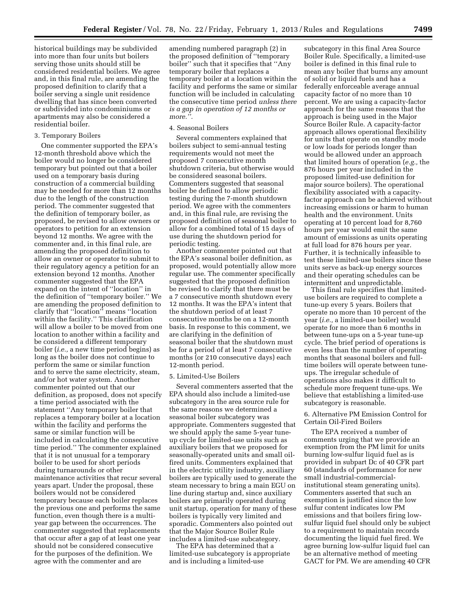historical buildings may be subdivided into more than four units but boilers serving those units should still be considered residential boilers. We agree and, in this final rule, are amending the proposed definition to clarify that a boiler serving a single unit residence dwelling that has since been converted or subdivided into condominiums or apartments may also be considered a residential boiler.

#### 3. Temporary Boilers

One commenter supported the EPA's 12-month threshold above which the boiler would no longer be considered temporary but pointed out that a boiler used on a temporary basis during construction of a commercial building may be needed for more than 12 months due to the length of the construction period. The commenter suggested that the definition of temporary boiler, as proposed, be revised to allow owners or operators to petition for an extension beyond 12 months. We agree with the commenter and, in this final rule, are amending the proposed definition to allow an owner or operator to submit to their regulatory agency a petition for an extension beyond 12 months. Another commenter suggested that the EPA expand on the intent of ''location'' in the definition of ''temporary boiler.'' We are amending the proposed definition to clarify that ''location'' means ''location within the facility.'' This clarification will allow a boiler to be moved from one location to another within a facility and be considered a different temporary boiler (*i.e.,* a new time period begins) as long as the boiler does not continue to perform the same or similar function and to serve the same electricity, steam, and/or hot water system. Another commenter pointed out that our definition, as proposed, does not specify a time period associated with the statement ''Any temporary boiler that replaces a temporary boiler at a location within the facility and performs the same or similar function will be included in calculating the consecutive time period.'' The commenter explained that it is not unusual for a temporary boiler to be used for short periods during turnarounds or other maintenance activities that recur several years apart. Under the proposal, these boilers would not be considered temporary because each boiler replaces the previous one and performs the same function, even though there is a multiyear gap between the occurrences. The commenter suggested that replacements that occur after a gap of at least one year should not be considered consecutive for the purposes of the definition. We agree with the commenter and are

amending numbered paragraph (2) in the proposed definition of ''temporary boiler'' such that it specifies that ''Any temporary boiler that replaces a temporary boiler at a location within the facility and performs the same or similar function will be included in calculating the consecutive time period *unless there is a gap in operation of 12 months or more.''.* 

#### 4. Seasonal Boilers

Several commenters explained that boilers subject to semi-annual testing requirements would not meet the proposed 7 consecutive month shutdown criteria, but otherwise would be considered seasonal boilers. Commenters suggested that seasonal boiler be defined to allow periodic testing during the 7-month shutdown period. We agree with the commenters and, in this final rule, are revising the proposed definition of seasonal boiler to allow for a combined total of 15 days of use during the shutdown period for periodic testing.

Another commenter pointed out that the EPA's seasonal boiler definition, as proposed, would potentially allow more regular use. The commenter specifically suggested that the proposed definition be revised to clarify that there must be a 7 consecutive month shutdown every 12 months. It was the EPA's intent that the shutdown period of at least 7 consecutive months be on a 12-month basis. In response to this comment, we are clarifying in the definition of seasonal boiler that the shutdown must be for a period of at least 7 consecutive months (or 210 consecutive days) each 12-month period.

#### 5. Limited-Use Boilers

Several commenters asserted that the EPA should also include a limited-use subcategory in the area source rule for the same reasons we determined a seasonal boiler subcategory was appropriate. Commenters suggested that we should apply the same 5-year tuneup cycle for limited-use units such as auxiliary boilers that we proposed for seasonally-operated units and small oilfired units. Commenters explained that in the electric utility industry, auxiliary boilers are typically used to generate the steam necessary to bring a main EGU on line during startup and, since auxiliary boilers are primarily operated during unit startup, operation for many of these boilers is typically very limited and sporadic. Commenters also pointed out that the Major Source Boiler Rule includes a limited-use subcategory.

The EPA has determined that a limited-use subcategory is appropriate and is including a limited-use

subcategory in this final Area Source Boiler Rule. Specifically, a limited-use boiler is defined in this final rule to mean any boiler that burns any amount of solid or liquid fuels and has a federally enforceable average annual capacity factor of no more than 10 percent. We are using a capacity-factor approach for the same reasons that the approach is being used in the Major Source Boiler Rule. A capacity-factor approach allows operational flexibility for units that operate on standby mode or low loads for periods longer than would be allowed under an approach that limited hours of operation (*e.g.,* the 876 hours per year included in the proposed limited-use definition for major source boilers). The operational flexibility associated with a capacityfactor approach can be achieved without increasing emissions or harm to human health and the environment. Units operating at 10 percent load for 8,760 hours per year would emit the same amount of emissions as units operating at full load for 876 hours per year. Further, it is technically infeasible to test these limited-use boilers since these units serve as back-up energy sources and their operating schedules can be intermittent and unpredictable.

This final rule specifies that limiteduse boilers are required to complete a tune-up every 5 years. Boilers that operate no more than 10 percent of the year (*i.e.,* a limited-use boiler) would operate for no more than 6 months in between tune-ups on a 5-year tune-up cycle. The brief period of operations is even less than the number of operating months that seasonal boilers and fulltime boilers will operate between tuneups. The irregular schedule of operations also makes it difficult to schedule more frequent tune-ups. We believe that establishing a limited-use subcategory is reasonable.

#### 6. Alternative PM Emission Control for Certain Oil-Fired Boilers

The EPA received a number of comments urging that we provide an exemption from the PM limit for units burning low-sulfur liquid fuel as is provided in subpart Dc of 40 CFR part 60 (standards of performance for new small industrial-commercialinstitutional steam generating units). Commenters asserted that such an exemption is justified since the low sulfur content indicates low PM emissions and that boilers firing lowsulfur liquid fuel should only be subject to a requirement to maintain records documenting the liquid fuel fired. We agree burning low-sulfur liquid fuel can be an alternative method of meeting GACT for PM. We are amending 40 CFR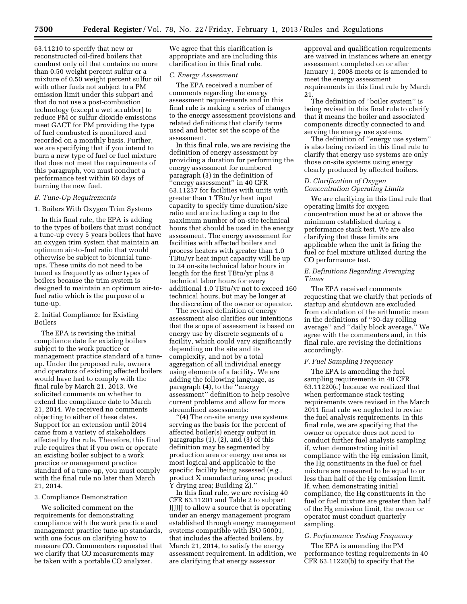63.11210 to specify that new or reconstructed oil-fired boilers that combust only oil that contains no more than 0.50 weight percent sulfur or a mixture of 0.50 weight percent sulfur oil with other fuels not subject to a PM emission limit under this subpart and that do not use a post-combustion technology (except a wet scrubber) to reduce PM or sulfur dioxide emissions meet GACT for PM providing the type of fuel combusted is monitored and recorded on a monthly basis. Further, we are specifying that if you intend to burn a new type of fuel or fuel mixture that does not meet the requirements of this paragraph, you must conduct a performance test within 60 days of burning the new fuel.

#### *B. Tune-Up Requirements*

1. Boilers With Oxygen Trim Systems

In this final rule, the EPA is adding to the types of boilers that must conduct a tune-up every 5 years boilers that have an oxygen trim system that maintain an optimum air-to-fuel ratio that would otherwise be subject to biennial tuneups. These units do not need to be tuned as frequently as other types of boilers because the trim system is designed to maintain an optimum air-tofuel ratio which is the purpose of a tune-up.

#### 2. Initial Compliance for Existing Boilers

The EPA is revising the initial compliance date for existing boilers subject to the work practice or management practice standard of a tuneup. Under the proposed rule, owners and operators of existing affected boilers would have had to comply with the final rule by March 21, 2013. We solicited comments on whether to extend the compliance date to March 21, 2014. We received no comments objecting to either of these dates. Support for an extension until 2014 came from a variety of stakeholders affected by the rule. Therefore, this final rule requires that if you own or operate an existing boiler subject to a work practice or management practice standard of a tune-up, you must comply with the final rule no later than March 21, 2014.

#### 3. Compliance Demonstration

We solicited comment on the requirements for demonstrating compliance with the work practice and management practice tune-up standards, with one focus on clarifying how to measure CO. Commenters requested that we clarify that CO measurements may be taken with a portable CO analyzer.

We agree that this clarification is appropriate and are including this clarification in this final rule.

#### *C. Energy Assessment*

The EPA received a number of comments regarding the energy assessment requirements and in this final rule is making a series of changes to the energy assessment provisions and related definitions that clarify terms used and better set the scope of the assessment.

In this final rule, we are revising the definition of energy assessment by providing a duration for performing the energy assessment for numbered paragraph (3) in the definition of ''energy assessment'' in 40 CFR 63.11237 for facilities with units with greater than 1 TBtu/yr heat input capacity to specify time duration/size ratio and are including a cap to the maximum number of on-site technical hours that should be used in the energy assessment. The energy assessment for facilities with affected boilers and process heaters with greater than 1.0 TBtu/yr heat input capacity will be up to 24 on-site technical labor hours in length for the first TBtu/yr plus 8 technical labor hours for every additional 1.0 TBtu/yr not to exceed 160 technical hours, but may be longer at the discretion of the owner or operator.

The revised definition of energy assessment also clarifies our intentions that the scope of assessment is based on energy use by discrete segments of a facility, which could vary significantly depending on the site and its complexity, and not by a total aggregation of all individual energy using elements of a facility. We are adding the following language, as paragraph (4), to the ''energy assessment'' definition to help resolve current problems and allow for more streamlined assessments:

''(4) The on-site energy use systems serving as the basis for the percent of affected boiler(s) energy output in paragraphs (1), (2), and (3) of this definition may be segmented by production area or energy use area as most logical and applicable to the specific facility being assessed (*e.g.,*  product X manufacturing area; product Y drying area; Building Z).''

In this final rule, we are revising 40 CFR 63.11201 and Table 2 to subpart JJJJJJ to allow a source that is operating under an energy management program established through energy management systems compatible with ISO 50001, that includes the affected boilers, by March 21, 2014, to satisfy the energy assessment requirement. In addition, we are clarifying that energy assessor

approval and qualification requirements are waived in instances where an energy assessment completed on or after January 1, 2008 meets or is amended to meet the energy assessment requirements in this final rule by March 21.

The definition of ''boiler system'' is being revised in this final rule to clarify that it means the boiler and associated components directly connected to and serving the energy use systems.

The definition of ''energy use system'' is also being revised in this final rule to clarify that energy use systems are only those on-site systems using energy clearly produced by affected boilers.

#### *D. Clarification of Oxygen Concentration Operating Limits*

We are clarifying in this final rule that operating limits for oxygen concentration must be at or above the minimum established during a performance stack test. We are also clarifying that these limits are applicable when the unit is firing the fuel or fuel mixture utilized during the CO performance test.

#### *E. Definitions Regarding Averaging Times*

The EPA received comments requesting that we clarify that periods of startup and shutdown are excluded from calculation of the arithmetic mean in the definitions of ''30-day rolling average'' and ''daily block average.'' We agree with the commenters and, in this final rule, are revising the definitions accordingly.

#### *F. Fuel Sampling Frequency*

The EPA is amending the fuel sampling requirements in 40 CFR 63.11220(c) because we realized that when performance stack testing requirements were revised in the March 2011 final rule we neglected to revise the fuel analysis requirements. In this final rule, we are specifying that the owner or operator does not need to conduct further fuel analysis sampling if, when demonstrating initial compliance with the Hg emission limit, the Hg constituents in the fuel or fuel mixture are measured to be equal to or less than half of the Hg emission limit. If, when demonstrating initial compliance, the Hg constituents in the fuel or fuel mixture are greater than half of the Hg emission limit, the owner or operator must conduct quarterly sampling.

#### *G. Performance Testing Frequency*

The EPA is amending the PM performance testing requirements in 40 CFR 63.11220(b) to specify that the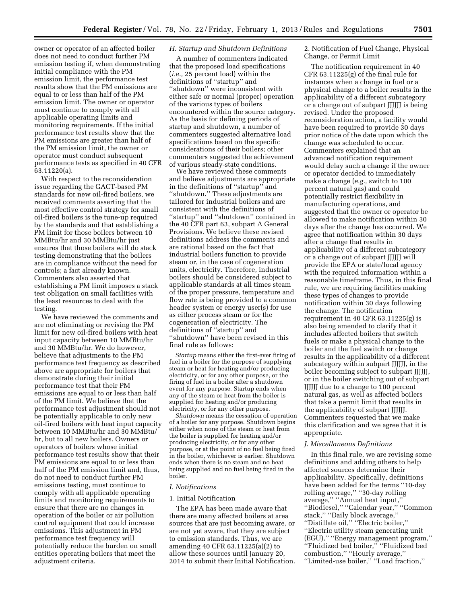owner or operator of an affected boiler does not need to conduct further PM emission testing if, when demonstrating initial compliance with the PM emission limit, the performance test results show that the PM emissions are equal to or less than half of the PM emission limit. The owner or operator must continue to comply with all applicable operating limits and monitoring requirements. If the initial performance test results show that the PM emissions are greater than half of the PM emission limit, the owner or operator must conduct subsequent performance tests as specified in 40 CFR 63.11220(a).

With respect to the reconsideration issue regarding the GACT-based PM standards for new oil-fired boilers, we received comments asserting that the most effective control strategy for small oil-fired boilers is the tune-up required by the standards and that establishing a PM limit for those boilers between 10 MMBtu/hr and 30 MMBtu/hr just ensures that those boilers will do stack testing demonstrating that the boilers are in compliance without the need for controls; a fact already known. Commenters also asserted that establishing a PM limit imposes a stack test obligation on small facilities with the least resources to deal with the testing.

We have reviewed the comments and are not eliminating or revising the PM limit for new oil-fired boilers with heat input capacity between 10 MMBtu/hr and 30 MMBtu/hr. We do however, believe that adjustments to the PM performance test frequency as described above are appropriate for boilers that demonstrate during their initial performance test that their PM emissions are equal to or less than half of the PM limit. We believe that the performance test adjustment should not be potentially applicable to only new oil-fired boilers with heat input capacity between 10 MMBtu/hr and 30 MMBtu/ hr, but to all new boilers. Owners or operators of boilers whose initial performance test results show that their PM emissions are equal to or less than half of the PM emission limit and, thus, do not need to conduct further PM emissions testing, must continue to comply with all applicable operating limits and monitoring requirements to ensure that there are no changes in operation of the boiler or air pollution control equipment that could increase emissions. This adjustment in PM performance test frequency will potentially reduce the burden on small entities operating boilers that meet the adjustment criteria.

#### *H. Startup and Shutdown Definitions*

A number of commenters indicated that the proposed load specifications (*i.e.,* 25 percent load) within the definitions of ''startup'' and ''shutdown'' were inconsistent with either safe or normal (proper) operation of the various types of boilers encountered within the source category. As the basis for defining periods of startup and shutdown, a number of commenters suggested alternative load specifications based on the specific considerations of their boilers; other commenters suggested the achievement of various steady-state conditions.

We have reviewed these comments and believe adjustments are appropriate in the definitions of ''startup'' and ''shutdown.'' These adjustments are tailored for industrial boilers and are consistent with the definitions of ''startup'' and ''shutdown'' contained in the 40 CFR part 63, subpart A General Provisions. We believe these revised definitions address the comments and are rational based on the fact that industrial boilers function to provide steam or, in the case of cogeneration units, electricity. Therefore, industrial boilers should be considered subject to applicable standards at all times steam of the proper pressure, temperature and flow rate is being provided to a common header system or energy user(s) for use as either process steam or for the cogeneration of electricity. The definitions of ''startup'' and ''shutdown'' have been revised in this final rule as follows:

*Startup* means either the first-ever firing of fuel in a boiler for the purpose of supplying steam or heat for heating and/or producing electricity, or for any other purpose, or the firing of fuel in a boiler after a shutdown event for any purpose. Startup ends when any of the steam or heat from the boiler is supplied for heating and/or producing electricity, or for any other purpose.

*Shutdown* means the cessation of operation of a boiler for any purpose. Shutdown begins either when none of the steam or heat from the boiler is supplied for heating and/or producing electricity, or for any other purpose, or at the point of no fuel being fired in the boiler, whichever is earlier. Shutdown ends when there is no steam and no heat being supplied and no fuel being fired in the boiler.

#### *I. Notifications*

#### 1. Initial Notification

The EPA has been made aware that there are many affected boilers at area sources that are just becoming aware, or are not yet aware, that they are subject to emission standards. Thus, we are amending 40 CFR 63.11225(a)(2) to allow these sources until January 20, 2014 to submit their Initial Notification.

2. Notification of Fuel Change, Physical Change, or Permit Limit

The notification requirement in 40 CFR 63.11225(g) of the final rule for instances when a change in fuel or a physical change to a boiler results in the applicability of a different subcategory or a change out of subpart JJJJJJ is being revised. Under the proposed reconsideration action, a facility would have been required to provide 30 days prior notice of the date upon which the change was scheduled to occur. Commenters explained that an advanced notification requirement would delay such a change if the owner or operator decided to immediately make a change (*e.g.,* switch to 100 percent natural gas) and could potentially restrict flexibility in manufacturing operations, and suggested that the owner or operator be allowed to make notification within 30 days after the change has occurred. We agree that notification within 30 days after a change that results in applicability of a different subcategory or a change out of subpart JJJJJJ will provide the EPA or state/local agency with the required information within a reasonable timeframe. Thus, in this final rule, we are requiring facilities making these types of changes to provide notification within 30 days following the change. The notification requirement in 40 CFR 63.11225(g) is also being amended to clarify that it includes affected boilers that switch fuels or make a physical change to the boiler and the fuel switch or change results in the applicability of a different subcategory within subpart JJJJJJ, in the boiler becoming subject to subpart JJJJJJ, or in the boiler switching out of subpart JJJJJJ due to a change to 100 percent natural gas, as well as affected boilers that take a permit limit that results in the applicability of subpart JJJJJJ. Commenters requested that we make this clarification and we agree that it is appropriate.

#### *J. Miscellaneous Definitions*

In this final rule, we are revising some definitions and adding others to help affected sources determine their applicability. Specifically, definitions have been added for the terms ''10-day rolling average,'' ''30-day rolling average,'' ''Annual heat input,'' ''Biodiesel,'' ''Calendar year,'' ''Common stack,'' ''Daily block average,'' ''Distillate oil,'' ''Electric boiler,'' ''Electric utility steam generating unit (EGU),'' ''Energy management program,'' ''Fluidized bed boiler,'' ''Fluidized bed combustion,'' ''Hourly average,'' ''Limited-use boiler,'' ''Load fraction,''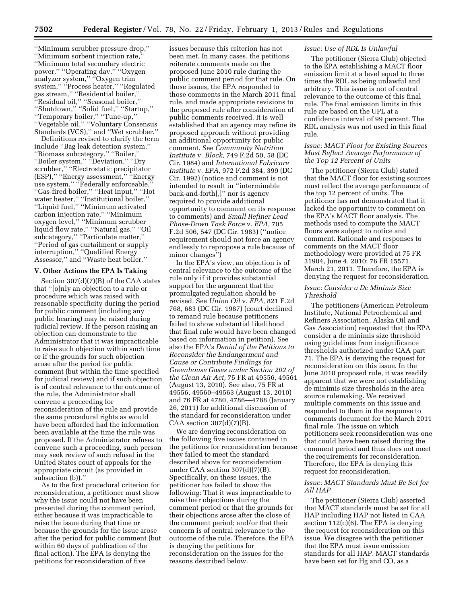''Minimum scrubber pressure drop,'' ''Minimum sorbent injection rate,'' ''Minimum total secondary electric power,'' ''Operating day,'' ''Oxygen analyzer system,'' ''Oxygen trim system,'' ''Process heater,'' ''Regulated gas stream,'' ''Residential boiler,'' ''Residual oil,'' ''Seasonal boiler,'' ''Shutdown,'' ''Solid fuel,'' ''Startup,'' ''Temporary boiler,'' ''Tune-up,'' ''Vegetable oil,'' ''Voluntary Consensus Standards (VCS),'' and ''Wet scrubber.''

Definitions revised to clarify the term include ''Bag leak detection system,'' ''Biomass subcategory,'' ''Boiler,'' ''Boiler system,'' ''Deviation,'' ''Dry scrubber,'' ''Electrostatic precipitator (ESP),'' ''Energy assessment,'' ''Energy use system," "Federally enforceable, ''Gas-fired boiler,'' ''Heat input,'' ''Hot water heater,'' ''Institutional boiler,'' ''Liquid fuel,'' ''Minimum activated carbon injection rate,'' ''Minimum oxygen level,'' ''Minimum scrubber liquid flow rate,'' ''Natural gas,'' ''Oil subcategory,'' ''Particulate matter,'' ''Period of gas curtailment or supply interruption,'' ''Qualified Energy Assessor,'' and ''Waste heat boiler.''

#### **V. Other Actions the EPA Is Taking**

Section 307(d)(7)(B) of the CAA states that ''[o]nly an objection to a rule or procedure which was raised with reasonable specificity during the period for public comment (including any public hearing) may be raised during judicial review. If the person raising an objection can demonstrate to the Administrator that it was impracticable to raise such objection within such time or if the grounds for such objection arose after the period for public comment (but within the time specified for judicial review) and if such objection is of central relevance to the outcome of the rule, the Administrator shall convene a proceeding for reconsideration of the rule and provide the same procedural rights as would have been afforded had the information been available at the time the rule was proposed. If the Administrator refuses to convene such a proceeding, such person may seek review of such refusal in the United States court of appeals for the appropriate circuit (as provided in subsection (b)).''

As to the first procedural criterion for reconsideration, a petitioner must show why the issue could not have been presented during the comment period, either because it was impracticable to raise the issue during that time or because the grounds for the issue arose after the period for public comment (but within 60 days of publication of the final action). The EPA is denying the petitions for reconsideration of five

issues because this criterion has not been met. In many cases, the petitions reiterate comments made on the proposed June 2010 rule during the public comment period for that rule. On those issues, the EPA responded to those comments in the March 2011 final rule, and made appropriate revisions to the proposed rule after consideration of public comments received. It is well established that an agency may refine its proposed approach without providing an additional opportunity for public comment. See *Community Nutrition Institute* v. *Block,* 749 F.2d 50, 58 (DC Cir. 1984) and *International Fabricare Institute* v. *EPA,* 972 F.2d 384, 399 (DC Cir. 1992) (notice and comment is not intended to result in ''interminable back-and-forth[,]'' nor is agency required to provide additional opportunity to comment on its response to comments) and *Small Refiner Lead Phase-Down Task Force* v. *EPA,* 705 F.2d 506, 547 (DC Cir. 1983) (''notice requirement should not force an agency endlessly to repropose a rule because of minor changes'')

In the EPA's view, an objection is of central relevance to the outcome of the rule only if it provides substantial support for the argument that the promulgated regulation should be revised. See *Union Oil* v. *EPA,* 821 F.2d 768, 683 (DC Cir. 1987) (court declined to remand rule because petitioners failed to show substantial likelihood that final rule would have been changed based on information in petition). See also the EPA's *Denial of the Petitions to Reconsider the Endangerment and Cause or Contribute Findings for Greenhouse Gases under Section 202 of the Clean Air Act,* 75 FR at 49556, 49561 (August 13, 2010). See also, 75 FR at 49556, 49560–49563 (August 13, 2010) and 76 FR at 4780, 4786—4788 (January 26, 2011) for additional discussion of the standard for reconsideration under CAA section  $307(d)(7)(B)$ .

We are denying reconsideration on the following five issues contained in the petitions for reconsideration because they failed to meet the standard described above for reconsideration under CAA section  $307(d)(7)(B)$ . Specifically, on these issues, the petitioner has failed to show the following: That it was impracticable to raise their objections during the comment period or that the grounds for their objections arose after the close of the comment period; and/or that their concern is of central relevance to the outcome of the rule. Therefore, the EPA is denying the petitions for reconsideration on the issues for the reasons described below.

#### *Issue: Use of RDL Is Unlawful*

The petitioner (Sierra Club) objected to the EPA establishing a MACT floor emission limit at a level equal to three times the RDL as being unlawful and arbitrary. This issue is not of central relevance to the outcome of this final rule. The final emission limits in this rule are based on the UPL at a confidence interval of 99 percent. The RDL analysis was not used in this final rule.

#### *Issue: MACT Floor for Existing Sources Must Reflect Average Performance of the Top 12 Percent of Units*

The petitioner (Sierra Club) stated that the MACT floor for existing sources must reflect the average performance of the top 12 percent of units. The petitioner has not demonstrated that it lacked the opportunity to comment on the EPA's MACT floor analysis. The methods used to compute the MACT floors were subject to notice and comment. Rationale and responses to comments on the MACT floor methodology were provided at 75 FR 31904, June 4, 2010; 76 FR 15571, March 21, 2011. Therefore, the EPA is denying the request for reconsideration.

#### *Issue: Consider a De Minimis Size Threshold*

The petitioners (American Petroleum Institute, National Petrochemical and Refiners Association, Alaska Oil and Gas Association) requested that the EPA consider a de minimis size threshold using guidelines from insignificance thresholds authorized under CAA part 71. The EPA is denying the request for reconsideration on this issue. In the June 2010 proposed rule, it was readily apparent that we were not establishing de minimis size thresholds in the area source rulemaking. We received multiple comments on this issue and responded to them in the response to comments document for the March 2011 final rule. The issue on which petitioners seek reconsideration was one that could have been raised during the comment period and thus does not meet the requirements for reconsideration. Therefore, the EPA is denying this request for reconsideration.

#### *Issue: MACT Standards Must Be Set for All HAP*

The petitioner (Sierra Club) asserted that MACT standards must be set for all HAP including HAP not listed in CAA section 112(c)(6). The EPA is denying the request for reconsideration on this issue. We disagree with the petitioner that the EPA must issue emission standards for all HAP. MACT standards have been set for Hg and CO, as a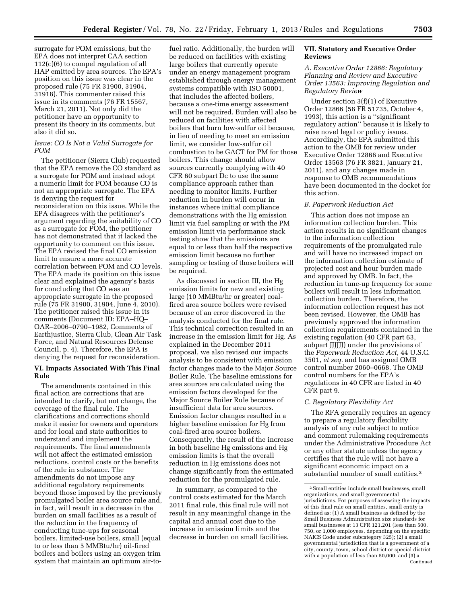surrogate for POM emissions, but the EPA does not interpret CAA section 112(c)(6) to compel regulation of all HAP emitted by area sources. The EPA's position on this issue was clear in the proposed rule (75 FR 31900, 31904, 31918). This commenter raised this issue in its comments (76 FR 15567, March 21, 2011). Not only did the petitioner have an opportunity to present its theory in its comments, but also it did so.

#### *Issue: CO Is Not a Valid Surrogate for POM*

The petitioner (Sierra Club) requested that the EPA remove the CO standard as a surrogate for POM and instead adopt a numeric limit for POM because CO is not an appropriate surrogate. The EPA is denying the request for reconsideration on this issue. While the EPA disagrees with the petitioner's argument regarding the suitability of CO as a surrogate for POM, the petitioner has not demonstrated that it lacked the opportunity to comment on this issue. The EPA revised the final CO emission limit to ensure a more accurate correlation between POM and CO levels. The EPA made its position on this issue clear and explained the agency's basis for concluding that CO was an appropriate surrogate in the proposed rule (75 FR 31900, 31904, June 4, 2010). The petitioner raised this issue in its comments (Document ID: EPA–HQ– OAR–2006–0790–1982, Comments of Earthjustice, Sierra Club, Clean Air Task Force, and Natural Resources Defense Council, p. 4). Therefore, the EPA is denying the request for reconsideration.

#### **VI. Impacts Associated With This Final Rule**

The amendments contained in this final action are corrections that are intended to clarify, but not change, the coverage of the final rule. The clarifications and corrections should make it easier for owners and operators and for local and state authorities to understand and implement the requirements. The final amendments will not affect the estimated emission reductions, control costs or the benefits of the rule in substance. The amendments do not impose any additional regulatory requirements beyond those imposed by the previously promulgated boiler area source rule and, in fact, will result in a decrease in the burden on small facilities as a result of the reduction in the frequency of conducting tune-ups for seasonal boilers, limited-use boilers, small (equal to or less than 5 MMBtu/hr) oil-fired boilers and boilers using an oxygen trim system that maintain an optimum air-to-

fuel ratio. Additionally, the burden will be reduced on facilities with existing large boilers that currently operate under an energy management program established through energy management systems compatible with ISO 50001, that includes the affected boilers, because a one-time energy assessment will not be required. Burden will also be reduced on facilities with affected boilers that burn low-sulfur oil because, in lieu of needing to meet an emission limit, we consider low-sulfur oil combustion to be GACT for PM for those boilers. This change should allow sources currently complying with 40 CFR 60 subpart Dc to use the same compliance approach rather than needing to monitor limits. Further reduction in burden will occur in instances where initial compliance demonstrations with the Hg emission limit via fuel sampling or with the PM emission limit via performance stack testing show that the emissions are equal to or less than half the respective emission limit because no further sampling or testing of those boilers will be required.

As discussed in section III, the Hg emission limits for new and existing large (10 MMBtu/hr or greater) coalfired area source boilers were revised because of an error discovered in the analysis conducted for the final rule. This technical correction resulted in an increase in the emission limit for Hg. As explained in the December 2011 proposal, we also revised our impacts analysis to be consistent with emission factor changes made to the Major Source Boiler Rule. The baseline emissions for area sources are calculated using the emission factors developed for the Major Source Boiler Rule because of insufficient data for area sources. Emission factor changes resulted in a higher baseline emission for Hg from coal-fired area source boilers. Consequently, the result of the increase in both baseline Hg emissions and Hg emission limits is that the overall reduction in Hg emissions does not change significantly from the estimated reduction for the promulgated rule.

In summary, as compared to the control costs estimated for the March 2011 final rule, this final rule will not result in any meaningful change in the capital and annual cost due to the increase in emission limits and the decrease in burden on small facilities.

#### **VII. Statutory and Executive Order Reviews**

#### *A. Executive Order 12866: Regulatory Planning and Review and Executive Order 13563: Improving Regulation and Regulatory Review*

Under section 3(f)(1) of Executive Order 12866 (58 FR 51735, October 4, 1993), this action is a ''significant regulatory action'' because it is likely to raise novel legal or policy issues. Accordingly, the EPA submitted this action to the OMB for review under Executive Order 12866 and Executive Order 13563 (76 FR 3821, January 21, 2011), and any changes made in response to OMB recommendations have been documented in the docket for this action.

#### *B. Paperwork Reduction Act*

This action does not impose an information collection burden. This action results in no significant changes to the information collection requirements of the promulgated rule and will have no increased impact on the information collection estimate of projected cost and hour burden made and approved by OMB. In fact, the reduction in tune-up frequency for some boilers will result in less information collection burden. Therefore, the information collection request has not been revised. However, the OMB has previously approved the information collection requirements contained in the existing regulation (40 CFR part 63, subpart JJJJJJ) under the provisions of the *Paperwork Reduction Act,* 44 U.S.C. 3501, *et seq.* and has assigned OMB control number 2060–0668. The OMB control numbers for the EPA's regulations in 40 CFR are listed in 40 CFR part 9.

#### *C. Regulatory Flexibility Act*

The RFA generally requires an agency to prepare a regulatory flexibility analysis of any rule subject to notice and comment rulemaking requirements under the Administrative Procedure Act or any other statute unless the agency certifies that the rule will not have a significant economic impact on a substantial number of small entities.<sup>2</sup>

<sup>2</sup>Small entities include small businesses, small organizations, and small governmental jurisdictions. For purposes of assessing the impacts of this final rule on small entities, small entity is defined as: (1) A small business as defined by the Small Business Administration size standards for small businesses at 13 CFR 121.201 (less than 500, 750, or 1,000 employees, depending on the specific NAICS Code under subcategory 325); (2) a small governmental jurisdiction that is a government of a city, county, town, school district or special district with a population of less than 50,000; and (3) a Continued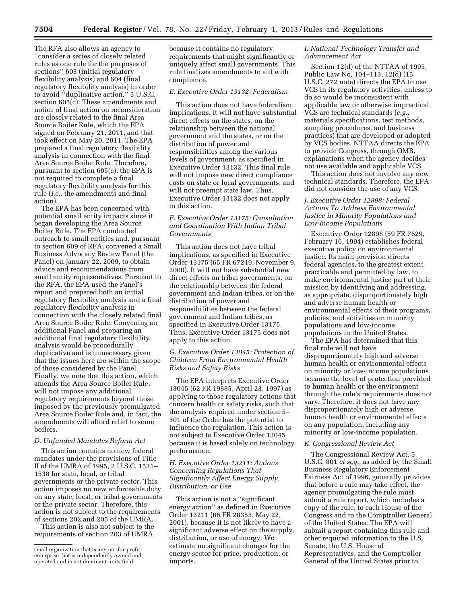The RFA also allows an agency to ''consider a series of closely related rules as one rule for the purposes of sections'' 603 (initial regulatory flexibility analysis) and 604 (final regulatory flexibility analysis) in order to avoid ''duplicative action.'' 5 U.S.C. section 605(c). These amendments and notice of final action on reconsideration are closely related to the final Area Source Boiler Rule, which the EPA signed on February 21, 2011, and that took effect on May 20, 2011. The EPA prepared a final regulatory flexibility analysis in connection with the final Area Source Boiler Rule. Therefore, pursuant to section 605(c), the EPA is not required to complete a final regulatory flexibility analysis for this rule (*i.e.,* the amendments and final action).

The EPA has been concerned with potential small entity impacts since it began developing the Area Source Boiler Rule. The EPA conducted outreach to small entities and, pursuant to section 609 of RFA, convened a Small Business Advocacy Review Panel (the Panel) on January 22, 2009, to obtain advice and recommendations from small entity representatives. Pursuant to the RFA, the EPA used the Panel's report and prepared both an initial regulatory flexibility analysis and a final regulatory flexibility analysis in connection with the closely related final Area Source Boiler Rule. Convening an additional Panel and preparing an additional final regulatory flexibility analysis would be procedurally duplicative and is unnecessary given that the issues here are within the scope of those considered by the Panel. Finally, we note that this action, which amends the Area Source Boiler Rule, will not impose any additional regulatory requirements beyond those imposed by the previously promulgated Area Source Boiler Rule and, in fact, the amendments will afford relief to some boilers.

#### *D. Unfunded Mandates Reform Act*

This action contains no new federal mandates under the provisions of Title II of the UMRA of 1995, 2 U.S.C. 1531– 1538 for state, local, or tribal governments or the private sector. This action imposes no new enforceable duty on any state, local, or tribal governments or the private sector. Therefore, this action is not subject to the requirements of sections 202 and 205 of the UMRA.

This action is also not subject to the requirements of section 203 of UMRA

because it contains no regulatory requirements that might significantly or uniquely affect small governments. This rule finalizes amendments to aid with compliance.

#### *E. Executive Order 13132: Federalism*

This action does not have federalism implications. It will not have substantial direct effects on the states, on the relationship between the national government and the states, or on the distribution of power and responsibilities among the various levels of government, as specified in Executive Order 13132. This final rule will not impose new direct compliance costs on state or local governments, and will not preempt state law. Thus, Executive Order 13132 does not apply to this action.

#### *F. Executive Order 13175: Consultation and Coordination With Indian Tribal Governments*

This action does not have tribal implications, as specified in Executive Order 13175 (65 FR 67249, November 9, 2000). It will not have substantial new direct effects on tribal governments, on the relationship between the federal government and Indian tribes, or on the distribution of power and responsibilities between the federal government and Indian tribes, as specified in Executive Order 13175. Thus, Executive Order 13175 does not apply to this action.

#### *G. Executive Order 13045: Protection of Children From Environmental Health Risks and Safety Risks*

The EPA interprets Executive Order 13045 (62 FR 19885, April 23, 1997) as applying to those regulatory actions that concern health or safety risks, such that the analysis required under section 5– 501 of the Order has the potential to influence the regulation. This action is not subject to Executive Order 13045 because it is based solely on technology performance.

#### *H. Executive Order 13211: Actions Concerning Regulations That Significantly Affect Energy Supply, Distribution, or Use*

This action is not a ''significant energy action'' as defined in Executive Order 13211 (66 FR 28355, May 22, 2001), because it is not likely to have a significant adverse effect on the supply, distribution, or use of energy. We estimate no significant changes for the energy sector for price, production, or imports.

#### *I. National Technology Transfer and Advancement Act*

Section 12(d) of the NTTAA of 1995, Public Law No. 104–113, 12(d) (15 U.S.C. 272 note) directs the EPA to use VCS in its regulatory activities, unless to do so would be inconsistent with applicable law or otherwise impractical. VCS are technical standards (*e.g.,*  materials specifications, test methods, sampling procedures, and business practices) that are developed or adopted by VCS bodies. NTTAA directs the EPA to provide Congress, through OMB, explanations when the agency decides not use available and applicable VCS.

This action does not involve any new technical standards. Therefore, the EPA did not consider the use of any VCS.

#### *J. Executive Order 12898: Federal Actions To Address Environmental Justice in Minority Populations and Low-Income Populations*

Executive Order 12898 (59 FR 7629, February 16, 1994) establishes federal executive policy on environmental justice. Its main provision directs federal agencies, to the greatest extent practicable and permitted by law, to make environmental justice part of their mission by identifying and addressing, as appropriate, disproportionately high and adverse human health or environmental effects of their programs, policies, and activities on minority populations and low-income populations in the United States.

The EPA has determined that this final rule will not have disproportionately high and adverse human health or environmental effects on minority or low-income populations because the level of protection provided to human health or the environment through the rule's requirements does not vary. Therefore, it does not have any disproportionately high or adverse human health or environmental effects on any population, including any minority or low-income population.

#### *K. Congressional Review Act*

The Congressional Review Act, 5 U.S.C. 801 *et seq.,* as added by the Small Business Regulatory Enforcement Fairness Act of 1996, generally provides that before a rule may take effect, the agency promulgating the rule must submit a rule report, which includes a copy of the rule, to each House of the Congress and to the Comptroller General of the United States. The EPA will submit a report containing this rule and other required information to the U.S. Senate, the U.S. House of Representatives, and the Comptroller General of the United States prior to

small organization that is any not-for-profit enterprise that is independently owned and operated and is not dominant in its field.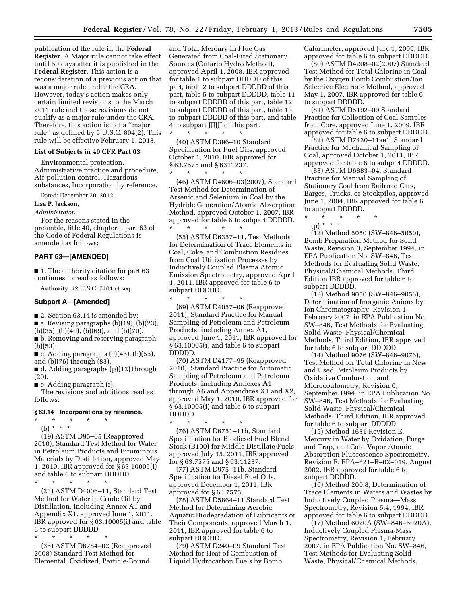publication of the rule in the **Federal Register**. A Major rule cannot take effect until 60 days after it is published in the **Federal Register**. This action is a reconsideration of a previous action that was a major rule under the CRA. However, today's action makes only certain limited revisions to the March 2011 rule and those revisions do not qualify as a major rule under the CRA. Therefore, this action is not a ''major rule'' as defined by 5 U.S.C. 804(2). This rule will be effective February 1, 2013.

#### **List of Subjects in 40 CFR Part 63**

Environmental protection, Administrative practice and procedure, Air pollution control, Hazardous substances, Incorporation by reference.

Dated: December 20, 2012.

#### **Lisa P. Jackson,**

#### *Administrator.*

For the reasons stated in the preamble, title 40, chapter I, part 63 of the Code of Federal Regulations is amended as follows:

#### **PART 63—[AMENDED]**

■ 1. The authority citation for part 63 continues to read as follows:

**Authority:** 42 U.S.C. 7401 et seq.

#### **Subpart A—[Amended]**

■ 2. Section 63.14 is amended by:

■ a. Revising paragraphs (b)(19), (b)(23),

(b)(35), (b)(40), (b)(69), and (b)(70).

■ b. Removing and reserving paragraph (b)(53).

 $\blacksquare$  c. Adding paragraphs (b)(46), (b)(55), and (b)(76) through (83).

■ d. Adding paragraphs (p)(12) through (20).

■ e. Adding paragraph (r).

The revisions and additions read as follows:

#### **§ 63.14 Incorporations by reference.**

- \* \* \* \* \*
	- (b) \* \* \*

(19) ASTM D95–05 (Reapproved 2010), Standard Test Method for Water in Petroleum Products and Bituminous Materials by Distillation, approved May 1, 2010, IBR approved for § 63.10005(i) and table 6 to subpart DDDDD.

\* \* \* \* \*

(23) ASTM D4006–11, Standard Test Method for Water in Crude Oil by Distillation, including Annex A1 and Appendix X1, approved June 1, 2011, IBR approved for § 63.10005(i) and table 6 to subpart DDDDD.

\* \* \* \* \*

(35) ASTM D6784–02 (Reapproved 2008) Standard Test Method for Elemental, Oxidized, Particle-Bound

and Total Mercury in Flue Gas Generated from Coal-Fired Stationary Sources (Ontario Hydro Method), approved April 1, 2008, IBR approved for table 1 to subpart DDDDD of this part, table 2 to subpart DDDDD of this part, table 5 to subpart DDDDD, table 11 to subpart DDDDD of this part, table 12 to subpart DDDDD of this part, table 13 to subpart DDDDD of this part, and table 4 to subpart JJJJJJ of this part.

(40) ASTM D396–10 Standard Specification for Fuel Oils, approved October 1, 2010, IBR approved for § 63.7575 and § 6311237.

\* \* \* \* \*

\* \* \* \* \* (46) ASTM D4606–03(2007), Standard Test Method for Determination of Arsenic and Selenium in Coal by the Hydride Generation/Atomic Absorption Method, approved October 1, 2007, IBR approved for table 6 to subpart DDDDD. \* \* \* \* \*

(55) ASTM D6357–11, Test Methods for Determination of Trace Elements in Coal, Coke, and Combustion Residues from Coal Utilization Processes by Inductively Coupled Plasma Atomic Emission Spectrometry, approved April 1, 2011, IBR approved for table 6 to subpart DDDDD.

\* \* \* \* \* (69) ASTM D4057–06 (Reapproved 2011), Standard Practice for Manual Sampling of Petroleum and Petroleum Products, including Annex A1, approved June 1, 2011, IBR approved for § 63.10005(i) and table 6 to subpart DDDDD.

(70) ASTM D4177–95 (Reapproved 2010), Standard Practice for Automatic Sampling of Petroleum and Petroleum Products, including Annexes A1 through A6 and Appendices X1 and X2, approved May 1, 2010, IBR approved for § 63.10005(i) and table 6 to subpart DDDDD.

\* \* \* \* \*

(76) ASTM D6751–11b, Standard Specification for Biodiesel Fuel Blend Stock (B100) for Middle Distillate Fuels, approved July 15, 2011, IBR approved for § 63.7575 and § 63.11237.

(77) ASTM D975–11b, Standard Specification for Diesel Fuel Oils, approved December 1, 2011, IBR approved for § 63.7575.

(78) ASTM D5864–11 Standard Test Method for Determining Aerobic Aquatic Biodegradation of Lubricants or Their Components, approved March 1, 2011, IBR approved for table 6 to subpart DDDDD.

(79) ASTM D240–09 Standard Test Method for Heat of Combustion of Liquid Hydrocarbon Fuels by Bomb

Calorimeter, approved July 1, 2009, IBR approved for table 6 to subpart DDDDD.

(80) ASTM D4208–02(2007) Standard Test Method for Total Chlorine in Coal by the Oxygen Bomb Combustion/Ion Selective Electrode Method, approved May 1, 2007, IBR approved for table 6 to subpart DDDDD.

(81) ASTM D5192–09 Standard Practice for Collection of Coal Samples from Core, approved June 1, 2009, IBR approved for table 6 to subpart DDDDD.

(82) ASTM D7430–11ae1, Standard Practice for Mechanical Sampling of Coal, approved October 1, 2011, IBR approved for table 6 to subpart DDDDD.

(83) ASTM D6883–04, Standard Practice for Manual Sampling of Stationary Coal from Railroad Cars, Barges, Trucks, or Stockpiles, approved June 1, 2004, IBR approved for table 6 to subpart DDDDD.

\* \* \* \* \* (p) \* \* \*

(12) Method 5050 (SW–846–5050), Bomb Preparation Method for Solid Waste, Revision 0, September 1994, in EPA Publication No. SW–846, Test Methods for Evaluating Solid Waste, Physical/Chemical Methods, Third Edition IBR approved for table 6 to subpart DDDDD.

(13) Method 9056 (SW–846–9056), Determination of Inorganic Anions by Ion Chromatography, Revision 1, February 2007, in EPA Publication No. SW–846, Test Methods for Evaluating Solid Waste, Physical/Chemical Methods, Third Edition, IBR approved for table 6 to subpart DDDDD.

(14) Method 9076 (SW–846–9076), Test Method for Total Chlorine in New and Used Petroleum Products by Oxidative Combustion and Microcoulometry, Revision 0, September 1994, in EPA Publication No. SW–846, Test Methods for Evaluating Solid Waste, Physical/Chemical Methods, Third Edition, IBR approved for table 6 to subpart DDDDD.

(15) Method 1631 Revision E, Mercury in Water by Oxidation, Purge and Trap, and Cold Vapor Atomic Absorption Fluorescence Spectrometry, Revision E, EPA–821–R–02–019, August 2002, IBR approved for table 6 to subpart DDDDD.

(16) Method 200.8, Determination of Trace Elements in Waters and Wastes by Inductively Coupled Plasma—Mass Spectrometry, Revision 5.4, 1994, IBR approved for table 6 to subpart DDDDD.

(17) Method 6020A (SW–846–6020A), Inductively Coupled Plasma-Mass Spectrometry, Revision 1, February 2007, in EPA Publication No. SW–846, Test Methods for Evaluating Solid Waste, Physical/Chemical Methods,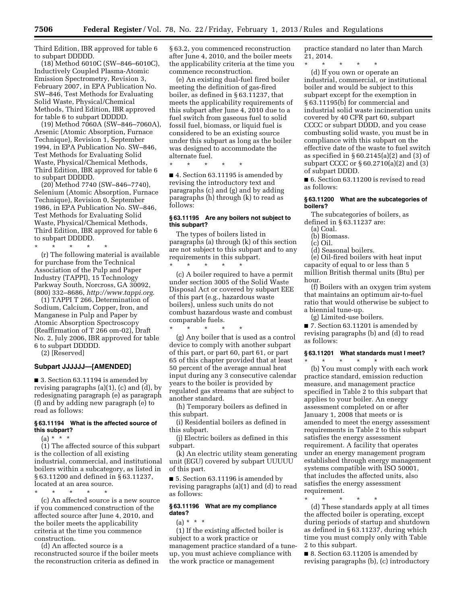Third Edition, IBR approved for table 6 to subpart DDDDD.

(18) Method 6010C (SW–846–6010C), Inductively Coupled Plasma-Atomic Emission Spectrometry, Revision 3, February 2007, in EPA Publication No. SW–846, Test Methods for Evaluating Solid Waste, Physical/Chemical Methods, Third Edition, IBR approved for table 6 to subpart DDDDD.

(19) Method 7060A (SW–846–7060A), Arsenic (Atomic Absorption, Furnace Technique), Revision 1, September 1994, in EPA Publication No. SW–846, Test Methods for Evaluating Solid Waste, Physical/Chemical Methods, Third Edition, IBR approved for table 6 to subpart DDDDD.

(20) Method 7740 (SW–846–7740), Selenium (Atomic Absorption, Furnace Technique), Revision 0, September 1986, in EPA Publication No. SW–846, Test Methods for Evaluating Solid Waste, Physical/Chemical Methods, Third Edition, IBR approved for table 6 to subpart DDDDD.

\* \* \* \* \* (r) The following material is available for purchase from the Technical Association of the Pulp and Paper Industry (TAPPI), 15 Technology Parkway South, Norcross, GA 30092, (800) 332–8686, *<http://www.tappi.org>*.

(1) TAPPI T 266, Determination of Sodium, Calcium, Copper, Iron, and Manganese in Pulp and Paper by Atomic Absorption Spectroscopy (Reaffirmation of T 266 om-02), Draft No. 2, July 2006, IBR approved for table 6 to subpart DDDDD.

(2) [Reserved]

#### **Subpart JJJJJJ—[AMENDED]**

■ 3. Section 63.11194 is amended by revising paragraphs (a)(1), (c) and (d), by redesignating paragraph (e) as paragraph (f) and by adding new paragraph (e) to read as follows:

#### **§ 63.11194 What is the affected source of this subpart?**

 $(a) * * * *$ 

(1) The affected source of this subpart is the collection of all existing industrial, commercial, and institutional boilers within a subcategory, as listed in § 63.11200 and defined in § 63.11237, located at an area source.

\* \* \* \* \* (c) An affected source is a new source if you commenced construction of the affected source after June 4, 2010, and the boiler meets the applicability criteria at the time you commence construction.

(d) An affected source is a reconstructed source if the boiler meets the reconstruction criteria as defined in § 63.2, you commenced reconstruction after June 4, 2010, and the boiler meets the applicability criteria at the time you commence reconstruction.

(e) An existing dual-fuel fired boiler meeting the definition of gas-fired boiler, as defined in § 63.11237, that meets the applicability requirements of this subpart after June 4, 2010 due to a fuel switch from gaseous fuel to solid fossil fuel, biomass, or liquid fuel is considered to be an existing source under this subpart as long as the boiler was designed to accommodate the alternate fuel.

\* \* \* \* \*

■ 4. Section 63.11195 is amended by revising the introductory text and paragraphs (c) and (g) and by adding paragraphs (h) through (k) to read as follows:

#### **§ 63.11195 Are any boilers not subject to this subpart?**

The types of boilers listed in paragraphs (a) through (k) of this section are not subject to this subpart and to any requirements in this subpart.

\* \* \* \* \* (c) A boiler required to have a permit under section 3005 of the Solid Waste Disposal Act or covered by subpart EEE of this part (e.g., hazardous waste boilers), unless such units do not combust hazardous waste and combust comparable fuels.

\* \* \* \* \* (g) Any boiler that is used as a control device to comply with another subpart of this part, or part 60, part 61, or part 65 of this chapter provided that at least 50 percent of the average annual heat input during any 3 consecutive calendar years to the boiler is provided by regulated gas streams that are subject to another standard.

(h) Temporary boilers as defined in this subpart.

(i) Residential boilers as defined in this subpart.

(j) Electric boilers as defined in this subpart.

(k) An electric utility steam generating unit (EGU) covered by subpart UUUUU of this part.

■ 5. Section 63.11196 is amended by revising paragraphs (a)(1) and (d) to read as follows:

#### **§ 63.11196 What are my compliance dates?**

(a) \* \* \*

(1) If the existing affected boiler is subject to a work practice or management practice standard of a tuneup, you must achieve compliance with the work practice or management

practice standard no later than March 21, 2014.

\* \* \* \* \* (d) If you own or operate an industrial, commercial, or institutional boiler and would be subject to this subpart except for the exemption in § 63.11195(b) for commercial and industrial solid waste incineration units covered by 40 CFR part 60, subpart CCCC or subpart DDDD, and you cease combusting solid waste, you must be in compliance with this subpart on the effective date of the waste to fuel switch as specified in § 60.2145(a)(2) and (3) of subpart CCCC or § 60.2710(a)(2) and (3)

■ 6. Section 63.11200 is revised to read as follows:

#### **§ 63.11200 What are the subcategories of boilers?**

The subcategories of boilers, as defined in § 63.11237 are:

(a) Coal.

of subpart DDDD.

(b) Biomass.

(c) Oil.

(d) Seasonal boilers.

(e) Oil-fired boilers with heat input capacity of equal to or less than 5 million British thermal units (Btu) per hour.

(f) Boilers with an oxygen trim system that maintains an optimum air-to-fuel ratio that would otherwise be subject to a biennial tune-up.

(g) Limited-use boilers.

■ 7. Section 63.11201 is amended by revising paragraphs (b) and (d) to read as follows:

### **§ 63.11201 What standards must I meet?**

\* \* \* \* \* (b) You must comply with each work practice standard, emission reduction measure, and management practice specified in Table 2 to this subpart that applies to your boiler. An energy assessment completed on or after January 1, 2008 that meets or is amended to meet the energy assessment requirements in Table 2 to this subpart satisfies the energy assessment requirement. A facility that operates under an energy management program established through energy management systems compatible with ISO 50001, that includes the affected units, also satisfies the energy assessment requirement.

\* \* \* \* \*

(d) These standards apply at all times the affected boiler is operating, except during periods of startup and shutdown as defined in § 63.11237, during which time you must comply only with Table 2 to this subpart.

■ 8. Section 63.11205 is amended by revising paragraphs (b), (c) introductory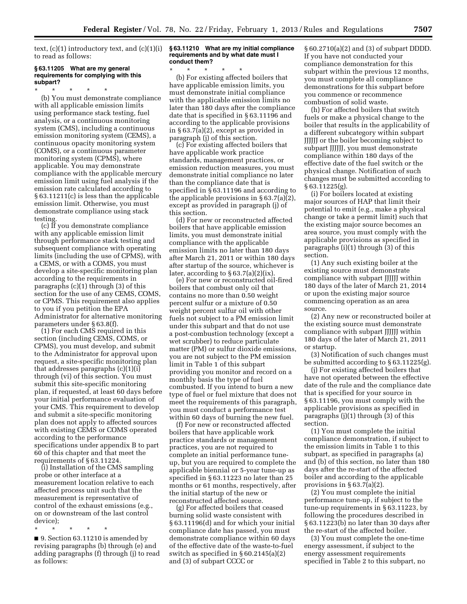text, (c)(1) introductory text, and (c)(1)(i) to read as follows:

#### **§ 63.11205 What are my general requirements for complying with this subpart?**

\* \* \* \* \* (b) You must demonstrate compliance with all applicable emission limits using performance stack testing, fuel analysis, or a continuous monitoring system (CMS), including a continuous emission monitoring system (CEMS), a continuous opacity monitoring system (COMS), or a continuous parameter monitoring system (CPMS), where applicable. You may demonstrate compliance with the applicable mercury emission limit using fuel analysis if the emission rate calculated according to § 63.11211(c) is less than the applicable emission limit. Otherwise, you must demonstrate compliance using stack testing.

(c) If you demonstrate compliance with any applicable emission limit through performance stack testing and subsequent compliance with operating limits (including the use of CPMS), with a CEMS, or with a COMS, you must develop a site-specific monitoring plan according to the requirements in paragraphs (c)(1) through (3) of this section for the use of any CEMS, COMS, or CPMS. This requirement also applies to you if you petition the EPA Administrator for alternative monitoring parameters under § 63.8(f).

(1) For each CMS required in this section (including CEMS, COMS, or CPMS), you must develop, and submit to the Administrator for approval upon request, a site-specific monitoring plan that addresses paragraphs (c)(1)(i) through (vi) of this section. You must submit this site-specific monitoring plan, if requested, at least 60 days before your initial performance evaluation of your CMS. This requirement to develop and submit a site-specific monitoring plan does not apply to affected sources with existing CEMS or COMS operated according to the performance specifications under appendix B to part 60 of this chapter and that meet the requirements of § 63.11224.

(i) Installation of the CMS sampling probe or other interface at a measurement location relative to each affected process unit such that the measurement is representative of control of the exhaust emissions (e.g., on or downstream of the last control device);

\* \* \* \* \*

■ 9. Section 63.11210 is amended by revising paragraphs (b) through (e) and adding paragraphs (f) through (j) to read as follows:

#### **§ 63.11210 What are my initial compliance requirements and by what date must I conduct them?**

\* \* \* \* \* (b) For existing affected boilers that have applicable emission limits, you must demonstrate initial compliance with the applicable emission limits no later than 180 days after the compliance date that is specified in § 63.11196 and according to the applicable provisions in § 63.7(a)(2), except as provided in paragraph (j) of this section.

(c) For existing affected boilers that have applicable work practice standards, management practices, or emission reduction measures, you must demonstrate initial compliance no later than the compliance date that is specified in § 63.11196 and according to the applicable provisions in § 63.7(a)(2), except as provided in paragraph (j) of this section.

(d) For new or reconstructed affected boilers that have applicable emission limits, you must demonstrate initial compliance with the applicable emission limits no later than 180 days after March 21, 2011 or within 180 days after startup of the source, whichever is later, according to  $\S 63.7(a)(2)(ix)$ .

(e) For new or reconstructed oil-fired boilers that combust only oil that contains no more than 0.50 weight percent sulfur or a mixture of 0.50 weight percent sulfur oil with other fuels not subject to a PM emission limit under this subpart and that do not use a post-combustion technology (except a wet scrubber) to reduce particulate matter (PM) or sulfur dioxide emissions, you are not subject to the PM emission limit in Table 1 of this subpart providing you monitor and record on a monthly basis the type of fuel combusted. If you intend to burn a new type of fuel or fuel mixture that does not meet the requirements of this paragraph, you must conduct a performance test within 60 days of burning the new fuel.

(f) For new or reconstructed affected boilers that have applicable work practice standards or management practices, you are not required to complete an initial performance tuneup, but you are required to complete the applicable biennial or 5-year tune-up as specified in § 63.11223 no later than 25 months or 61 months, respectively, after the initial startup of the new or reconstructed affected source.

(g) For affected boilers that ceased burning solid waste consistent with § 63.11196(d) and for which your initial compliance date has passed, you must demonstrate compliance within 60 days of the effective date of the waste-to-fuel switch as specified in § 60.2145(a)(2) and (3) of subpart CCCC or

§ 60.2710(a)(2) and (3) of subpart DDDD. If you have not conducted your compliance demonstration for this subpart within the previous 12 months, you must complete all compliance demonstrations for this subpart before you commence or recommence combustion of solid waste.

(h) For affected boilers that switch fuels or make a physical change to the boiler that results in the applicability of a different subcategory within subpart JJJJJJ or the boiler becoming subject to subpart JJJJJJ, you must demonstrate compliance within 180 days of the effective date of the fuel switch or the physical change. Notification of such changes must be submitted according to § 63.11225(g).

(i) For boilers located at existing major sources of HAP that limit their potential to emit (e.g., make a physical change or take a permit limit) such that the existing major source becomes an area source, you must comply with the applicable provisions as specified in paragraphs (i)(1) through (3) of this section.

(1) Any such existing boiler at the existing source must demonstrate compliance with subpart JJJJJJ within 180 days of the later of March 21, 2014 or upon the existing major source commencing operation as an area source.

(2) Any new or reconstructed boiler at the existing source must demonstrate compliance with subpart JJJJJJ within 180 days of the later of March 21, 2011 or startup.

(3) Notification of such changes must be submitted according to § 63.11225(g).

(j) For existing affected boilers that have not operated between the effective date of the rule and the compliance date that is specified for your source in § 63.11196, you must comply with the applicable provisions as specified in paragraphs (j)(1) through (3) of this section.

(1) You must complete the initial compliance demonstration, if subject to the emission limits in Table 1 to this subpart, as specified in paragraphs (a) and (b) of this section, no later than 180 days after the re-start of the affected boiler and according to the applicable provisions in § 63.7(a)(2).

(2) You must complete the initial performance tune-up, if subject to the tune-up requirements in § 63.11223, by following the procedures described in § 63.11223(b) no later than 30 days after the re-start of the affected boiler.

(3) You must complete the one-time energy assessment, if subject to the energy assessment requirements specified in Table 2 to this subpart, no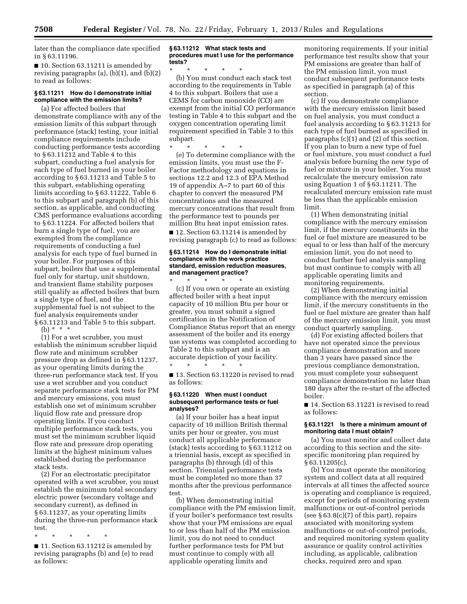later than the compliance date specified in § 63.11196.

■ 10. Section 63.11211 is amended by revising paragraphs  $(a)$ ,  $(b)(1)$ , and  $(b)(2)$ to read as follows:

#### **§ 63.11211 How do I demonstrate initial compliance with the emission limits?**

(a) For affected boilers that demonstrate compliance with any of the emission limits of this subpart through performance (stack) testing, your initial compliance requirements include conducting performance tests according to § 63.11212 and Table 4 to this subpart, conducting a fuel analysis for each type of fuel burned in your boiler according to § 63.11213 and Table 5 to this subpart, establishing operating limits according to § 63.11222, Table 6 to this subpart and paragraph (b) of this section, as applicable, and conducting CMS performance evaluations according to § 63.11224. For affected boilers that burn a single type of fuel, you are exempted from the compliance requirements of conducting a fuel analysis for each type of fuel burned in your boiler. For purposes of this subpart, boilers that use a supplemental fuel only for startup, unit shutdown, and transient flame stability purposes still qualify as affected boilers that burn a single type of fuel, and the supplemental fuel is not subject to the fuel analysis requirements under § 63.11213 and Table 5 to this subpart.

(b) \* \* \*

(1) For a wet scrubber, you must establish the minimum scrubber liquid flow rate and minimum scrubber pressure drop as defined in § 63.11237, as your operating limits during the three-run performance stack test. If you use a wet scrubber and you conduct separate performance stack tests for PM and mercury emissions, you must establish one set of minimum scrubber liquid flow rate and pressure drop operating limits. If you conduct multiple performance stack tests, you must set the minimum scrubber liquid flow rate and pressure drop operating limits at the highest minimum values established during the performance stack tests.

(2) For an electrostatic precipitator operated with a wet scrubber, you must establish the minimum total secondary electric power (secondary voltage and secondary current), as defined in § 63.11237, as your operating limits during the three-run performance stack test.

\* \* \* \* \*

■ 11. Section 63.11212 is amended by revising paragraphs (b) and (e) to read as follows:

#### **§ 63.11212 What stack tests and procedures must I use for the performance tests?**

\* \* \* \* \* (b) You must conduct each stack test according to the requirements in Table 4 to this subpart. Boilers that use a CEMS for carbon monoxide (CO) are exempt from the initial CO performance testing in Table 4 to this subpart and the oxygen concentration operating limit requirement specified in Table 3 to this subpart.

\* \* \* \* \*

(e) To determine compliance with the emission limits, you must use the F-Factor methodology and equations in sections 12.2 and 12.3 of EPA Method 19 of appendix A–7 to part 60 of this chapter to convert the measured PM concentrations and the measured mercury concentrations that result from the performance test to pounds per million Btu heat input emission rates.

■ 12. Section 63.11214 is amended by revising paragraph (c) to read as follows:

#### **§ 63.11214 How do I demonstrate initial compliance with the work practice standard, emission reduction measures, and management practice?**

\* \* \* \* \* (c) If you own or operate an existing affected boiler with a heat input capacity of 10 million Btu per hour or greater, you must submit a signed certification in the Notification of Compliance Status report that an energy assessment of the boiler and its energy use systems was completed according to Table 2 to this subpart and is an accurate depiction of your facility. \* \* \* \* \*

■ 13. Section 63.11220 is revised to read as follows:

#### **§ 63.11220 When must I conduct subsequent performance tests or fuel analyses?**

(a) If your boiler has a heat input capacity of 10 million British thermal units per hour or greater, you must conduct all applicable performance (stack) tests according to § 63.11212 on a triennial basis, except as specified in paragraphs (b) through (d) of this section. Triennial performance tests must be completed no more than 37 months after the previous performance test.

(b) When demonstrating initial compliance with the PM emission limit, if your boiler's performance test results show that your PM emissions are equal to or less than half of the PM emission limit, you do not need to conduct further performance tests for PM but must continue to comply with all applicable operating limits and

monitoring requirements. If your initial performance test results show that your PM emissions are greater than half of the PM emission limit, you must conduct subsequent performance tests as specified in paragraph (a) of this section.

(c) If you demonstrate compliance with the mercury emission limit based on fuel analysis, you must conduct a fuel analysis according to § 63.11213 for each type of fuel burned as specified in paragraphs (c)(1) and (2) of this section. If you plan to burn a new type of fuel or fuel mixture, you must conduct a fuel analysis before burning the new type of fuel or mixture in your boiler. You must recalculate the mercury emission rate using Equation 1 of § 63.11211. The recalculated mercury emission rate must be less than the applicable emission limit.

(1) When demonstrating initial compliance with the mercury emission limit, if the mercury constituents in the fuel or fuel mixture are measured to be equal to or less than half of the mercury emission limit, you do not need to conduct further fuel analysis sampling but must continue to comply with all applicable operating limits and monitoring requirements.

(2) When demonstrating initial compliance with the mercury emission limit, if the mercury constituents in the fuel or fuel mixture are greater than half of the mercury emission limit, you must conduct quarterly sampling.

(d) For existing affected boilers that have not operated since the previous compliance demonstration and more than 3 years have passed since the previous compliance demonstration, you must complete your subsequent compliance demonstration no later than 180 days after the re-start of the affected boiler.

■ 14. Section 63.11221 is revised to read as follows:

#### **§ 63.11221 Is there a minimum amount of monitoring data I must obtain?**

(a) You must monitor and collect data according to this section and the sitespecific monitoring plan required by § 63.11205(c).

(b) You must operate the monitoring system and collect data at all required intervals at all times the affected source is operating and compliance is required, except for periods of monitoring system malfunctions or out-of-control periods (see  $\S 63.8(c)(7)$  of this part), repairs associated with monitoring system malfunctions or out-of-control periods, and required monitoring system quality assurance or quality control activities including, as applicable, calibration checks, required zero and span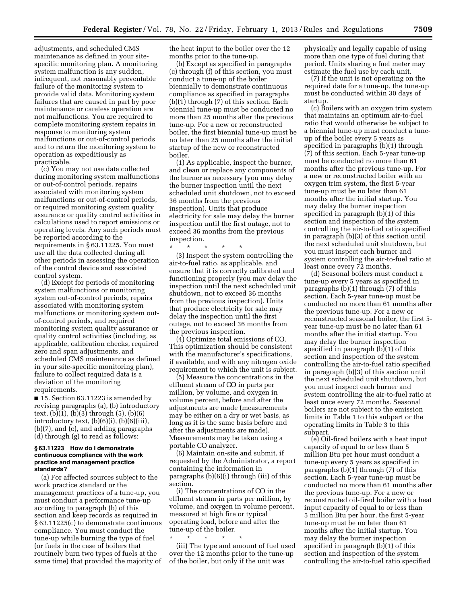adjustments, and scheduled CMS maintenance as defined in your sitespecific monitoring plan. A monitoring system malfunction is any sudden, infrequent, not reasonably preventable failure of the monitoring system to provide valid data. Monitoring system failures that are caused in part by poor maintenance or careless operation are not malfunctions. You are required to complete monitoring system repairs in response to monitoring system malfunctions or out-of-control periods and to return the monitoring system to operation as expeditiously as practicable.

(c) You may not use data collected during monitoring system malfunctions or out-of-control periods, repairs associated with monitoring system malfunctions or out-of-control periods, or required monitoring system quality assurance or quality control activities in calculations used to report emissions or operating levels. Any such periods must be reported according to the requirements in § 63.11225. You must use all the data collected during all other periods in assessing the operation of the control device and associated control system.

(d) Except for periods of monitoring system malfunctions or monitoring system out-of-control periods, repairs associated with monitoring system malfunctions or monitoring system outof-control periods, and required monitoring system quality assurance or quality control activities (including, as applicable, calibration checks, required zero and span adjustments, and scheduled CMS maintenance as defined in your site-specific monitoring plan), failure to collect required data is a deviation of the monitoring requirements.

■ 15. Section 63.11223 is amended by revising paragraphs (a), (b) introductory text, (b)(1), (b)(3) through (5), (b)(6) introductory text, (b)(6)(i), (b)(6)(iii), (b)(7), and (c), and adding paragraphs (d) through (g) to read as follows:

#### **§ 63.11223 How do I demonstrate continuous compliance with the work practice and management practice standards?**

(a) For affected sources subject to the work practice standard or the management practices of a tune-up, you must conduct a performance tune-up according to paragraph (b) of this section and keep records as required in § 63.11225(c) to demonstrate continuous compliance. You must conduct the tune-up while burning the type of fuel (or fuels in the case of boilers that routinely burn two types of fuels at the same time) that provided the majority of

the heat input to the boiler over the 12 months prior to the tune-up.

(b) Except as specified in paragraphs (c) through (f) of this section, you must conduct a tune-up of the boiler biennially to demonstrate continuous compliance as specified in paragraphs (b)(1) through (7) of this section. Each biennial tune-up must be conducted no more than 25 months after the previous tune-up. For a new or reconstructed boiler, the first biennial tune-up must be no later than 25 months after the initial startup of the new or reconstructed boiler.

(1) As applicable, inspect the burner, and clean or replace any components of the burner as necessary (you may delay the burner inspection until the next scheduled unit shutdown, not to exceed 36 months from the previous inspection). Units that produce electricity for sale may delay the burner inspection until the first outage, not to exceed 36 months from the previous inspection.

\* \* \* \* \*

(3) Inspect the system controlling the air-to-fuel ratio, as applicable, and ensure that it is correctly calibrated and functioning properly (you may delay the inspection until the next scheduled unit shutdown, not to exceed 36 months from the previous inspection). Units that produce electricity for sale may delay the inspection until the first outage, not to exceed 36 months from the previous inspection.

(4) Optimize total emissions of CO. This optimization should be consistent with the manufacturer's specifications, if available, and with any nitrogen oxide requirement to which the unit is subject.

(5) Measure the concentrations in the effluent stream of CO in parts per million, by volume, and oxygen in volume percent, before and after the adjustments are made (measurements may be either on a dry or wet basis, as long as it is the same basis before and after the adjustments are made). Measurements may be taken using a portable CO analyzer.

(6) Maintain on-site and submit, if requested by the Administrator, a report containing the information in paragraphs (b)(6)(i) through (iii) of this section.

(i) The concentrations of CO in the effluent stream in parts per million, by volume, and oxygen in volume percent, measured at high fire or typical operating load, before and after the tune-up of the boiler.

\* \* \* \* \* (iii) The type and amount of fuel used over the 12 months prior to the tune-up of the boiler, but only if the unit was

physically and legally capable of using more than one type of fuel during that period. Units sharing a fuel meter may estimate the fuel use by each unit.

(7) If the unit is not operating on the required date for a tune-up, the tune-up must be conducted within 30 days of startup.

(c) Boilers with an oxygen trim system that maintains an optimum air-to-fuel ratio that would otherwise be subject to a biennial tune-up must conduct a tuneup of the boiler every 5 years as specified in paragraphs (b)(1) through (7) of this section. Each 5-year tune-up must be conducted no more than 61 months after the previous tune-up. For a new or reconstructed boiler with an oxygen trim system, the first 5-year tune-up must be no later than 61 months after the initial startup. You may delay the burner inspection specified in paragraph (b)(1) of this section and inspection of the system controlling the air-to-fuel ratio specified in paragraph (b)(3) of this section until the next scheduled unit shutdown, but you must inspect each burner and system controlling the air-to-fuel ratio at least once every 72 months.

(d) Seasonal boilers must conduct a tune-up every 5 years as specified in paragraphs (b)(1) through (7) of this section. Each 5-year tune-up must be conducted no more than 61 months after the previous tune-up. For a new or reconstructed seasonal boiler, the first 5 year tune-up must be no later than 61 months after the initial startup. You may delay the burner inspection specified in paragraph (b)(1) of this section and inspection of the system controlling the air-to-fuel ratio specified in paragraph (b)(3) of this section until the next scheduled unit shutdown, but you must inspect each burner and system controlling the air-to-fuel ratio at least once every 72 months. Seasonal boilers are not subject to the emission limits in Table 1 to this subpart or the operating limits in Table 3 to this subpart.

(e) Oil-fired boilers with a heat input capacity of equal to or less than 5 million Btu per hour must conduct a tune-up every 5 years as specified in paragraphs (b)(1) through (7) of this section. Each 5-year tune-up must be conducted no more than 61 months after the previous tune-up. For a new or reconstructed oil-fired boiler with a heat input capacity of equal to or less than 5 million Btu per hour, the first 5-year tune-up must be no later than 61 months after the initial startup. You may delay the burner inspection specified in paragraph (b)(1) of this section and inspection of the system controlling the air-to-fuel ratio specified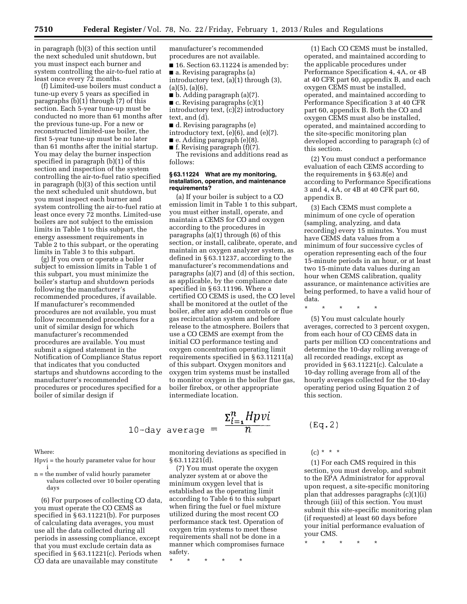in paragraph (b)(3) of this section until the next scheduled unit shutdown, but you must inspect each burner and system controlling the air-to-fuel ratio at least once every 72 months.

(f) Limited-use boilers must conduct a tune-up every 5 years as specified in paragraphs (b)(1) through (7) of this section. Each 5-year tune-up must be conducted no more than 61 months after the previous tune-up. For a new or reconstructed limited-use boiler, the first 5-year tune-up must be no later than 61 months after the initial startup. You may delay the burner inspection specified in paragraph (b)(1) of this section and inspection of the system controlling the air-to-fuel ratio specified in paragraph (b)(3) of this section until the next scheduled unit shutdown, but you must inspect each burner and system controlling the air-to-fuel ratio at least once every 72 months. Limited-use boilers are not subject to the emission limits in Table 1 to this subpart, the energy assessment requirements in Table 2 to this subpart, or the operating limits in Table 3 to this subpart.

(g) If you own or operate a boiler subject to emission limits in Table 1 of this subpart, you must minimize the boiler's startup and shutdown periods following the manufacturer's recommended procedures, if available. If manufacturer's recommended procedures are not available, you must follow recommended procedures for a unit of similar design for which manufacturer's recommended procedures are available. You must submit a signed statement in the Notification of Compliance Status report that indicates that you conducted startups and shutdowns according to the manufacturer's recommended procedures or procedures specified for a boiler of similar design if

manufacturer's recommended procedures are not available.

■ 16. Section 63.11224 is amended by:

■ a. Revising paragraphs (a) introductory text, (a)(1) through (3),  $(a)(5)$ ,  $(a)(6)$ ,

■ b. Adding paragraph (a)(7).

 $\blacksquare$  c. Revising paragraphs (c)(1) introductory text, (c)(2) introductory text, and (d).

■ d. Revising paragraphs (e) introductory text, (e)(6), and (e)(7).

■ e. Adding paragraph (e)(8).

■ f. Revising paragraph (f)(7).

The revisions and additions read as follows:

#### **§ 63.11224 What are my monitoring, installation, operation, and maintenance requirements?**

(a) If your boiler is subject to a CO emission limit in Table 1 to this subpart, you must either install, operate, and maintain a CEMS for CO and oxygen according to the procedures in paragraphs (a)(1) through (6) of this section, or install, calibrate, operate, and maintain an oxygen analyzer system, as defined in § 63.11237, according to the manufacturer's recommendations and paragraphs (a)(7) and (d) of this section, as applicable, by the compliance date specified in § 63.11196. Where a certified CO CEMS is used, the CO level shall be monitored at the outlet of the boiler, after any add-on controls or flue gas recirculation system and before release to the atmosphere. Boilers that use a CO CEMS are exempt from the initial CO performance testing and oxygen concentration operating limit requirements specified in § 63.11211(a) of this subpart. Oxygen monitors and oxygen trim systems must be installed to monitor oxygen in the boiler flue gas, boiler firebox, or other appropriate intermediate location.

$$
0\text{-day average} = \frac{\Sigma_{i=1}^n Hpvi}{n}
$$

 $(Eq. 2)$ 

#### Where:

Hpvi = the hourly parameter value for hour i

1

n = the number of valid hourly parameter values collected over 10 boiler operating days

(6) For purposes of collecting CO data, you must operate the CO CEMS as specified in § 63.11221(b). For purposes of calculating data averages, you must use all the data collected during all periods in assessing compliance, except that you must exclude certain data as specified in § 63.11221(c). Periods when CO data are unavailable may constitute

monitoring deviations as specified in § 63.11221(d).

(7) You must operate the oxygen analyzer system at or above the minimum oxygen level that is established as the operating limit according to Table 6 to this subpart when firing the fuel or fuel mixture utilized during the most recent CO performance stack test. Operation of oxygen trim systems to meet these requirements shall not be done in a manner which compromises furnace safety.

\* \* \* \* \*

(1) Each CO CEMS must be installed, operated, and maintained according to the applicable procedures under Performance Specification 4, 4A, or 4B at 40 CFR part 60, appendix B, and each oxygen CEMS must be installed, operated, and maintained according to Performance Specification 3 at 40 CFR part 60, appendix B. Both the CO and oxygen CEMS must also be installed, operated, and maintained according to the site-specific monitoring plan developed according to paragraph (c) of this section.

(2) You must conduct a performance evaluation of each CEMS according to the requirements in § 63.8(e) and according to Performance Specifications 3 and 4, 4A, or 4B at 40 CFR part 60, appendix B.

(3) Each CEMS must complete a minimum of one cycle of operation (sampling, analyzing, and data recording) every 15 minutes. You must have CEMS data values from a minimum of four successive cycles of operation representing each of the four 15-minute periods in an hour, or at least two 15-minute data values during an hour when CEMS calibration, quality assurance, or maintenance activities are being performed, to have a valid hour of data.

\* \* \* \* \*

(5) You must calculate hourly averages, corrected to 3 percent oxygen, from each hour of CO CEMS data in parts per million CO concentrations and determine the 10-day rolling average of all recorded readings, except as provided in § 63.11221(c). Calculate a 10-day rolling average from all of the hourly averages collected for the 10-day operating period using Equation 2 of this section.

 $(c) * * * *$ 

(1) For each CMS required in this section, you must develop, and submit to the EPA Administrator for approval upon request, a site-specific monitoring plan that addresses paragraphs (c)(1)(i) through (iii) of this section. You must submit this site-specific monitoring plan (if requested) at least 60 days before your initial performance evaluation of your CMS.

\* \* \* \* \*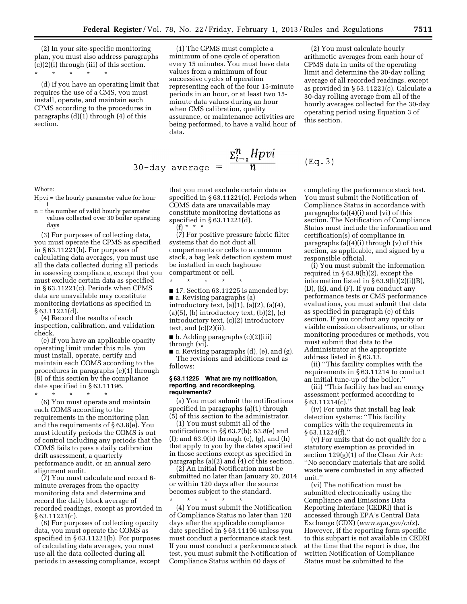(2) In your site-specific monitoring plan, you must also address paragraphs (c)(2)(i) through (iii) of this section.

\* \* \* \* \*

(d) If you have an operating limit that requires the use of a CMS, you must install, operate, and maintain each CPMS according to the procedures in paragraphs (d)(1) through (4) of this section.

(1) The CPMS must complete a minimum of one cycle of operation every 15 minutes. You must have data values from a minimum of four successive cycles of operation representing each of the four 15-minute periods in an hour, or at least two 15 minute data values during an hour when CMS calibration, quality assurance, or maintenance activities are being performed, to have a valid hour of data.

$$
30-\text{day average} = \frac{\Sigma_{i=1}^{n} Hpvi}{n} \qquad (\text{Eq. 3})
$$

Where:

Hpvi = the hourly parameter value for hour i

n = the number of valid hourly parameter values collected over 30 boiler operating days

(3) For purposes of collecting data, you must operate the CPMS as specified in § 63.11221(b). For purposes of calculating data averages, you must use all the data collected during all periods in assessing compliance, except that you must exclude certain data as specified in § 63.11221(c). Periods when CPMS data are unavailable may constitute monitoring deviations as specified in § 63.11221(d).

(4) Record the results of each inspection, calibration, and validation check.

(e) If you have an applicable opacity operating limit under this rule, you must install, operate, certify and maintain each COMS according to the procedures in paragraphs (e)(1) through (8) of this section by the compliance date specified in § 63.11196.

\* \* \* \* \*

(6) You must operate and maintain each COMS according to the requirements in the monitoring plan and the requirements of § 63.8(e). You must identify periods the COMS is out of control including any periods that the COMS fails to pass a daily calibration drift assessment, a quarterly performance audit, or an annual zero alignment audit.

(7) You must calculate and record 6 minute averages from the opacity monitoring data and determine and record the daily block average of recorded readings, except as provided in § 63.11221(c).

(8) For purposes of collecting opacity data, you must operate the COMS as specified in § 63.11221(b). For purposes of calculating data averages, you must use all the data collected during all periods in assessing compliance, except

that you must exclude certain data as specified in § 63.11221(c). Periods when COMS data are unavailable may constitute monitoring deviations as specified in § 63.11221(d). (f) \* \* \*

(7) For positive pressure fabric filter systems that do not duct all compartments or cells to a common stack, a bag leak detection system must be installed in each baghouse compartment or cell.

\* \* \* \* \*

 $\blacksquare$  17. Section 63.11225 is amended by: ■ a. Revising paragraphs (a) introductory text,  $(a)(1)$ ,  $(a)(2)$ ,  $(a)(4)$ ,  $(a)(5)$ ,  $(b)$  introductory text,  $(b)(2)$ ,  $(c)$ introductory text, (c)(2) introductory text, and  $(c)(2)(ii)$ .

■ b. Adding paragraphs (c)(2)(iii) through (vi).

■ c. Revising paragraphs (d), (e), and (g). The revisions and additions read as follows:

#### **§ 63.11225 What are my notification, reporting, and recordkeeping, requirements?**

(a) You must submit the notifications specified in paragraphs (a)(1) through (5) of this section to the administrator.

(1) You must submit all of the notifications in §§ 63.7(b); 63.8(e) and (f); and 63.9(b) through (e), (g), and (h) that apply to you by the dates specified in those sections except as specified in paragraphs (a)(2) and (4) of this section.

(2) An Initial Notification must be submitted no later than January 20, 2014 or within 120 days after the source becomes subject to the standard.

\* \* \* \* \* (4) You must submit the Notification of Compliance Status no later than 120 days after the applicable compliance date specified in § 63.11196 unless you must conduct a performance stack test. If you must conduct a performance stack test, you must submit the Notification of Compliance Status within 60 days of

(2) You must calculate hourly arithmetic averages from each hour of CPMS data in units of the operating limit and determine the 30-day rolling average of all recorded readings, except as provided in § 63.11221(c). Calculate a 30-day rolling average from all of the hourly averages collected for the 30-day operating period using Equation 3 of this section.

completing the performance stack test. You must submit the Notification of Compliance Status in accordance with paragraphs (a)(4)(i) and (vi) of this section. The Notification of Compliance Status must include the information and certification(s) of compliance in paragraphs (a)(4)(i) through (v) of this section, as applicable, and signed by a responsible official.

(i) You must submit the information required in § 63.9(h)(2), except the information listed in § 63.9(h)(2)(i)(B), (D), (E), and (F). If you conduct any performance tests or CMS performance evaluations, you must submit that data as specified in paragraph (e) of this section. If you conduct any opacity or visible emission observations, or other monitoring procedures or methods, you must submit that data to the Administrator at the appropriate address listed in § 63.13.

(ii) ''This facility complies with the requirements in § 63.11214 to conduct an initial tune-up of the boiler.''

(iii) ''This facility has had an energy assessment performed according to § 63.11214(c).''

(iv) For units that install bag leak detection systems: ''This facility complies with the requirements in § 63.11224(f).''

(v) For units that do not qualify for a statutory exemption as provided in section 129(g)(1) of the Clean Air Act: ''No secondary materials that are solid waste were combusted in any affected unit.''

(vi) The notification must be submitted electronically using the Compliance and Emissions Data Reporting Interface (CEDRI) that is accessed through EPA's Central Data Exchange (CDX) (*[www.epa.gov/cdx](http://www.epa.gov/cdx)*). However, if the reporting form specific to this subpart is not available in CEDRI at the time that the report is due, the written Notification of Compliance Status must be submitted to the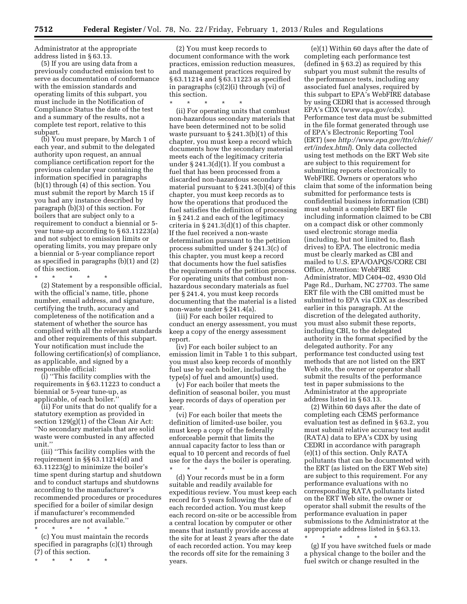Administrator at the appropriate address listed in § 63.13.

(5) If you are using data from a previously conducted emission test to serve as documentation of conformance with the emission standards and operating limits of this subpart, you must include in the Notification of Compliance Status the date of the test and a summary of the results, not a complete test report, relative to this subpart.

(b) You must prepare, by March 1 of each year, and submit to the delegated authority upon request, an annual compliance certification report for the previous calendar year containing the information specified in paragraphs (b)(1) through (4) of this section. You must submit the report by March 15 if you had any instance described by paragraph (b)(3) of this section. For boilers that are subject only to a requirement to conduct a biennial or 5 year tune-up according to § 63.11223(a) and not subject to emission limits or operating limits, you may prepare only a biennial or 5-year compliance report as specified in paragraphs (b)(1) and (2) of this section.

\* \* \* \* \* (2) Statement by a responsible official, with the official's name, title, phone number, email address, and signature, certifying the truth, accuracy and completeness of the notification and a statement of whether the source has complied with all the relevant standards and other requirements of this subpart. Your notification must include the following certification(s) of compliance,

responsible official: (i) ''This facility complies with the requirements in § 63.11223 to conduct a biennial or 5-year tune-up, as applicable, of each boiler.''

as applicable, and signed by a

(ii) For units that do not qualify for a statutory exemption as provided in section 129(g)(1) of the Clean Air Act: ''No secondary materials that are solid waste were combusted in any affected unit.''

(iii) ''This facility complies with the requirement in §§ 63.11214(d) and 63.11223(g) to minimize the boiler's time spent during startup and shutdown and to conduct startups and shutdowns according to the manufacturer's recommended procedures or procedures specified for a boiler of similar design if manufacturer's recommended procedures are not available.''

\* \* \* \* \* (c) You must maintain the records specified in paragraphs (c)(1) through (7) of this section.

\* \* \* \* \*

(2) You must keep records to document conformance with the work practices, emission reduction measures, and management practices required by § 63.11214 and § 63.11223 as specified in paragraphs (c)(2)(i) through (vi) of this section.

\* \* \* \* \* (ii) For operating units that combust non-hazardous secondary materials that have been determined not to be solid waste pursuant to § 241.3(b)(1) of this chapter, you must keep a record which documents how the secondary material meets each of the legitimacy criteria under § 241.3(d)(1). If you combust a fuel that has been processed from a discarded non-hazardous secondary material pursuant to § 241.3(b)(4) of this chapter, you must keep records as to how the operations that produced the fuel satisfies the definition of processing in § 241.2 and each of the legitimacy criteria in  $\S 241.3(d)(1)$  of this chapter. If the fuel received a non-waste determination pursuant to the petition process submitted under § 241.3(c) of this chapter, you must keep a record that documents how the fuel satisfies the requirements of the petition process. For operating units that combust nonhazardous secondary materials as fuel per § 241.4, you must keep records documenting that the material is a listed non-waste under § 241.4(a).

(iii) For each boiler required to conduct an energy assessment, you must keep a copy of the energy assessment report.

(iv) For each boiler subject to an emission limit in Table 1 to this subpart, you must also keep records of monthly fuel use by each boiler, including the type(s) of fuel and amount(s) used.

(v) For each boiler that meets the definition of seasonal boiler, you must keep records of days of operation per year.

(vi) For each boiler that meets the definition of limited-use boiler, you must keep a copy of the federally enforceable permit that limits the annual capacity factor to less than or equal to 10 percent and records of fuel use for the days the boiler is operating.

\* \* \* \* \* (d) Your records must be in a form suitable and readily available for expeditious review. You must keep each record for 5 years following the date of each recorded action. You must keep each record on-site or be accessible from a central location by computer or other means that instantly provide access at the site for at least 2 years after the date of each recorded action. You may keep the records off site for the remaining 3 years.

(e)(1) Within 60 days after the date of completing each performance test (defined in § 63.2) as required by this subpart you must submit the results of the performance tests, including any associated fuel analyses, required by this subpart to EPA's WebFIRE database by using CEDRI that is accessed through EPA's CDX [\(www.epa.gov/cdx\).](http://www.epa.gov/cdx)  Performance test data must be submitted in the file format generated through use of EPA's Electronic Reporting Tool (ERT) (see *[http://www.epa.gov/ttn/chief/](http://www.epa.gov/ttn/chief/ert/index.html)  [ert/index.html](http://www.epa.gov/ttn/chief/ert/index.html)*). Only data collected using test methods on the ERT Web site are subject to this requirement for submitting reports electronically to WebFIRE. Owners or operators who claim that some of the information being submitted for performance tests is confidential business information (CBI) must submit a complete ERT file including information claimed to be CBI on a compact disk or other commonly used electronic storage media (including, but not limited to, flash drives) to EPA. The electronic media must be clearly marked as CBI and mailed to U.S. EPA/OAPQS/CORE CBI Office, Attention: WebFIRE Administrator, MD C404–02, 4930 Old Page Rd., Durham, NC 27703. The same ERT file with the CBI omitted must be submitted to EPA via CDX as described earlier in this paragraph. At the discretion of the delegated authority, you must also submit these reports, including CBI, to the delegated authority in the format specified by the delegated authority. For any performance test conducted using test methods that are not listed on the ERT Web site, the owner or operator shall submit the results of the performance test in paper submissions to the Administrator at the appropriate address listed in § 63.13.

(2) Within 60 days after the date of completing each CEMS performance evaluation test as defined in § 63.2, you must submit relative accuracy test audit (RATA) data to EPA's CDX by using CEDRI in accordance with paragraph (e)(1) of this section. Only RATA pollutants that can be documented with the ERT (as listed on the ERT Web site) are subject to this requirement. For any performance evaluations with no corresponding RATA pollutants listed on the ERT Web site, the owner or operator shall submit the results of the performance evaluation in paper submissions to the Administrator at the appropriate address listed in § 63.13.

\* \* \* \* \* (g) If you have switched fuels or made a physical change to the boiler and the fuel switch or change resulted in the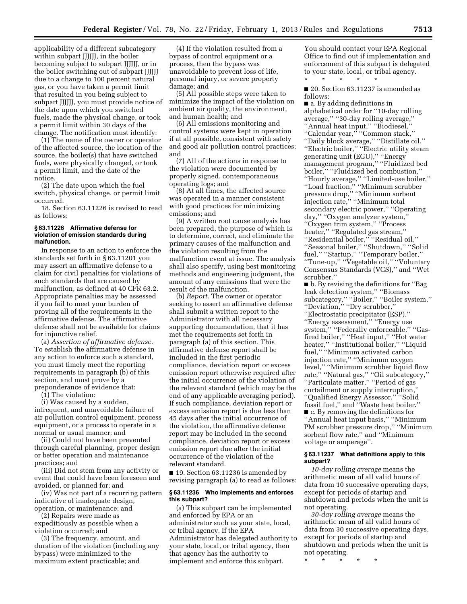applicability of a different subcategory within subpart JJJJJJ, in the boiler becoming subject to subpart JJJJJJ, or in the boiler switching out of subpart JJJJJJ due to a change to 100 percent natural gas, or you have taken a permit limit that resulted in you being subject to subpart JJJJJJ, you must provide notice of the date upon which you switched fuels, made the physical change, or took a permit limit within 30 days of the change. The notification must identify:

(1) The name of the owner or operator of the affected source, the location of the source, the boiler(s) that have switched fuels, were physically changed, or took a permit limit, and the date of the notice.

(2) The date upon which the fuel switch, physical change, or permit limit occurred.

18. Section 63.11226 is revised to read as follows:

#### **§ 63.11226 Affirmative defense for violation of emission standards during malfunction.**

In response to an action to enforce the standards set forth in § 63.11201 you may assert an affirmative defense to a claim for civil penalties for violations of such standards that are caused by malfunction, as defined at 40 CFR 63.2. Appropriate penalties may be assessed if you fail to meet your burden of proving all of the requirements in the affirmative defense. The affirmative defense shall not be available for claims for injunctive relief.

(a) *Assertion of affirmative defense.*  To establish the affirmative defense in any action to enforce such a standard, you must timely meet the reporting requirements in paragraph (b) of this section, and must prove by a preponderance of evidence that:

 $(i)$  The violation:

(i) Was caused by a sudden, infrequent, and unavoidable failure of air pollution control equipment, process equipment, or a process to operate in a normal or usual manner; and

(ii) Could not have been prevented through careful planning, proper design or better operation and maintenance practices; and

(iii) Did not stem from any activity or event that could have been foreseen and avoided, or planned for; and

(iv) Was not part of a recurring pattern indicative of inadequate design, operation, or maintenance; and

(2) Repairs were made as expeditiously as possible when a violation occurred; and

(3) The frequency, amount, and duration of the violation (including any bypass) were minimized to the maximum extent practicable; and

(4) If the violation resulted from a bypass of control equipment or a process, then the bypass was unavoidable to prevent loss of life, personal injury, or severe property damage; and

(5) All possible steps were taken to minimize the impact of the violation on ambient air quality, the environment, and human health; and

(6) All emissions monitoring and control systems were kept in operation if at all possible, consistent with safety and good air pollution control practices; and

(7) All of the actions in response to the violation were documented by properly signed, contemporaneous operating logs; and

(8) At all times, the affected source was operated in a manner consistent with good practices for minimizing emissions; and

(9) A written root cause analysis has been prepared, the purpose of which is to determine, correct, and eliminate the primary causes of the malfunction and the violation resulting from the malfunction event at issue. The analysis shall also specify, using best monitoring methods and engineering judgment, the amount of any emissions that were the result of the malfunction.

(b) *Report.* The owner or operator seeking to assert an affirmative defense shall submit a written report to the Administrator with all necessary supporting documentation, that it has met the requirements set forth in paragraph (a) of this section. This affirmative defense report shall be included in the first periodic compliance, deviation report or excess emission report otherwise required after the initial occurrence of the violation of the relevant standard (which may be the end of any applicable averaging period). If such compliance, deviation report or excess emission report is due less than 45 days after the initial occurrence of the violation, the affirmative defense report may be included in the second compliance, deviation report or excess emission report due after the initial occurrence of the violation of the relevant standard.

■ 19. Section 63.11236 is amended by revising paragraph (a) to read as follows:

#### **§ 63.11236 Who implements and enforces this subpart?**

(a) This subpart can be implemented and enforced by EPA or an administrator such as your state, local, or tribal agency. If the EPA Administrator has delegated authority to your state, local, or tribal agency, then that agency has the authority to implement and enforce this subpart.

You should contact your EPA Regional Office to find out if implementation and enforcement of this subpart is delegated to your state, local, or tribal agency.

■ 20. Section 63.11237 is amended as follows:

\* \* \* \* \*

■ a. By adding definitions in alphabetical order for ''10-day rolling average,'' ''30-day rolling average,'' ''Annual heat input,'' ''Biodiesel,'' ''Calendar year,'' ''Common stack,'' ''Daily block average,'' ''Distillate oil,'' ''Electric boiler,'' ''Electric utility steam generating unit (EGU),'' ''Energy management program," "Fluidized bed boiler,'' ''Fluidized bed combustion,'' ''Hourly average,'' ''Limited-use boiler,'' ''Load fraction,'' ''Minimum scrubber pressure drop,'' ''Minimum sorbent injection rate,'' ''Minimum total secondary electric power,'' ''Operating day,'' ''Oxygen analyzer system,'' ''Oxygen trim system,'' ''Process heater," "Regulated gas stream," ''Residential boiler,'' ''Residual oil,'' ''Seasonal boiler,'' ''Shutdown,'' ''Solid fuel," "Startup," "Temporary boiler," ''Tune-up,'' ''Vegetable oil,'' ''Voluntary Consensus Standards (VCS),'' and ''Wet scrubber.''

■ b. By revising the definitions for "Bag leak detection system,'' ''Biomass subcategory,'' ''Boiler,'' ''Boiler system,'' ''Deviation,'' ''Dry scrubber,'' ''Electrostatic precipitator (ESP),'' ''Energy assessment,'' ''Energy use system," "Federally enforceable," "Gasfired boiler,'' ''Heat input,'' ''Hot water heater,'' ''Institutional boiler,'' ''Liquid fuel,'' ''Minimum activated carbon injection rate,'' ''Minimum oxygen level,'' ''Minimum scrubber liquid flow rate,'' ''Natural gas,'' ''Oil subcategory,'' ''Particulate matter,'' ''Period of gas curtailment or supply interruption,'' ''Qualified Energy Assessor,'' ''Solid fossil fuel,'' and ''Waste heat boiler.'' ■ c. By removing the definitions for ''Annual heat input basis,'' ''Minimum PM scrubber pressure drop,'' ''Minimum sorbent flow rate,'' and ''Minimum voltage or amperage''.

#### **§ 63.11237 What definitions apply to this subpart?**

*10-day rolling average* means the arithmetic mean of all valid hours of data from 10 successive operating days, except for periods of startup and shutdown and periods when the unit is not operating.

*30-day rolling average* means the arithmetic mean of all valid hours of data from 30 successive operating days, except for periods of startup and shutdown and periods when the unit is not operating.

\* \* \* \* \*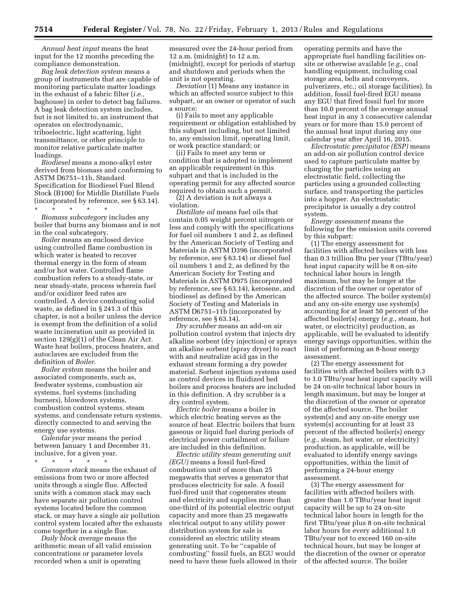*Annual heat input* means the heat input for the 12 months preceding the compliance demonstration.

*Bag leak detection system* means a group of instruments that are capable of monitoring particulate matter loadings in the exhaust of a fabric filter (*i.e.,*  baghouse) in order to detect bag failures. A bag leak detection system includes, but is not limited to, an instrument that operates on electrodynamic, triboelectric, light scattering, light transmittance, or other principle to monitor relative particulate matter loadings.

*Biodiesel* means a mono-alkyl ester derived from biomass and conforming to ASTM D6751–11b, Standard Specification for Biodiesel Fuel Blend Stock (B100) for Middle Distillate Fuels (incorporated by reference, see § 63.14). \* \* \* \* \*

*Biomass subcategory* includes any boiler that burns any biomass and is not in the coal subcategory.

*Boiler* means an enclosed device using controlled flame combustion in which water is heated to recover thermal energy in the form of steam and/or hot water. Controlled flame combustion refers to a steady-state, or near steady-state, process wherein fuel and/or oxidizer feed rates are controlled. A device combusting solid waste, as defined in § 241.3 of this chapter, is not a boiler unless the device is exempt from the definition of a solid waste incineration unit as provided in section 129(g)(1) of the Clean Air Act. Waste heat boilers, process heaters, and autoclaves are excluded from the definition of *Boiler*.

*Boiler system* means the boiler and associated components, such as, feedwater systems, combustion air systems, fuel systems (including burners), blowdown systems, combustion control systems, steam systems, and condensate return systems, directly connected to and serving the energy use systems.

*Calendar year* means the period between January 1 and December 31, inclusive, for a given year.

\* \* \* \* \*

*Common stack* means the exhaust of emissions from two or more affected units through a single flue. Affected units with a common stack may each have separate air pollution control systems located before the common stack, or may have a single air pollution control system located after the exhausts come together in a single flue.

*Daily block average* means the arithmetic mean of all valid emission concentrations or parameter levels recorded when a unit is operating

measured over the 24-hour period from 12 a.m. (midnight) to 12 a.m. (midnight), except for periods of startup and shutdown and periods when the unit is not operating.

*Deviation* (1) Means any instance in which an affected source subject to this subpart, or an owner or operator of such a source:

(i) Fails to meet any applicable requirement or obligation established by this subpart including, but not limited to, any emission limit, operating limit, or work practice standard; or

(ii) Fails to meet any term or condition that is adopted to implement an applicable requirement in this subpart and that is included in the operating permit for any affected source required to obtain such a permit.

(2) A deviation is not always a violation.

*Distillate oil* means fuel oils that contain 0.05 weight percent nitrogen or less and comply with the specifications for fuel oil numbers 1 and 2, as defined by the American Society of Testing and Materials in ASTM D396 (incorporated by reference, see § 63.14) or diesel fuel oil numbers 1 and 2, as defined by the American Society for Testing and Materials in ASTM D975 (incorporated by reference, see § 63.14), kerosene, and biodiesel as defined by the American Society of Testing and Materials in ASTM D6751–11b (incorporated by reference, see § 63.14).

*Dry scrubber* means an add-on air pollution control system that injects dry alkaline sorbent (dry injection) or sprays an alkaline sorbent (spray dryer) to react with and neutralize acid gas in the exhaust stream forming a dry powder material. Sorbent injection systems used as control devices in fluidized bed boilers and process heaters are included in this definition. A dry scrubber is a dry control system.

*Electric boiler* means a boiler in which electric heating serves as the source of heat. Electric boilers that burn gaseous or liquid fuel during periods of electrical power curtailment or failure are included in this definition.

*Electric utility steam generating unit (EGU)* means a fossil fuel-fired combustion unit of more than 25 megawatts that serves a generator that produces electricity for sale. A fossil fuel-fired unit that cogenerates steam and electricity and supplies more than one-third of its potential electric output capacity and more than 25 megawatts electrical output to any utility power distribution system for sale is considered an electric utility steam generating unit. To be ''capable of combusting'' fossil fuels, an EGU would need to have these fuels allowed in their operating permits and have the appropriate fuel handling facilities onsite or otherwise available (*e.g.,* coal handling equipment, including coal storage area, belts and conveyers, pulverizers, etc.; oil storage facilities). In addition, fossil fuel-fired EGU means any EGU that fired fossil fuel for more than 10.0 percent of the average annual heat input in any 3 consecutive calendar years or for more than 15.0 percent of the annual heat input during any one calendar year after April 16, 2015.

*Electrostatic precipitator (ESP)* means an add-on air pollution control device used to capture particulate matter by charging the particles using an electrostatic field, collecting the particles using a grounded collecting surface, and transporting the particles into a hopper. An electrostatic precipitator is usually a dry control system.

*Energy assessment* means the following for the emission units covered by this subpart:

(1) The energy assessment for facilities with affected boilers with less than 0.3 trillion Btu per year (TBtu/year) heat input capacity will be 8 on-site technical labor hours in length maximum, but may be longer at the discretion of the owner or operator of the affected source. The boiler system(s) and any on-site energy use system(s) accounting for at least 50 percent of the affected boiler(s) energy (*e.g.,* steam, hot water, or electricity) production, as applicable, will be evaluated to identify energy savings opportunities, within the limit of performing an 8-hour energy assessment.

(2) The energy assessment for facilities with affected boilers with 0.3 to 1.0 TBtu/year heat input capacity will be 24 on-site technical labor hours in length maximum, but may be longer at the discretion of the owner or operator of the affected source. The boiler system(s) and any on-site energy use system(s) accounting for at least 33 percent of the affected boiler(s) energy (*e.g.,* steam, hot water, or electricity) production, as applicable, will be evaluated to identify energy savings opportunities, within the limit of performing a 24-hour energy assessment.

(3) The energy assessment for facilities with affected boilers with greater than 1.0 TBtu/year heat input capacity will be up to 24 on-site technical labor hours in length for the first TBtu/year plus 8 on-site technical labor hours for every additional 1.0 TBtu/year not to exceed 160 on-site technical hours, but may be longer at the discretion of the owner or operator of the affected source. The boiler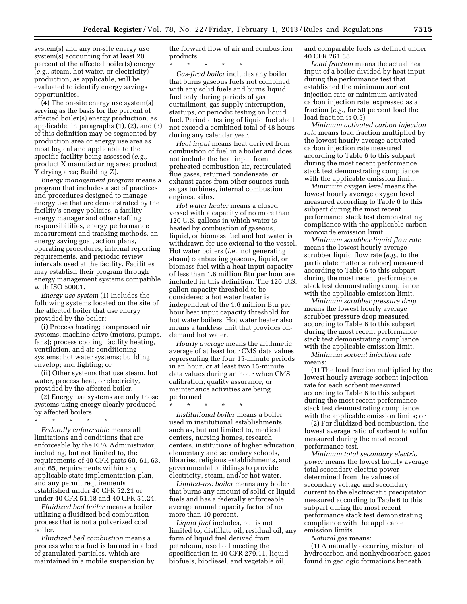system(s) and any on-site energy use system(s) accounting for at least 20 percent of the affected boiler(s) energy (*e.g.,* steam, hot water, or electricity) production, as applicable, will be evaluated to identify energy savings opportunities.

(4) The on-site energy use system(s) serving as the basis for the percent of affected boiler(s) energy production, as applicable, in paragraphs (1), (2), and (3) of this definition may be segmented by production area or energy use area as most logical and applicable to the specific facility being assessed (*e.g.,*  product X manufacturing area; product Y drying area; Building Z).

*Energy management program* means a program that includes a set of practices and procedures designed to manage energy use that are demonstrated by the facility's energy policies, a facility energy manager and other staffing responsibilities, energy performance measurement and tracking methods, an energy saving goal, action plans, operating procedures, internal reporting requirements, and periodic review intervals used at the facility. Facilities may establish their program through energy management systems compatible with ISO 50001.

*Energy use system* (1) Includes the following systems located on the site of the affected boiler that use energy provided by the boiler:

(i) Process heating; compressed air systems; machine drive (motors, pumps, fans); process cooling; facility heating, ventilation, and air conditioning systems; hot water systems; building envelop; and lighting; or

(ii) Other systems that use steam, hot water, process heat, or electricity, provided by the affected boiler.

(2) Energy use systems are only those systems using energy clearly produced by affected boilers.

\* \* \* \* \*

*Federally enforceable* means all limitations and conditions that are enforceable by the EPA Administrator, including, but not limited to, the requirements of 40 CFR parts 60, 61, 63, and 65, requirements within any applicable state implementation plan, and any permit requirements established under 40 CFR 52.21 or under 40 CFR 51.18 and 40 CFR 51.24.

*Fluidized bed boiler* means a boiler utilizing a fluidized bed combustion process that is not a pulverized coal boiler.

*Fluidized bed combustion* means a process where a fuel is burned in a bed of granulated particles, which are maintained in a mobile suspension by

the forward flow of air and combustion products.

\* \* \* \* \* *Gas-fired boiler* includes any boiler that burns gaseous fuels not combined with any solid fuels and burns liquid fuel only during periods of gas curtailment, gas supply interruption, startups, or periodic testing on liquid fuel. Periodic testing of liquid fuel shall not exceed a combined total of 48 hours during any calendar year.

*Heat input* means heat derived from combustion of fuel in a boiler and does not include the heat input from preheated combustion air, recirculated flue gases, returned condensate, or exhaust gases from other sources such as gas turbines, internal combustion engines, kilns.

*Hot water heater* means a closed vessel with a capacity of no more than 120 U.S. gallons in which water is heated by combustion of gaseous, liquid, or biomass fuel and hot water is withdrawn for use external to the vessel. Hot water boilers (*i.e.,* not generating steam) combusting gaseous, liquid, or biomass fuel with a heat input capacity of less than 1.6 million Btu per hour are included in this definition. The 120 U.S. gallon capacity threshold to be considered a hot water heater is independent of the 1.6 million Btu per hour heat input capacity threshold for hot water boilers. Hot water heater also means a tankless unit that provides ondemand hot water.

*Hourly average* means the arithmetic average of at least four CMS data values representing the four 15-minute periods in an hour, or at least two 15-minute data values during an hour when CMS calibration, quality assurance, or maintenance activities are being performed.

\* \* \* \* \*

*Institutional boiler* means a boiler used in institutional establishments such as, but not limited to, medical centers, nursing homes, research centers, institutions of higher education, elementary and secondary schools, libraries, religious establishments, and governmental buildings to provide electricity, steam, and/or hot water.

*Limited-use boiler* means any boiler that burns any amount of solid or liquid fuels and has a federally enforceable average annual capacity factor of no more than 10 percent.

*Liquid fuel* includes, but is not limited to, distillate oil, residual oil, any form of liquid fuel derived from petroleum, used oil meeting the specification in 40 CFR 279.11, liquid biofuels, biodiesel, and vegetable oil,

and comparable fuels as defined under 40 CFR 261.38.

*Load fraction* means the actual heat input of a boiler divided by heat input during the performance test that established the minimum sorbent injection rate or minimum activated carbon injection rate, expressed as a fraction (*e.g.,* for 50 percent load the load fraction is 0.5).

*Minimum activated carbon injection rate* means load fraction multiplied by the lowest hourly average activated carbon injection rate measured according to Table 6 to this subpart during the most recent performance stack test demonstrating compliance with the applicable emission limit.

*Minimum oxygen level* means the lowest hourly average oxygen level measured according to Table 6 to this subpart during the most recent performance stack test demonstrating compliance with the applicable carbon monoxide emission limit.

*Minimum scrubber liquid flow rate*  means the lowest hourly average scrubber liquid flow rate (*e.g.,* to the particulate matter scrubber) measured according to Table 6 to this subpart during the most recent performance stack test demonstrating compliance with the applicable emission limit.

*Minimum scrubber pressure drop*  means the lowest hourly average scrubber pressure drop measured according to Table 6 to this subpart during the most recent performance stack test demonstrating compliance with the applicable emission limit.

*Minimum sorbent injection rate*  means:

(1) The load fraction multiplied by the lowest hourly average sorbent injection rate for each sorbent measured according to Table 6 to this subpart during the most recent performance stack test demonstrating compliance with the applicable emission limits; or

(2) For fluidized bed combustion, the lowest average ratio of sorbent to sulfur measured during the most recent performance test.

*Minimum total secondary electric power* means the lowest hourly average total secondary electric power determined from the values of secondary voltage and secondary current to the electrostatic precipitator measured according to Table 6 to this subpart during the most recent performance stack test demonstrating compliance with the applicable emission limits.

*Natural gas* means:

(1) A naturally occurring mixture of hydrocarbon and nonhydrocarbon gases found in geologic formations beneath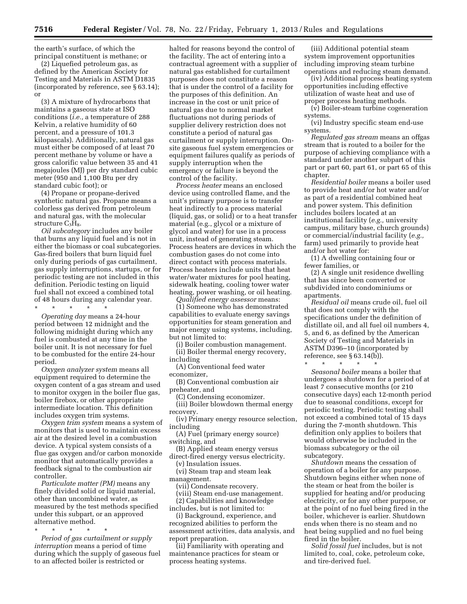the earth's surface, of which the principal constituent is methane; or

(2) Liquefied petroleum gas, as defined by the American Society for Testing and Materials in ASTM D1835 (incorporated by reference, see § 63.14); or

(3) A mixture of hydrocarbons that maintains a gaseous state at ISO conditions (*i.e.,* a temperature of 288 Kelvin, a relative humidity of 60 percent, and a pressure of 101.3 kilopascals). Additionally, natural gas must either be composed of at least 70 percent methane by volume or have a gross calorific value between 35 and 41 megajoules (MJ) per dry standard cubic meter (950 and 1,100 Btu per dry standard cubic foot); or

(4) Propane or propane-derived synthetic natural gas. Propane means a colorless gas derived from petroleum and natural gas, with the molecular structure  $C_3H_8$ .

*Oil subcategory* includes any boiler that burns any liquid fuel and is not in either the biomass or coal subcategories. Gas-fired boilers that burn liquid fuel only during periods of gas curtailment, gas supply interruptions, startups, or for periodic testing are not included in this definition. Periodic testing on liquid fuel shall not exceed a combined total of 48 hours during any calendar year.

\* \* \* \* \*

*Operating day* means a 24-hour period between 12 midnight and the following midnight during which any fuel is combusted at any time in the boiler unit. It is not necessary for fuel to be combusted for the entire 24-hour period.

*Oxygen analyzer system* means all equipment required to determine the oxygen content of a gas stream and used to monitor oxygen in the boiler flue gas, boiler firebox, or other appropriate intermediate location. This definition includes oxygen trim systems.

*Oxygen trim system* means a system of monitors that is used to maintain excess air at the desired level in a combustion device. A typical system consists of a flue gas oxygen and/or carbon monoxide monitor that automatically provides a feedback signal to the combustion air controller.

*Particulate matter (PM)* means any finely divided solid or liquid material, other than uncombined water, as measured by the test methods specified under this subpart, or an approved alternative method.

\* \* \* \* \* *Period of gas curtailment or supply interruption* means a period of time during which the supply of gaseous fuel to an affected boiler is restricted or

halted for reasons beyond the control of the facility. The act of entering into a contractual agreement with a supplier of natural gas established for curtailment purposes does not constitute a reason that is under the control of a facility for the purposes of this definition. An increase in the cost or unit price of natural gas due to normal market fluctuations not during periods of supplier delivery restriction does not constitute a period of natural gas curtailment or supply interruption. Onsite gaseous fuel system emergencies or equipment failures qualify as periods of supply interruption when the emergency or failure is beyond the control of the facility.

*Process heater* means an enclosed device using controlled flame, and the unit's primary purpose is to transfer heat indirectly to a process material (liquid, gas, or solid) or to a heat transfer material (e.g., glycol or a mixture of glycol and water) for use in a process unit, instead of generating steam. Process heaters are devices in which the combustion gases do not come into direct contact with process materials. Process heaters include units that heat water/water mixtures for pool heating, sidewalk heating, cooling tower water heating, power washing, or oil heating.

*Qualified energy assessor* means: (1) Someone who has demonstrated capabilities to evaluate energy savings opportunities for steam generation and major energy using systems, including, but not limited to:

(i) Boiler combustion management. (ii) Boiler thermal energy recovery, including

(A) Conventional feed water economizer,

(B) Conventional combustion air preheater, and

(C) Condensing economizer.

(iii) Boiler blowdown thermal energy recovery.

(iv) Primary energy resource selection, including

(A) Fuel (primary energy source) switching, and

(B) Applied steam energy versus direct-fired energy versus electricity.

(v) Insulation issues.

(vi) Steam trap and steam leak management.

(vii) Condensate recovery.

(viii) Steam end-use management.

(2) Capabilities and knowledge

includes, but is not limited to:

(i) Background, experience, and recognized abilities to perform the assessment activities, data analysis, and report preparation.

(ii) Familiarity with operating and maintenance practices for steam or process heating systems.

(iii) Additional potential steam system improvement opportunities including improving steam turbine operations and reducing steam demand.

(iv) Additional process heating system opportunities including effective utilization of waste heat and use of proper process heating methods.

(v) Boiler-steam turbine cogeneration systems.

(vi) Industry specific steam end-use systems.

*Regulated gas stream* means an offgas stream that is routed to a boiler for the purpose of achieving compliance with a standard under another subpart of this part or part 60, part 61, or part 65 of this chapter.

*Residential boiler* means a boiler used to provide heat and/or hot water and/or as part of a residential combined heat and power system. This definition includes boilers located at an institutional facility (*e.g.,* university campus, military base, church grounds) or commercial/industrial facility (*e.g.,*  farm) used primarily to provide heat and/or hot water for:

(1) A dwelling containing four or fewer families, or

(2) A single unit residence dwelling that has since been converted or subdivided into condominiums or apartments.

*Residual oil* means crude oil, fuel oil that does not comply with the specifications under the definition of distillate oil, and all fuel oil numbers 4, 5, and 6, as defined by the American Society of Testing and Materials in ASTM D396–10 (incorporated by reference, see § 63.14(b)).

\* \* \* \* \*

*Seasonal boiler* means a boiler that undergoes a shutdown for a period of at least 7 consecutive months (or 210 consecutive days) each 12-month period due to seasonal conditions, except for periodic testing. Periodic testing shall not exceed a combined total of 15 days during the 7-month shutdown. This definition only applies to boilers that would otherwise be included in the biomass subcategory or the oil subcategory.

*Shutdown* means the cessation of operation of a boiler for any purpose. Shutdown begins either when none of the steam or heat from the boiler is supplied for heating and/or producing electricity, or for any other purpose, or at the point of no fuel being fired in the boiler, whichever is earlier. Shutdown ends when there is no steam and no heat being supplied and no fuel being fired in the boiler.

*Solid fossil fuel* includes, but is not limited to, coal, coke, petroleum coke, and tire-derived fuel.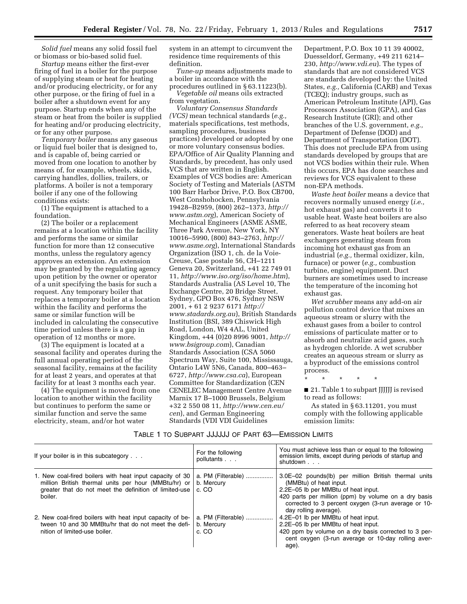*Solid fuel* means any solid fossil fuel or biomass or bio-based solid fuel.

*Startup* means either the first-ever firing of fuel in a boiler for the purpose of supplying steam or heat for heating and/or producing electricity, or for any other purpose, or the firing of fuel in a boiler after a shutdown event for any purpose. Startup ends when any of the steam or heat from the boiler is supplied for heating and/or producing electricity, or for any other purpose.

*Temporary boiler* means any gaseous or liquid fuel boiler that is designed to, and is capable of, being carried or moved from one location to another by means of, for example, wheels, skids, carrying handles, dollies, trailers, or platforms. A boiler is not a temporary boiler if any one of the following conditions exists:

(1) The equipment is attached to a foundation.

(2) The boiler or a replacement remains at a location within the facility and performs the same or similar function for more than 12 consecutive months, unless the regulatory agency approves an extension. An extension may be granted by the regulating agency upon petition by the owner or operator of a unit specifying the basis for such a request. Any temporary boiler that replaces a temporary boiler at a location within the facility and performs the same or similar function will be included in calculating the consecutive time period unless there is a gap in operation of 12 months or more.

(3) The equipment is located at a seasonal facility and operates during the full annual operating period of the seasonal facility, remains at the facility for at least 2 years, and operates at that facility for at least 3 months each year.

(4) The equipment is moved from one location to another within the facility but continues to perform the same or similar function and serve the same electricity, steam, and/or hot water

system in an attempt to circumvent the residence time requirements of this definition.

*Tune-up* means adjustments made to a boiler in accordance with the procedures outlined in § 63.11223(b).

*Vegetable oil* means oils extracted from vegetation.

*Voluntary Consensus Standards (VCS)* mean technical standards (*e.g.,*  materials specifications, test methods, sampling procedures, business practices) developed or adopted by one or more voluntary consensus bodies. EPA/Office of Air Quality Planning and Standards, by precedent, has only used VCS that are written in English. Examples of VCS bodies are: American Society of Testing and Materials (ASTM 100 Barr Harbor Drive, P.O. Box CB700, West Conshohocken, Pennsylvania 19428–B2959, (800) 262–1373, *[http://](http://www.astm.org)  [www.astm.org](http://www.astm.org)*), American Society of Mechanical Engineers (ASME ASME, Three Park Avenue, New York, NY 10016–5990, (800) 843–2763, *[http://](http://www.asme.org)  [www.asme.org](http://www.asme.org)*), International Standards Organization (ISO 1, ch. de la Voie-Creuse, Case postale 56, CH–1211 Geneva 20, Switzerland, +41 22 749 01 11, *<http://www.iso.org/iso/home.htm>*), Standards Australia (AS Level 10, The Exchange Centre, 20 Bridge Street, Sydney, GPO Box 476, Sydney NSW 2001, + 61 2 9237 6171 *[http://](http://www.stadards.org.au) [www.stadards.org.au](http://www.stadards.org.au)*), British Standards Institution (BSI, 389 Chiswick High Road, London, W4 4AL, United Kingdom, +44 (0)20 8996 9001, *[http://](http://www.bsigroup.com) [www.bsigroup.com](http://www.bsigroup.com)*), Canadian Standards Association (CSA 5060 Spectrum Way, Suite 100, Mississauga, Ontario L4W 5N6, Canada, 800–463– 6727, *<http://www.csa.ca>*), European Committee for Standardization (CEN CENELEC Management Centre Avenue Marnix 17 B–1000 Brussels, Belgium +32 2 550 08 11, *[http://www.cen.eu/](http://www.cen.eu/cen) [cen](http://www.cen.eu/cen)*), and German Engineering Standards (VDI VDI Guidelines

Department, P.O. Box 10 11 39 40002, Duesseldorf, Germany, +49 211 6214– 230, *<http://www.vdi.eu>*). The types of standards that are not considered VCS are standards developed by: the United States, *e.g.,* California (CARB) and Texas (TCEQ); industry groups, such as American Petroleum Institute (API), Gas Processors Association (GPA), and Gas Research Institute (GRI); and other branches of the U.S. government, *e.g.,*  Department of Defense (DOD) and Department of Transportation (DOT). This does not preclude EPA from using standards developed by groups that are not VCS bodies within their rule. When this occurs, EPA has done searches and reviews for VCS equivalent to these non-EPA methods.

*Waste heat boiler* means a device that recovers normally unused energy (*i.e.,*  hot exhaust gas) and converts it to usable heat. Waste heat boilers are also referred to as heat recovery steam generators. Waste heat boilers are heat exchangers generating steam from incoming hot exhaust gas from an industrial (*e.g.,* thermal oxidizer, kiln, furnace) or power (*e.g.,* combustion turbine, engine) equipment. Duct burners are sometimes used to increase the temperature of the incoming hot exhaust gas.

*Wet scrubber* means any add-on air pollution control device that mixes an aqueous stream or slurry with the exhaust gases from a boiler to control emissions of particulate matter or to absorb and neutralize acid gases, such as hydrogen chloride. A wet scrubber creates an aqueous stream or slurry as a byproduct of the emissions control process.

\* \* \* \* \*

■ 21. Table 1 to subpart *JJJJJJ* is revised to read as follows:

As stated in § 63.11201, you must comply with the following applicable emission limits:

#### TABLE 1 TO SUBPART JJJJJJ OF PART 63—EMISSION LIMITS

| If your boiler is in this subcategory                                                                                                                                                 | For the following<br>pollutants           | You must achieve less than or equal to the following<br>emission limits, except during periods of startup and<br>shutdown                                                                                                                                     |
|---------------------------------------------------------------------------------------------------------------------------------------------------------------------------------------|-------------------------------------------|---------------------------------------------------------------------------------------------------------------------------------------------------------------------------------------------------------------------------------------------------------------|
| 1. New coal-fired boilers with heat input capacity of 30<br>million British thermal units per hour (MMBtu/hr) or<br>greater that do not meet the definition of limited-use<br>boiler. | a. PM (Filterable)<br>b. Mercury<br>c. CO | 3.0E-02 pounds(lb) per million British thermal units<br>(MMBtu) of heat input.<br>2.2E-05 lb per MMBtu of heat input.<br>420 parts per million (ppm) by volume on a dry basis<br>corrected to 3 percent oxygen (3-run average or 10-<br>day rolling average). |
| 2. New coal-fired boilers with heat input capacity of be-<br>tween 10 and 30 MMBtu/hr that do not meet the defi-<br>nition of limited-use boiler.                                     | a. PM (Filterable)<br>b. Mercury<br>c. CO | 4.2E-01 lb per MMBtu of heat input.<br>2.2E-05 lb per MMBtu of heat input.<br>420 ppm by volume on a dry basis corrected to 3 per-<br>cent oxygen (3-run average or 10-day rolling aver-<br>age).                                                             |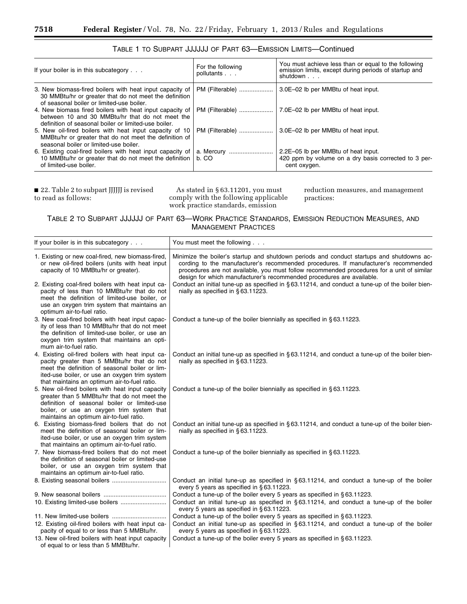| If your boiler is in this subcategory                                                                                                                               | For the following<br>pollutants | You must achieve less than or equal to the following<br>emission limits, except during periods of startup and<br>shutdown |  |
|---------------------------------------------------------------------------------------------------------------------------------------------------------------------|---------------------------------|---------------------------------------------------------------------------------------------------------------------------|--|
| 3. New biomass-fired boilers with heat input capacity of<br>30 MMB tu/hr or greater that do not meet the definition<br>of seasonal boiler or limited-use boiler.    | PM (Filterable)                 | 3.0E-02 lb per MMBtu of heat input.                                                                                       |  |
| 4. New biomass fired boilers with heat input capacity of<br>between 10 and 30 MMBtu/hr that do not meet the<br>definition of seasonal boiler or limited-use boiler. | PM (Filterable)                 | 7.0E-02 lb per MMBtu of heat input.                                                                                       |  |
| 5. New oil-fired boilers with heat input capacity of 10<br>MMBtu/hr or greater that do not meet the definition of<br>seasonal boiler or limited-use boiler.         | PM (Filterable)                 | 3.0E-02 lb per MMBtu of heat input.                                                                                       |  |
| 6. Existing coal-fired boilers with heat input capacity of<br>10 MMBtu/hr or greater that do not meet the definition<br>of limited-use boiler.                      | b. CO                           | 2.2E-05 lb per MMBtu of heat input.<br>420 ppm by volume on a dry basis corrected to 3 per-<br>cent oxygen.               |  |

#### TABLE 1 TO SUBPART JJJJJJ OF PART 63—EMISSION LIMITS—Continued

■ 22. Table 2 to subpart JJJJJJ is revised to read as follows:

As stated in § 63.11201, you must comply with the following applicable work practice standards, emission

reduction measures, and management practices:

#### TABLE 2 TO SUBPART JJJJJJ OF PART 63—WORK PRACTICE STANDARDS, EMISSION REDUCTION MEASURES, AND MANAGEMENT PRACTICES

| If your boiler is in this subcategory                                                                                                                                                                                                              | You must meet the following                                                                                                                                                                                                                                                                                                                             |
|----------------------------------------------------------------------------------------------------------------------------------------------------------------------------------------------------------------------------------------------------|---------------------------------------------------------------------------------------------------------------------------------------------------------------------------------------------------------------------------------------------------------------------------------------------------------------------------------------------------------|
| 1. Existing or new coal-fired, new biomass-fired,<br>or new oil-fired boilers (units with heat input<br>capacity of 10 MMBtu/hr or greater).                                                                                                       | Minimize the boiler's startup and shutdown periods and conduct startups and shutdowns ac-<br>cording to the manufacturer's recommended procedures. If manufacturer's recommended<br>procedures are not available, you must follow recommended procedures for a unit of similar<br>design for which manufacturer's recommended procedures are available. |
| 2. Existing coal-fired boilers with heat input ca-<br>pacity of less than 10 MMBtu/hr that do not<br>meet the definition of limited-use boiler, or<br>use an oxygen trim system that maintains an<br>optimum air-to-fuel ratio.                    | Conduct an initial tune-up as specified in $\S 63.11214$ , and conduct a tune-up of the boiler bien-<br>nially as specified in §63.11223.                                                                                                                                                                                                               |
| 3. New coal-fired boilers with heat input capac-<br>ity of less than 10 MMBtu/hr that do not meet<br>the definition of limited-use boiler, or use an<br>oxygen trim system that maintains an opti-<br>mum air-to-fuel ratio.                       | Conduct a tune-up of the boiler biennially as specified in $\S 63.11223$ .                                                                                                                                                                                                                                                                              |
| 4. Existing oil-fired boilers with heat input ca-<br>pacity greater than 5 MMBtu/hr that do not<br>meet the definition of seasonal boiler or lim-<br>ited-use boiler, or use an oxygen trim system<br>that maintains an optimum air-to-fuel ratio. | Conduct an initial tune-up as specified in $\S 63.11214$ , and conduct a tune-up of the boiler bien-<br>nially as specified in §63.11223.                                                                                                                                                                                                               |
| 5. New oil-fired boilers with heat input capacity<br>greater than 5 MMBtu/hr that do not meet the<br>definition of seasonal boiler or limited-use<br>boiler, or use an oxygen trim system that<br>maintains an optimum air-to-fuel ratio.          | Conduct a tune-up of the boiler biennially as specified in $\S 63.11223$ .                                                                                                                                                                                                                                                                              |
| 6. Existing biomass-fired boilers that do not<br>meet the definition of seasonal boiler or lim-<br>ited-use boiler, or use an oxygen trim system<br>that maintains an optimum air-to-fuel ratio.                                                   | Conduct an initial tune-up as specified in $\S 63.11214$ , and conduct a tune-up of the boiler bien-<br>nially as specified in §63.11223.                                                                                                                                                                                                               |
| 7. New biomass-fired boilers that do not meet<br>the definition of seasonal boiler or limited-use<br>boiler, or use an oxygen trim system that<br>maintains an optimum air-to-fuel ratio.                                                          | Conduct a tune-up of the boiler biennially as specified in $\S 63.11223$ .                                                                                                                                                                                                                                                                              |
|                                                                                                                                                                                                                                                    | Conduct an initial tune-up as specified in $\S 63.11214$ , and conduct a tune-up of the boiler<br>every 5 years as specified in §63.11223.                                                                                                                                                                                                              |
|                                                                                                                                                                                                                                                    | Conduct a tune-up of the boiler every 5 years as specified in §63.11223.                                                                                                                                                                                                                                                                                |
|                                                                                                                                                                                                                                                    | Conduct an initial tune-up as specified in $\S 63.11214$ , and conduct a tune-up of the boiler<br>every 5 years as specified in §63.11223.                                                                                                                                                                                                              |
|                                                                                                                                                                                                                                                    | Conduct a tune-up of the boiler every 5 years as specified in §63.11223.                                                                                                                                                                                                                                                                                |
| 12. Existing oil-fired boilers with heat input ca-<br>pacity of equal to or less than 5 MMBtu/hr.                                                                                                                                                  | Conduct an initial tune-up as specified in §63.11214, and conduct a tune-up of the boiler<br>every 5 years as specified in §63.11223.                                                                                                                                                                                                                   |
| 13. New oil-fired boilers with heat input capacity<br>of equal to or less than 5 MMBtu/hr.                                                                                                                                                         | Conduct a tune-up of the boiler every 5 years as specified in §63.11223.                                                                                                                                                                                                                                                                                |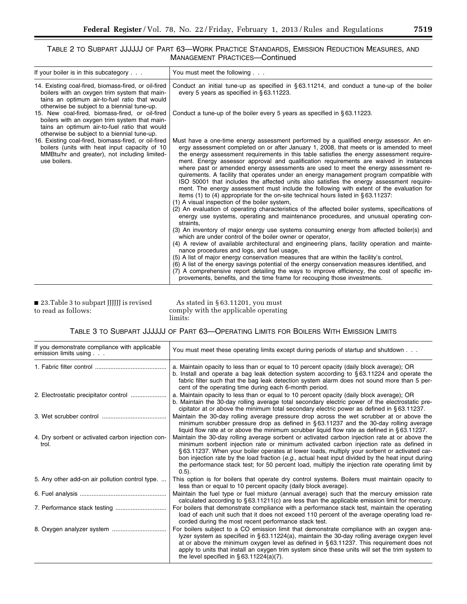#### TABLE 2 TO SUBPART JJJJJJ OF PART 63—WORK PRACTICE STANDARDS, EMISSION REDUCTION MEASURES, AND MANAGEMENT PRACTICES—Continued

| If your boiler is in this subcategory                                                                                                                                                                 | You must meet the following                                                                                                                                                                                                                                                                                                                                                                                                                                                                                                                                                                                                                                                                                                                                                                                                                                                                                                                                                                                                                                                                                                                                                                                                                                                                                                                                                                                                                                                                                                                                                                                                                                                                                                                                                                |
|-------------------------------------------------------------------------------------------------------------------------------------------------------------------------------------------------------|--------------------------------------------------------------------------------------------------------------------------------------------------------------------------------------------------------------------------------------------------------------------------------------------------------------------------------------------------------------------------------------------------------------------------------------------------------------------------------------------------------------------------------------------------------------------------------------------------------------------------------------------------------------------------------------------------------------------------------------------------------------------------------------------------------------------------------------------------------------------------------------------------------------------------------------------------------------------------------------------------------------------------------------------------------------------------------------------------------------------------------------------------------------------------------------------------------------------------------------------------------------------------------------------------------------------------------------------------------------------------------------------------------------------------------------------------------------------------------------------------------------------------------------------------------------------------------------------------------------------------------------------------------------------------------------------------------------------------------------------------------------------------------------------|
| 14. Existing coal-fired, biomass-fired, or oil-fired<br>boilers with an oxygen trim system that main-<br>tains an optimum air-to-fuel ratio that would<br>otherwise be subject to a biennial tune-up. | Conduct an initial tune-up as specified in §63.11214, and conduct a tune-up of the boiler<br>every 5 years as specified in §63.11223.                                                                                                                                                                                                                                                                                                                                                                                                                                                                                                                                                                                                                                                                                                                                                                                                                                                                                                                                                                                                                                                                                                                                                                                                                                                                                                                                                                                                                                                                                                                                                                                                                                                      |
| 15. New coal-fired, biomass-fired, or oil-fired<br>boilers with an oxygen trim system that main-<br>tains an optimum air-to-fuel ratio that would<br>otherwise be subject to a biennial tune-up.      | Conduct a tune-up of the boiler every 5 years as specified in $\S$ 63.11223.                                                                                                                                                                                                                                                                                                                                                                                                                                                                                                                                                                                                                                                                                                                                                                                                                                                                                                                                                                                                                                                                                                                                                                                                                                                                                                                                                                                                                                                                                                                                                                                                                                                                                                               |
| 16. Existing coal-fired, biomass-fired, or oil-fired<br>boilers (units with heat input capacity of 10<br>MMBtu/hr and greater), not including limited-<br>use boilers.                                | Must have a one-time energy assessment performed by a qualified energy assessor. An en-<br>ergy assessment completed on or after January 1, 2008, that meets or is amended to meet<br>the energy assessment requirements in this table satisfies the energy assessment require-<br>ment. Energy assessor approval and qualification requirements are waived in instances<br>where past or amended energy assessments are used to meet the energy assessment re-<br>quirements. A facility that operates under an energy management program compatible with<br>ISO 50001 that includes the affected units also satisfies the energy assessment require-<br>ment. The energy assessment must include the following with extent of the evaluation for<br>items (1) to (4) appropriate for the on-site technical hours listed in $\S 63.11237$ :<br>(1) A visual inspection of the boiler system,<br>(2) An evaluation of operating characteristics of the affected boiler systems, specifications of<br>energy use systems, operating and maintenance procedures, and unusual operating con-<br>straints,<br>(3) An inventory of major energy use systems consuming energy from affected boiler(s) and<br>which are under control of the boiler owner or operator,<br>(4) A review of available architectural and engineering plans, facility operation and mainte-<br>nance procedures and logs, and fuel usage,<br>(5) A list of major energy conservation measures that are within the facility's control,<br>(6) A list of the energy savings potential of the energy conservation measures identified, and<br>(7) A comprehensive report detailing the ways to improve efficiency, the cost of specific im-<br>provements, benefits, and the time frame for recouping those investments. |

■ 23.Table 3 to subpart JJJJJJ is revised to read as follows:

As stated in § 63.11201, you must comply with the applicable operating limits:

#### TABLE 3 TO SUBPART JJJJJJ OF PART 63—OPERATING LIMITS FOR BOILERS WITH EMISSION LIMITS

| If you demonstrate compliance with applicable<br>emission limits using | You must meet these operating limits except during periods of startup and shutdown                                                                                                                                                                                                                                                                                                                                                                                                                              |
|------------------------------------------------------------------------|-----------------------------------------------------------------------------------------------------------------------------------------------------------------------------------------------------------------------------------------------------------------------------------------------------------------------------------------------------------------------------------------------------------------------------------------------------------------------------------------------------------------|
|                                                                        | a. Maintain opacity to less than or equal to 10 percent opacity (daily block average); OR<br>b. Install and operate a bag leak detection system according to $\S 63.11224$ and operate the<br>fabric filter such that the bag leak detection system alarm does not sound more than 5 per-<br>cent of the operating time during each 6-month period.                                                                                                                                                             |
|                                                                        | a. Maintain opacity to less than or equal to 10 percent opacity (daily block average); OR<br>b. Maintain the 30-day rolling average total secondary electric power of the electrostatic pre-<br>cipitator at or above the minimum total secondary electric power as defined in $\S 63.11237$ .                                                                                                                                                                                                                  |
|                                                                        | Maintain the 30-day rolling average pressure drop across the wet scrubber at or above the<br>minimum scrubber pressure drop as defined in $\S 63.11237$ and the 30-day rolling average<br>liquid flow rate at or above the minimum scrubber liquid flow rate as defined in §63.11237.                                                                                                                                                                                                                           |
| 4. Dry sorbent or activated carbon injection con-<br>trol.             | Maintain the 30-day rolling average sorbent or activated carbon injection rate at or above the<br>minimum sorbent injection rate or minimum activated carbon injection rate as defined in<br>§ 63.11237. When your boiler operates at lower loads, multiply your sorbent or activated car-<br>bon injection rate by the load fraction (e.g., actual heat input divided by the heat input during<br>the performance stack test; for 50 percent load, multiply the injection rate operating limit by<br>$(0.5)$ . |
| 5. Any other add-on air pollution control type.                        | This option is for boilers that operate dry control systems. Boilers must maintain opacity to<br>less than or equal to 10 percent opacity (daily block average).                                                                                                                                                                                                                                                                                                                                                |
|                                                                        | Maintain the fuel type or fuel mixture (annual average) such that the mercury emission rate<br>calculated according to $\S 63.11211(c)$ are less than the applicable emission limit for mercury.                                                                                                                                                                                                                                                                                                                |
|                                                                        | For boilers that demonstrate compliance with a performance stack test, maintain the operating<br>load of each unit such that it does not exceed 110 percent of the average operating load re-<br>corded during the most recent performance stack test.                                                                                                                                                                                                                                                          |
|                                                                        | For boilers subject to a CO emission limit that demonstrate compliance with an oxygen ana-<br>lyzer system as specified in §63.11224(a), maintain the 30-day rolling average oxygen level<br>at or above the minimum oxygen level as defined in §63.11237. This requirement does not<br>apply to units that install an oxygen trim system since these units will set the trim system to<br>the level specified in $\S 63.11224(a)(7)$ .                                                                         |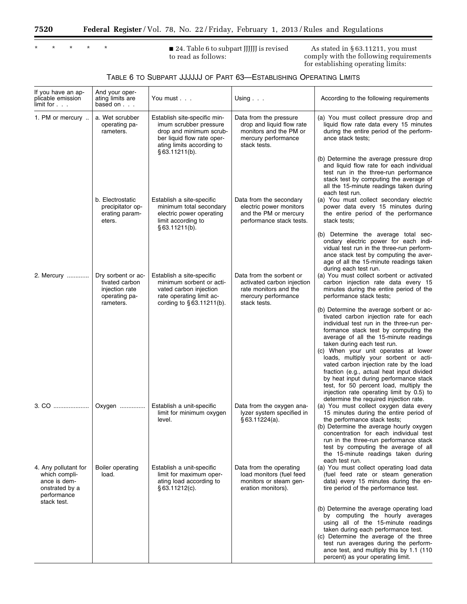$\equiv$ 

| ¥ | $\star$ | $\star$ | $\star$ |
|---|---------|---------|---------|

**\*** ■ 24. Table 6 to subpart JJJJJJ is revised to read as follows:

As stated in § 63.11211, you must comply with the following requirements for establishing operating limits:

| TABLE 6 TO SUBPART JJJJJJJ OF PART 63-ESTABLISHING OPERATING LIMITS |  |  |
|---------------------------------------------------------------------|--|--|
|---------------------------------------------------------------------|--|--|

| If you have an ap-<br>plicable emission<br>limit for                                                  | And your oper-<br>ating limits are<br>based on                                       | You must                                                                                                                                                      | Using $\ldots$                                                                                                         | According to the following requirements                                                                                                                                                                                                                                                                                                                                                                                                                                                                                                                                                              |
|-------------------------------------------------------------------------------------------------------|--------------------------------------------------------------------------------------|---------------------------------------------------------------------------------------------------------------------------------------------------------------|------------------------------------------------------------------------------------------------------------------------|------------------------------------------------------------------------------------------------------------------------------------------------------------------------------------------------------------------------------------------------------------------------------------------------------------------------------------------------------------------------------------------------------------------------------------------------------------------------------------------------------------------------------------------------------------------------------------------------------|
| 1. PM or mercury                                                                                      | a. Wet scrubber<br>operating pa-<br>rameters.                                        | Establish site-specific min-<br>imum scrubber pressure<br>drop and minimum scrub-<br>ber liquid flow rate oper-<br>ating limits according to<br>§63.11211(b). | Data from the pressure<br>drop and liquid flow rate<br>monitors and the PM or<br>mercury performance<br>stack tests.   | (a) You must collect pressure drop and<br>liquid flow rate data every 15 minutes<br>during the entire period of the perform-<br>ance stack tests;                                                                                                                                                                                                                                                                                                                                                                                                                                                    |
|                                                                                                       |                                                                                      |                                                                                                                                                               |                                                                                                                        | (b) Determine the average pressure drop<br>and liquid flow rate for each individual<br>test run in the three-run performance<br>stack test by computing the average of<br>all the 15-minute readings taken during<br>each test run.                                                                                                                                                                                                                                                                                                                                                                  |
|                                                                                                       | b. Electrostatic<br>precipitator op-<br>erating param-<br>eters.                     | Establish a site-specific<br>minimum total secondary<br>electric power operating<br>limit according to<br>$§$ 63.11211(b).                                    | Data from the secondary<br>electric power monitors<br>and the PM or mercury<br>performance stack tests.                | (a) You must collect secondary electric<br>power data every 15 minutes during<br>the entire period of the performance<br>stack tests;                                                                                                                                                                                                                                                                                                                                                                                                                                                                |
|                                                                                                       |                                                                                      |                                                                                                                                                               |                                                                                                                        | (b) Determine the average total sec-<br>ondary electric power for each indi-<br>vidual test run in the three-run perform-<br>ance stack test by computing the aver-<br>age of all the 15-minute readings taken<br>during each test run.                                                                                                                                                                                                                                                                                                                                                              |
| 2. Mercury                                                                                            | Dry sorbent or ac-<br>tivated carbon<br>injection rate<br>operating pa-<br>rameters. | Establish a site-specific<br>minimum sorbent or acti-<br>vated carbon injection<br>rate operating limit ac-<br>cording to $§ 63.11211(b)$ .                   | Data from the sorbent or<br>activated carbon injection<br>rate monitors and the<br>mercury performance<br>stack tests. | (a) You must collect sorbent or activated<br>carbon injection rate data every 15<br>minutes during the entire period of the<br>performance stack tests;                                                                                                                                                                                                                                                                                                                                                                                                                                              |
|                                                                                                       |                                                                                      |                                                                                                                                                               |                                                                                                                        | (b) Determine the average sorbent or ac-<br>tivated carbon injection rate for each<br>individual test run in the three-run per-<br>formance stack test by computing the<br>average of all the 15-minute readings<br>taken during each test run.<br>(c) When your unit operates at lower<br>loads, multiply your sorbent or acti-<br>vated carbon injection rate by the load<br>fraction (e.g., actual heat input divided<br>by heat input during performance stack<br>test, for 50 percent load, multiply the<br>injection rate operating limit by 0.5) to<br>determine the required injection rate. |
| 3. CO                                                                                                 | Oxygen                                                                               | Establish a unit-specific<br>limit for minimum oxygen<br>level.                                                                                               | Data from the oxygen ana-<br>lyzer system specified in<br>§ 63.11224(a).                                               | (a) You must collect oxygen data every<br>15 minutes during the entire period of<br>the performance stack tests;<br>(b) Determine the average hourly oxygen<br>concentration for each individual test<br>run in the three-run performance stack<br>test by computing the average of all<br>the 15-minute readings taken during<br>each test run.                                                                                                                                                                                                                                                     |
| 4. Any pollutant for<br>which compli-<br>ance is dem-<br>onstrated by a<br>performance<br>stack test. | Boiler operating<br>load.                                                            | Establish a unit-specific<br>limit for maximum oper-<br>ating load according to<br>§ 63.11212(c).                                                             | Data from the operating<br>load monitors (fuel feed<br>monitors or steam gen-<br>eration monitors).                    | (a) You must collect operating load data<br>(fuel feed rate or steam generation<br>data) every 15 minutes during the en-<br>tire period of the performance test.                                                                                                                                                                                                                                                                                                                                                                                                                                     |
|                                                                                                       |                                                                                      |                                                                                                                                                               |                                                                                                                        | (b) Determine the average operating load<br>by computing the hourly averages<br>using all of the 15-minute readings<br>taken during each performance test.<br>(c) Determine the average of the three<br>test run averages during the perform-<br>ance test, and multiply this by 1.1 (110<br>percent) as your operating limit.                                                                                                                                                                                                                                                                       |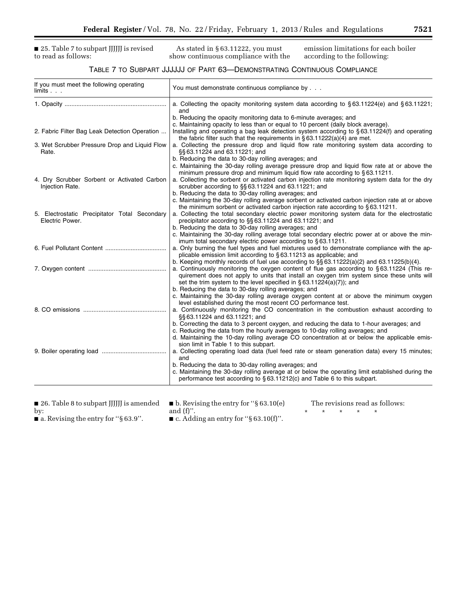■ 25. Table 7 to subpart JJJJJJ is revised to read as follows:

As stated in § 63.11222, you must show continuous compliance with the emission limitations for each boiler according to the following:

#### TABLE 7 TO SUBPART JJJJJJ OF PART 63—DEMONSTRATING CONTINUOUS COMPLIANCE

| If you must meet the following operating<br>limits. .          | You must demonstrate continuous compliance by                                                                                                                                                                                                                         |
|----------------------------------------------------------------|-----------------------------------------------------------------------------------------------------------------------------------------------------------------------------------------------------------------------------------------------------------------------|
|                                                                | a. Collecting the opacity monitoring system data according to $\S 63.11224(e)$ and $\S 63.11221$ ;<br>and                                                                                                                                                             |
|                                                                | b. Reducing the opacity monitoring data to 6-minute averages; and                                                                                                                                                                                                     |
| 2. Fabric Filter Bag Leak Detection Operation                  | c. Maintaining opacity to less than or equal to 10 percent (daily block average).<br>Installing and operating a bag leak detection system according to $\S 63.11224(f)$ and operating<br>the fabric filter such that the requirements in $\S 63.11222(a)(4)$ are met. |
| 3. Wet Scrubber Pressure Drop and Liquid Flow<br>Rate.         | a. Collecting the pressure drop and liquid flow rate monitoring system data according to<br>§§63.11224 and 63.11221; and                                                                                                                                              |
|                                                                | b. Reducing the data to 30-day rolling averages; and                                                                                                                                                                                                                  |
|                                                                | c. Maintaining the 30-day rolling average pressure drop and liquid flow rate at or above the<br>minimum pressure drop and minimum liquid flow rate according to $\S 63.11211$ .                                                                                       |
| 4. Dry Scrubber Sorbent or Activated Carbon<br>Injection Rate. | a. Collecting the sorbent or activated carbon injection rate monitoring system data for the dry<br>scrubber according to §§63.11224 and 63.11221; and                                                                                                                 |
|                                                                | b. Reducing the data to 30-day rolling averages; and                                                                                                                                                                                                                  |
|                                                                | c. Maintaining the 30-day rolling average sorbent or activated carbon injection rate at or above<br>the minimum sorbent or activated carbon injection rate according to $\S 63.11211$ .                                                                               |
| 5. Electrostatic Precipitator Total Secondary                  | a. Collecting the total secondary electric power monitoring system data for the electrostatic                                                                                                                                                                         |
| Electric Power.                                                | precipitator according to §§63.11224 and 63.11221; and                                                                                                                                                                                                                |
|                                                                | b. Reducing the data to 30-day rolling averages; and                                                                                                                                                                                                                  |
|                                                                | c. Maintaining the 30-day rolling average total secondary electric power at or above the min-                                                                                                                                                                         |
|                                                                | imum total secondary electric power according to §63.11211.                                                                                                                                                                                                           |
|                                                                | a. Only burning the fuel types and fuel mixtures used to demonstrate compliance with the ap-<br>plicable emission limit according to §63.11213 as applicable; and                                                                                                     |
|                                                                | b. Keeping monthly records of fuel use according to $\S$ § 63.11222(a)(2) and 63.11225(b)(4).                                                                                                                                                                         |
|                                                                | a. Continuously monitoring the oxygen content of flue gas according to §63.11224 (This re-                                                                                                                                                                            |
|                                                                | quirement does not apply to units that install an oxygen trim system since these units will                                                                                                                                                                           |
|                                                                | set the trim system to the level specified in $\S 63.11224(a)(7)$ ; and                                                                                                                                                                                               |
|                                                                | b. Reducing the data to 30-day rolling averages; and                                                                                                                                                                                                                  |
|                                                                | c. Maintaining the 30-day rolling average oxygen content at or above the minimum oxygen<br>level established during the most recent CO performance test.                                                                                                              |
|                                                                | a. Continuously monitoring the CO concentration in the combustion exhaust according to                                                                                                                                                                                |
|                                                                | §§63.11224 and 63.11221; and                                                                                                                                                                                                                                          |
|                                                                | b. Correcting the data to 3 percent oxygen, and reducing the data to 1-hour averages; and                                                                                                                                                                             |
|                                                                | c. Reducing the data from the hourly averages to 10-day rolling averages; and                                                                                                                                                                                         |
|                                                                | d. Maintaining the 10-day rolling average CO concentration at or below the applicable emis-<br>sion limit in Table 1 to this subpart.                                                                                                                                 |
|                                                                | a. Collecting operating load data (fuel feed rate or steam generation data) every 15 minutes;<br>and                                                                                                                                                                  |
|                                                                | b. Reducing the data to 30-day rolling averages; and                                                                                                                                                                                                                  |
|                                                                | c. Maintaining the 30-day rolling average at or below the operating limit established during the<br>performance test according to §63.11212(c) and Table 6 to this subpart.                                                                                           |
|                                                                |                                                                                                                                                                                                                                                                       |

■ 26. Table 8 to subpart JJJJJJ is amended by:

■ b. Revising the entry for "§ 63.10(e) and (f)''.

The revisions read as follows: \* \* \* \* \*

■ a. Revising the entry for "§ 63.9".

■ c. Adding an entry for "§ 63.10(f)".